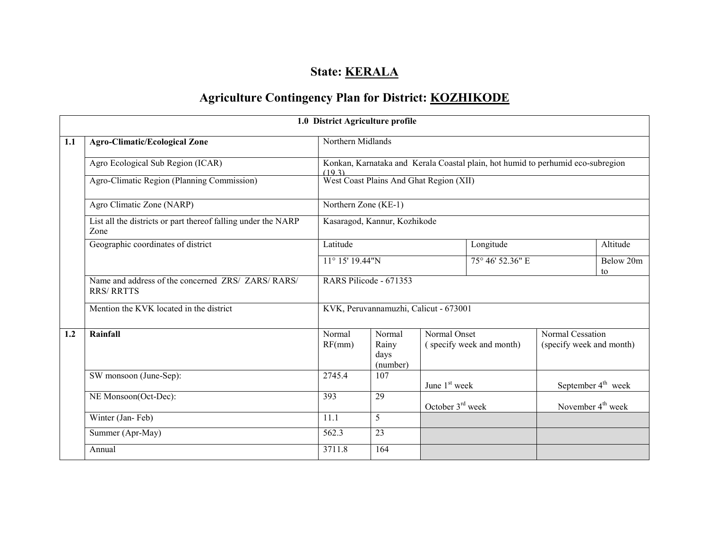# State: **KERALA**

# Agriculture Contingency Plan for District: KOZHIKODE

|     |                                                                         | 1.0 District Agriculture profile                                                         |                                       |                                          |                  |                                              |                 |
|-----|-------------------------------------------------------------------------|------------------------------------------------------------------------------------------|---------------------------------------|------------------------------------------|------------------|----------------------------------------------|-----------------|
| 1.1 | <b>Agro-Climatic/Ecological Zone</b>                                    | Northern Midlands                                                                        |                                       |                                          |                  |                                              |                 |
|     | Agro Ecological Sub Region (ICAR)                                       | Konkan, Karnataka and Kerala Coastal plain, hot humid to perhumid eco-subregion<br>(193) |                                       |                                          |                  |                                              |                 |
|     | Agro-Climatic Region (Planning Commission)                              | West Coast Plains And Ghat Region (XII)                                                  |                                       |                                          |                  |                                              |                 |
|     | Agro Climatic Zone (NARP)                                               | Northern $Z$ <sub>one</sub> (KE-1)                                                       |                                       |                                          |                  |                                              |                 |
|     | List all the districts or part thereof falling under the NARP<br>Zone   |                                                                                          | Kasaragod, Kannur, Kozhikode          |                                          |                  |                                              |                 |
|     | Geographic coordinates of district                                      | Latitude                                                                                 |                                       |                                          | Longitude        |                                              | Altitude        |
|     |                                                                         | $11^{\circ}$ 15' 19.44"N                                                                 |                                       |                                          | 75° 46' 52.36" E |                                              | Below 20m<br>to |
|     | Name and address of the concerned ZRS/ ZARS/ RARS/<br><b>RRS/ RRTTS</b> |                                                                                          | RARS Pilicode - 671353                |                                          |                  |                                              |                 |
|     | Mention the KVK located in the district                                 |                                                                                          | KVK, Peruvannamuzhi, Calicut - 673001 |                                          |                  |                                              |                 |
| 1.2 | Rainfall                                                                | Normal<br>RF(mm)                                                                         | Normal<br>Rainy<br>days<br>(number)   | Normal Onset<br>(specify week and month) |                  | Normal Cessation<br>(specify week and month) |                 |
|     | SW monsoon (June-Sep):                                                  | 2745.4                                                                                   | 107                                   | June 1 <sup>st</sup> week                |                  | September 4 <sup>th</sup> week               |                 |
|     | NE Monsoon(Oct-Dec):                                                    | 393                                                                                      | 29                                    | October 3 <sup>rd</sup> week             |                  | November $4th$ week                          |                 |
|     | Winter (Jan-Feb)                                                        | 11.1                                                                                     | 5                                     |                                          |                  |                                              |                 |
|     | Summer (Apr-May)                                                        | 562.3                                                                                    | 23                                    |                                          |                  |                                              |                 |
|     | Annual                                                                  | 3711.8                                                                                   | 164                                   |                                          |                  |                                              |                 |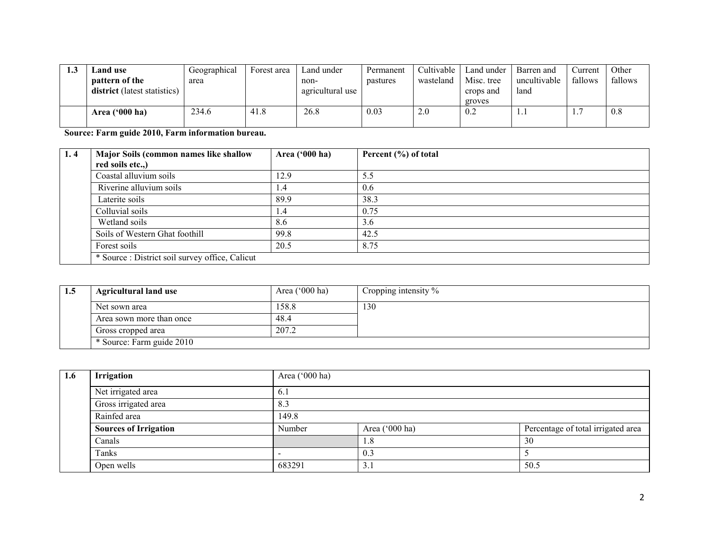| ل. 1 | <b>Land use</b>                     | Geographical | Forest area | Land under       | Permanent | Cultivable | Land under | Barren and   | <b>Current</b> | Other   |
|------|-------------------------------------|--------------|-------------|------------------|-----------|------------|------------|--------------|----------------|---------|
|      | pattern of the                      | area         |             | non-             | pastures  | wasteland  | Misc. tree | uncultivable | fallows        | fallows |
|      | <b>district</b> (latest statistics) |              |             | agricultural use |           |            | crops and  | land         |                |         |
|      |                                     |              |             |                  |           |            | groves     |              |                |         |
|      | Area $(900 \text{ ha})$             | 234.6        | 41.8        | 26.8             | 0.03      | 2.0        | 0.2        | <b>L.J</b>   | ┍<br><b>L.</b> | 0.8     |
|      |                                     |              |             |                  |           |            |            |              |                |         |

Source: Farm guide 2010, Farm information bureau.

| 1.4 | Major Soils (common names like shallow          | Area ('000 ha) | Percent (%) of total |  |  |  |
|-----|-------------------------------------------------|----------------|----------------------|--|--|--|
|     | red soils etc.,)                                |                |                      |  |  |  |
|     | Coastal alluvium soils                          | 12.9           | 5.5                  |  |  |  |
|     | Riverine alluvium soils                         | 1.4            | 0.6                  |  |  |  |
|     | Laterite soils                                  | 89.9           | 38.3                 |  |  |  |
|     | Colluvial soils                                 | 1.4            | 0.75                 |  |  |  |
|     | Wetland soils                                   | 8.6            | 3.6                  |  |  |  |
|     | Soils of Western Ghat foothill                  | 99.8           | 42.5                 |  |  |  |
|     | Forest soils                                    | 20.5           | 8.75                 |  |  |  |
|     | * Source : District soil survey office, Calicut |                |                      |  |  |  |

| -1.3 | <b>Agricultural land use</b> | Area $(000 \text{ ha})$ | Cropping intensity $\%$ |
|------|------------------------------|-------------------------|-------------------------|
|      | Net sown area                | 158.8                   | 130                     |
|      | Area sown more than once     | 48.4                    |                         |
|      | Gross cropped area           | 207.2                   |                         |
|      | * Source: Farm guide 2010    |                         |                         |

| 1.6 | <b>Irrigation</b>            | Area ('000 ha) |                |                                    |  |  |  |
|-----|------------------------------|----------------|----------------|------------------------------------|--|--|--|
|     | Net irrigated area           | 6.1            |                |                                    |  |  |  |
|     | Gross irrigated area         | 8.3            |                |                                    |  |  |  |
|     | Rainfed area                 | 149.8          |                |                                    |  |  |  |
|     | <b>Sources of Irrigation</b> | Number         | Area ('000 ha) | Percentage of total irrigated area |  |  |  |
|     | Canals                       |                | 1.8            | 30                                 |  |  |  |
|     | Tanks                        |                | 0.3            |                                    |  |  |  |
|     | Open wells                   | 683291         | 3.1            | 50.5                               |  |  |  |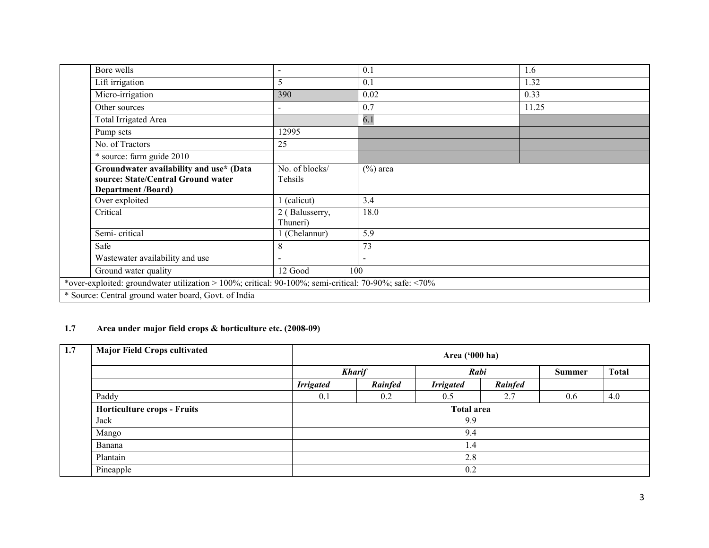|                                                      | Bore wells                                                                                            | $\blacksquare$ | 0.1            | 1.6   |  |  |  |
|------------------------------------------------------|-------------------------------------------------------------------------------------------------------|----------------|----------------|-------|--|--|--|
|                                                      | Lift irrigation                                                                                       | 5              | 0.1            | 1.32  |  |  |  |
|                                                      | Micro-irrigation                                                                                      | 390            | 0.02           | 0.33  |  |  |  |
|                                                      | Other sources                                                                                         |                | 0.7            | 11.25 |  |  |  |
|                                                      | Total Irrigated Area                                                                                  |                | 6.1            |       |  |  |  |
|                                                      | Pump sets                                                                                             | 12995          |                |       |  |  |  |
|                                                      | No. of Tractors                                                                                       | 25             |                |       |  |  |  |
|                                                      | * source: farm guide 2010                                                                             |                |                |       |  |  |  |
|                                                      | Groundwater availability and use* (Data                                                               | No. of blocks/ | $(\%)$ area    |       |  |  |  |
|                                                      | source: State/Central Ground water                                                                    | Tehsils        |                |       |  |  |  |
|                                                      | <b>Department /Board)</b>                                                                             |                |                |       |  |  |  |
|                                                      | Over exploited                                                                                        | 1 (calicut)    | 3.4            |       |  |  |  |
|                                                      | Critical                                                                                              | 2 (Balusserry, | 18.0           |       |  |  |  |
|                                                      |                                                                                                       | Thuneri)       |                |       |  |  |  |
|                                                      | Semi-critical                                                                                         | 1 (Chelannur)  | 5.9            |       |  |  |  |
|                                                      | Safe                                                                                                  | 8              | 73             |       |  |  |  |
|                                                      | Wastewater availability and use                                                                       |                | $\blacksquare$ |       |  |  |  |
|                                                      | Ground water quality                                                                                  | 12 Good        | 100            |       |  |  |  |
|                                                      | *over-exploited: groundwater utilization > 100%; critical: 90-100%; semi-critical: 70-90%; safe: <70% |                |                |       |  |  |  |
| * Source: Central ground water board, Govt. of India |                                                                                                       |                |                |       |  |  |  |

# 1.7 Area under major field crops & horticulture etc. (2008-09)

| 1.7 | <b>Major Field Crops cultivated</b> |                  | Area $('000 ha)$  |                  |         |     |              |  |  |  |
|-----|-------------------------------------|------------------|-------------------|------------------|---------|-----|--------------|--|--|--|
|     |                                     |                  | <b>Kharif</b>     |                  | Rabi    |     | <b>Total</b> |  |  |  |
|     |                                     | <b>Irrigated</b> | Rainfed           | <b>Irrigated</b> | Rainfed |     |              |  |  |  |
|     | Paddy                               | 0.1              | 0.2               | 0.5              | 2.7     | 0.6 | 4.0          |  |  |  |
|     | <b>Horticulture crops - Fruits</b>  |                  | <b>Total area</b> |                  |         |     |              |  |  |  |
|     | Jack                                |                  |                   | 9.9              |         |     |              |  |  |  |
|     | Mango                               |                  | 9.4               |                  |         |     |              |  |  |  |
|     | Banana                              |                  |                   | 1.4              |         |     |              |  |  |  |
|     | Plantain                            |                  |                   | 2.8              |         |     |              |  |  |  |
|     | Pineapple                           |                  |                   | 0.2              |         |     |              |  |  |  |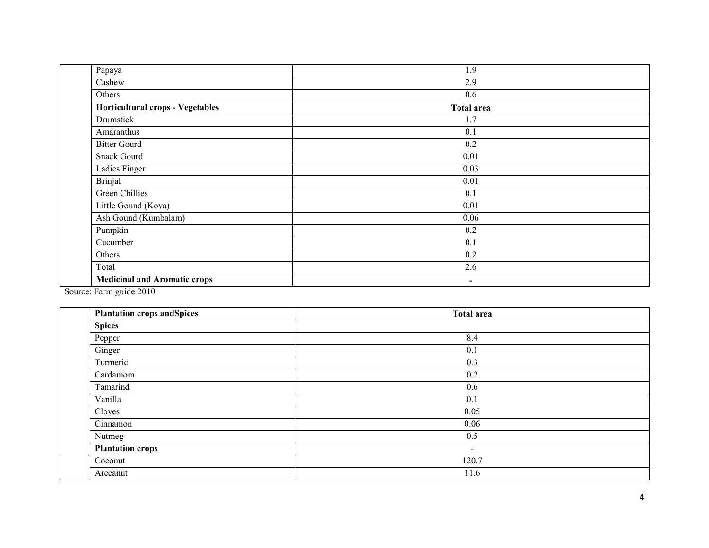| Papaya                                  | 1.9               |  |
|-----------------------------------------|-------------------|--|
| Cashew                                  | 2.9               |  |
| Others                                  | 0.6               |  |
| <b>Horticultural crops - Vegetables</b> | <b>Total area</b> |  |
| Drumstick                               | 1.7               |  |
| Amaranthus                              | 0.1               |  |
| <b>Bitter Gourd</b>                     | 0.2               |  |
| <b>Snack Gourd</b>                      | $0.01\,$          |  |
| Ladies Finger                           | 0.03              |  |
| <b>Brinjal</b>                          | $0.01\,$          |  |
| Green Chillies                          | 0.1               |  |
| Little Gound (Kova)                     | $0.01\,$          |  |
| Ash Gound (Kumbalam)                    | 0.06              |  |
| Pumpkin                                 | 0.2               |  |
| Cucumber                                | 0.1               |  |
| Others                                  | 0.2               |  |
| Total                                   | 2.6               |  |
| <b>Medicinal and Aromatic crops</b>     | $\blacksquare$    |  |
| $\cdots$<br>$\sim$                      |                   |  |

Source: Farm guide 2010

| <b>Plantation crops and Spices</b> | <b>Total area</b> |
|------------------------------------|-------------------|
| <b>Spices</b>                      |                   |
| Pepper                             | 8.4               |
| Ginger                             | 0.1               |
| Turmeric                           | 0.3               |
| Cardamom                           | 0.2               |
| Tamarind                           | 0.6               |
| Vanilla                            | 0.1               |
| Cloves                             | 0.05              |
| Cinnamon                           | 0.06              |
| Nutmeg                             | 0.5               |
| <b>Plantation crops</b>            | $\sim$            |
| Coconut                            | 120.7             |
| Arecanut                           | 11.6              |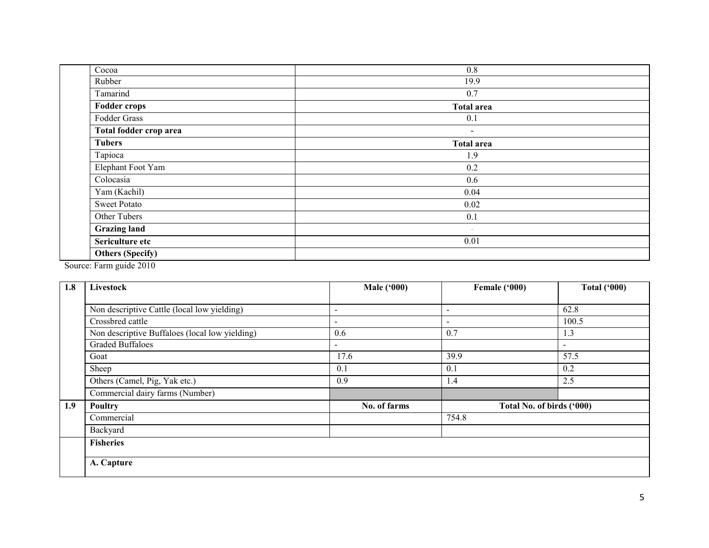| Cocoa                   | 0.8               |
|-------------------------|-------------------|
| Rubber                  | 19.9              |
| Tamarind                | 0.7               |
| <b>Fodder crops</b>     | <b>Total area</b> |
| Fodder Grass            | 0.1               |
| Total fodder crop area  | $\blacksquare$    |
| <b>Tubers</b>           | <b>Total area</b> |
| Tapioca                 | 1.9               |
| Elephant Foot Yam       | 0.2               |
| Colocasia               | 0.6               |
| Yam (Kachil)            | 0.04              |
| <b>Sweet Potato</b>     | 0.02              |
| Other Tubers            | 0.1               |
| Grazing land            | $\sim$            |
| Sericulture etc         | 0.01              |
| <b>Others (Specify)</b> |                   |
|                         |                   |

Source: Farm guide 2010

| 1.8 | Livestock                                      | <b>Male ('000)</b>       | Female ('000)             | <b>Total ('000)</b> |
|-----|------------------------------------------------|--------------------------|---------------------------|---------------------|
|     |                                                |                          |                           |                     |
|     | Non descriptive Cattle (local low yielding)    | $\overline{\phantom{a}}$ | $\overline{\phantom{a}}$  | 62.8                |
|     | Crossbred cattle                               | $\qquad \qquad$          | $\overline{\phantom{0}}$  | 100.5               |
|     | Non descriptive Buffaloes (local low yielding) | 0.6                      | 0.7                       | 1.3                 |
|     | <b>Graded Buffaloes</b>                        | $\sim$                   |                           | $\blacksquare$      |
|     | Goat                                           | 17.6                     | 39.9                      | 57.5                |
|     | Sheep                                          | 0.1                      | 0.1                       | 0.2                 |
|     | Others (Camel, Pig, Yak etc.)                  | 0.9                      | 1.4                       | 2.5                 |
|     | Commercial dairy farms (Number)                |                          |                           |                     |
| 1.9 | Poultry                                        | No. of farms             | Total No. of birds ('000) |                     |
|     | Commercial                                     |                          | 754.8                     |                     |
|     | Backyard                                       |                          |                           |                     |
|     | <b>Fisheries</b>                               |                          |                           |                     |
|     | A. Capture                                     |                          |                           |                     |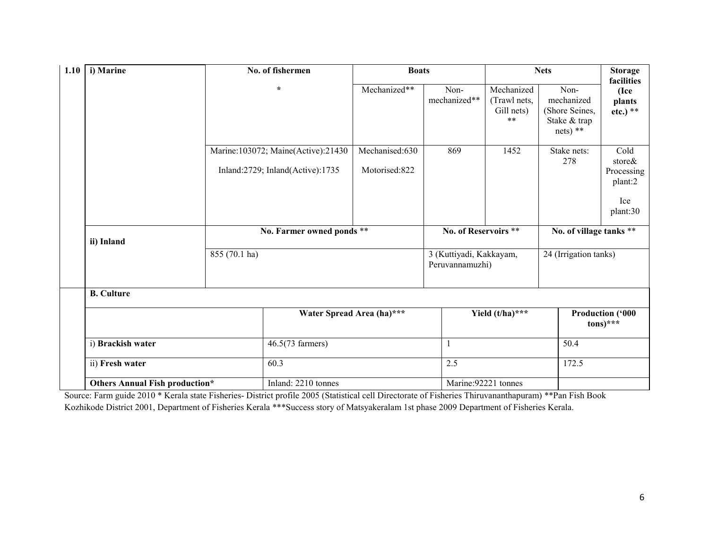| i) Marine<br>1.10 |                                       |                            | No. of fishermen                                                           | <b>Boats</b>                    |                                            | <b>Nets</b>                                              |                                                                    | <b>Storage</b><br>facilities                               |
|-------------------|---------------------------------------|----------------------------|----------------------------------------------------------------------------|---------------------------------|--------------------------------------------|----------------------------------------------------------|--------------------------------------------------------------------|------------------------------------------------------------|
|                   |                                       |                            | $\star$                                                                    | Mechanized**                    | Non-<br>mechanized**                       | Mechanized<br>(Trawl nets,<br>Gill nets)<br>$\star\star$ | Non-<br>mechanized<br>(Shore Seines,<br>Stake & trap<br>$nets)$ ** | (Ice<br>plants<br>$etc.)$ **                               |
|                   |                                       |                            | Marine: 103072; Maine(Active): 21430<br>Inland: 2729; Inland(Active): 1735 | Mechanised:630<br>Motorised:822 | 869                                        | 1452                                                     | Stake nets:<br>278                                                 | Cold<br>store&<br>Processing<br>plant:2<br>Ice<br>plant:30 |
|                   | ii) Inland                            |                            | No. Farmer owned ponds **                                                  |                                 | No. of Reservoirs **                       |                                                          | No. of village tanks **                                            |                                                            |
| 855 (70.1 ha)     |                                       |                            |                                                                            |                                 | 3 (Kuttiyadi, Kakkayam,<br>Peruvannamuzhi) |                                                          | 24 (Irrigation tanks)                                              |                                                            |
|                   | <b>B.</b> Culture                     |                            |                                                                            |                                 |                                            |                                                          |                                                                    |                                                            |
|                   |                                       |                            |                                                                            | Water Spread Area (ha)***       |                                            | Yield $(t/ha)$ ***                                       |                                                                    | <b>Production ('000</b><br>$tons)$ ***                     |
|                   | i) Brackish water                     | $46.5(73$ farmers)<br>60.3 |                                                                            |                                 |                                            |                                                          |                                                                    |                                                            |
|                   | ii) Fresh water                       |                            |                                                                            | 2.5                             |                                            |                                                          | 172.5                                                              |                                                            |
|                   | <b>Others Annual Fish production*</b> |                            | Inland: 2210 tonnes                                                        | Marine: 92221 tonnes            |                                            |                                                          |                                                                    |                                                            |

 Source: Farm guide 2010 \* Kerala state Fisheries- District profile 2005 (Statistical cell Directorate of Fisheries Thiruvananthapuram) \*\*Pan Fish Book Kozhikode District 2001, Department of Fisheries Kerala \*\*\*Success story of Matsyakeralam 1st phase 2009 Department of Fisheries Kerala.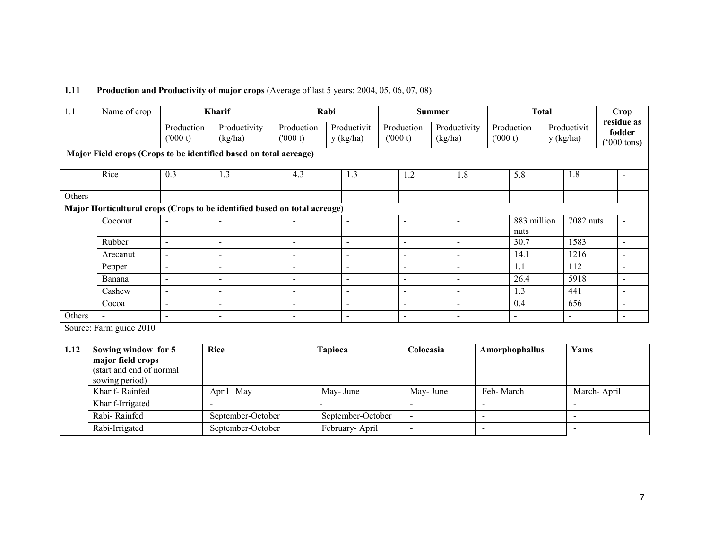# 1.11 Production and Productivity of major crops (Average of last 5 years: 2004, 05, 06, 07, 08)

| 1.11   | Name of crop                                                              |                          | <b>Kharif</b>            |                          | Rabi                     |                          | <b>Summer</b> |                          |                       | <b>Total</b> |                          | Crop                                         |  |
|--------|---------------------------------------------------------------------------|--------------------------|--------------------------|--------------------------|--------------------------|--------------------------|---------------|--------------------------|-----------------------|--------------|--------------------------|----------------------------------------------|--|
|        |                                                                           | Production<br>(000 t)    | Productivity<br>(kg/ha)  | Production<br>(000 t)    | Productivit<br>y (kg/ha) | Production<br>(000 t)    |               | Productivity<br>(kg/ha)  | Production<br>(000 t) |              | Productivit<br>y (kg/ha) | residue as<br>fodder<br>$(000 \text{ tons})$ |  |
|        | Major Field crops (Crops to be identified based on total acreage)         |                          |                          |                          |                          |                          |               |                          |                       |              |                          |                                              |  |
|        | Rice                                                                      | 0.3                      | 1.3                      | 4.3                      | 1.3                      | 1.2                      |               | 1.8                      | 5.8                   |              | 1.8                      | $\overline{\phantom{a}}$                     |  |
| Others | $\overline{\phantom{0}}$                                                  | $\overline{\phantom{a}}$ | $\blacksquare$           | $\overline{\phantom{a}}$ | $\overline{\phantom{0}}$ | $\blacksquare$           |               | $\overline{\phantom{0}}$ | $\blacksquare$        |              | $\blacksquare$           | $\overline{\phantom{a}}$                     |  |
|        | Major Horticultural crops (Crops to be identified based on total acreage) |                          |                          |                          |                          |                          |               |                          |                       |              |                          |                                              |  |
|        | Coconut                                                                   | $\sim$                   | $\blacksquare$           |                          | $\overline{\phantom{0}}$ |                          |               | $\overline{\phantom{0}}$ | nuts                  | 883 million  | 7082 nuts                | $\overline{\phantom{a}}$                     |  |
|        | Rubber                                                                    | $\overline{\phantom{a}}$ | $\overline{\phantom{a}}$ | $\sim$                   | $\overline{\phantom{a}}$ | $\overline{\phantom{0}}$ |               | $\overline{a}$           | 30.7                  |              | 1583                     | $\overline{\phantom{a}}$                     |  |
|        | Arecanut                                                                  | $\sim$                   | $\blacksquare$           | $\overline{\phantom{a}}$ | $\overline{\phantom{0}}$ |                          |               | $\overline{\phantom{0}}$ | 14.1                  |              | 1216                     | $\overline{\phantom{a}}$                     |  |
|        | Pepper                                                                    | $\overline{\phantom{a}}$ | $\blacksquare$           | $\overline{\phantom{a}}$ | $\overline{a}$           |                          |               | $\overline{a}$           | 1.1                   |              | 112                      | $\blacksquare$                               |  |
|        | Banana                                                                    | $\overline{a}$           | $\sim$                   | $\overline{\phantom{a}}$ | $\overline{\phantom{a}}$ | $\overline{\phantom{0}}$ |               | $\overline{a}$           | 26.4                  |              | 5918                     | $\overline{\phantom{a}}$                     |  |
|        | Cashew                                                                    | $\sim$                   | $\blacksquare$           | $\overline{\phantom{a}}$ | $\overline{\phantom{a}}$ | $\overline{\phantom{a}}$ |               | $\overline{\phantom{a}}$ | 1.3                   |              | 441                      | $\overline{\phantom{a}}$                     |  |
|        | Cocoa                                                                     | $\sim$                   | $\blacksquare$           | $\overline{\phantom{a}}$ | $\overline{\phantom{a}}$ | $\overline{\phantom{a}}$ |               | $\overline{\phantom{a}}$ | 0.4                   |              | 656                      | $\overline{\phantom{a}}$                     |  |
| Others | $\overline{\phantom{0}}$                                                  | $\overline{\phantom{a}}$ | $\blacksquare$           | $\overline{\phantom{a}}$ | $\overline{\phantom{a}}$ |                          |               | $\overline{\phantom{a}}$ |                       |              | $\overline{\phantom{a}}$ | $\overline{\phantom{a}}$                     |  |

Source: Farm guide 2010

| 1.12 | Sowing window for 5       | Rice              | Tapioca           | Colocasia | Amorphophallus | Yams        |
|------|---------------------------|-------------------|-------------------|-----------|----------------|-------------|
|      | major field crops         |                   |                   |           |                |             |
|      | (start and end of normal) |                   |                   |           |                |             |
|      | sowing period)            |                   |                   |           |                |             |
|      | Kharif-Rainfed            | April – May       | May- June         | May- June | Feb-March      | March-April |
|      | Kharif-Irrigated          |                   |                   |           |                |             |
|      | Rabi-Rainfed              | September-October | September-October |           |                |             |
|      | Rabi-Irrigated            | September-October | February-April    |           |                |             |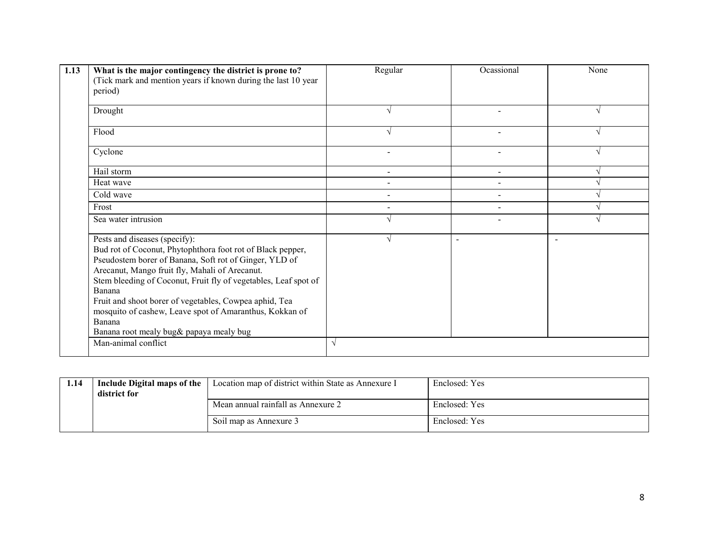| 1.13 | What is the major contingency the district is prone to?<br>(Tick mark and mention years if known during the last 10 year)<br>period)                                                                                                                                                                                                                                                                                                                                                  | Regular    | Ocassional               | None |
|------|---------------------------------------------------------------------------------------------------------------------------------------------------------------------------------------------------------------------------------------------------------------------------------------------------------------------------------------------------------------------------------------------------------------------------------------------------------------------------------------|------------|--------------------------|------|
|      | Drought                                                                                                                                                                                                                                                                                                                                                                                                                                                                               |            |                          |      |
|      | Flood                                                                                                                                                                                                                                                                                                                                                                                                                                                                                 |            |                          |      |
|      | Cyclone                                                                                                                                                                                                                                                                                                                                                                                                                                                                               |            |                          |      |
|      | Hail storm                                                                                                                                                                                                                                                                                                                                                                                                                                                                            |            |                          |      |
|      | Heat wave                                                                                                                                                                                                                                                                                                                                                                                                                                                                             |            |                          |      |
|      | Cold wave                                                                                                                                                                                                                                                                                                                                                                                                                                                                             |            |                          |      |
|      | Frost                                                                                                                                                                                                                                                                                                                                                                                                                                                                                 |            |                          |      |
|      | Sea water intrusion                                                                                                                                                                                                                                                                                                                                                                                                                                                                   |            |                          |      |
|      | Pests and diseases (specify):<br>Bud rot of Coconut, Phytophthora foot rot of Black pepper,<br>Pseudostem borer of Banana, Soft rot of Ginger, YLD of<br>Arecanut, Mango fruit fly, Mahali of Arecanut.<br>Stem bleeding of Coconut, Fruit fly of vegetables, Leaf spot of<br>Banana<br>Fruit and shoot borer of vegetables, Cowpea aphid, Tea<br>mosquito of cashew, Leave spot of Amaranthus, Kokkan of<br>Banana<br>Banana root mealy bug& papaya mealy bug<br>Man-animal conflict | $\sqrt{ }$ | $\overline{\phantom{0}}$ |      |
|      |                                                                                                                                                                                                                                                                                                                                                                                                                                                                                       |            |                          |      |

| 1.14 | Include Digital maps of the<br>district for | Location map of district within State as Annexure I | Enclosed: Yes |
|------|---------------------------------------------|-----------------------------------------------------|---------------|
|      |                                             | Mean annual rainfall as Annexure 2                  | Enclosed: Yes |
|      |                                             | Soil map as Annexure 3                              | Enclosed: Yes |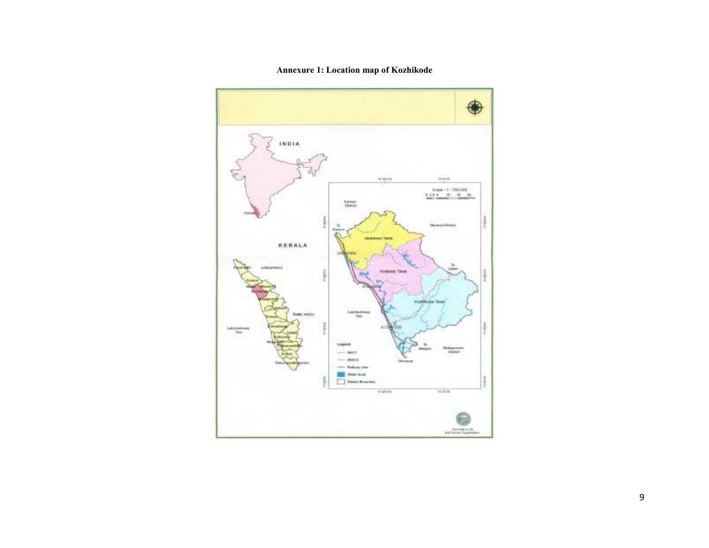

Annexure 1: Location map of Kozhikode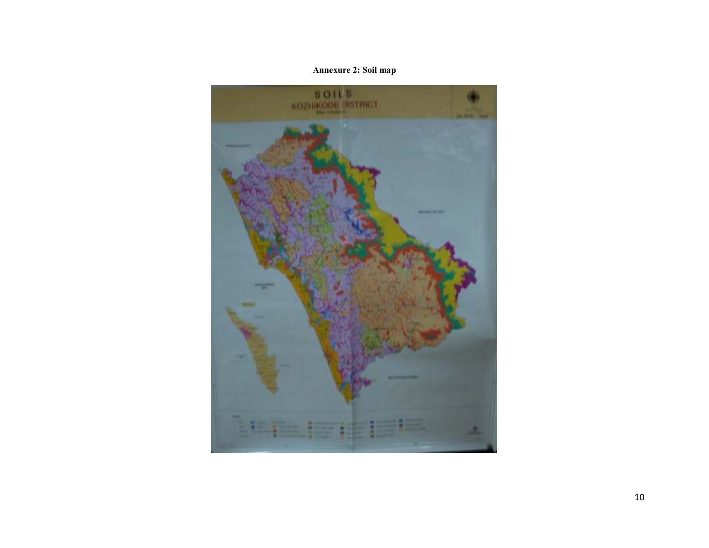# Annexure 2: Soil map

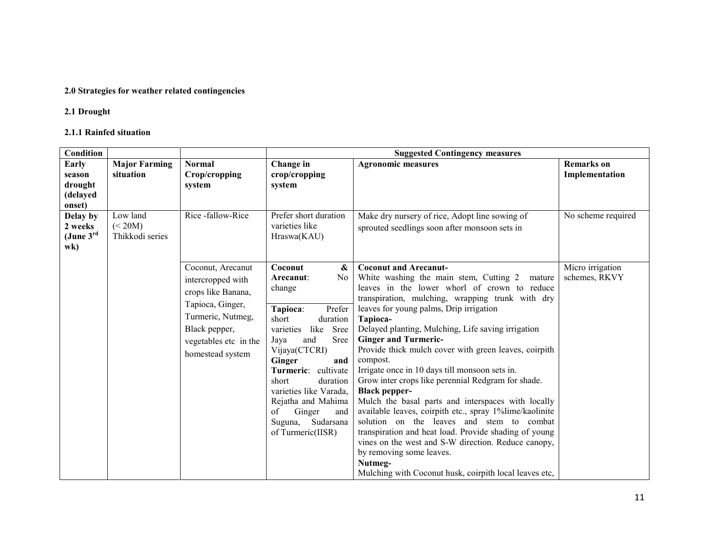## 2.0 Strategies for weather related contingencies

## 2.1 Drought

# 2.1.1 Rainfed situation

| Condition                                                     |                                        |                                                                                                                                                                     |                                                                                                                                                                                                                                                                                                                                                            | <b>Suggested Contingency measures</b>                                                                                                                                                                                                                                                                                                                                                                                                                                                                                                                                                                                                                                                                                                                                                                                                                                                                                |                                     |
|---------------------------------------------------------------|----------------------------------------|---------------------------------------------------------------------------------------------------------------------------------------------------------------------|------------------------------------------------------------------------------------------------------------------------------------------------------------------------------------------------------------------------------------------------------------------------------------------------------------------------------------------------------------|----------------------------------------------------------------------------------------------------------------------------------------------------------------------------------------------------------------------------------------------------------------------------------------------------------------------------------------------------------------------------------------------------------------------------------------------------------------------------------------------------------------------------------------------------------------------------------------------------------------------------------------------------------------------------------------------------------------------------------------------------------------------------------------------------------------------------------------------------------------------------------------------------------------------|-------------------------------------|
| Early<br>season<br>drought                                    | <b>Major Farming</b><br>situation      | <b>Normal</b><br>Crop/cropping<br>system                                                                                                                            | Change in<br>crop/cropping<br>system                                                                                                                                                                                                                                                                                                                       | <b>Agronomic measures</b>                                                                                                                                                                                                                                                                                                                                                                                                                                                                                                                                                                                                                                                                                                                                                                                                                                                                                            | <b>Remarks</b> on<br>Implementation |
| (delayed<br>onset)                                            |                                        |                                                                                                                                                                     |                                                                                                                                                                                                                                                                                                                                                            |                                                                                                                                                                                                                                                                                                                                                                                                                                                                                                                                                                                                                                                                                                                                                                                                                                                                                                                      |                                     |
| Delay by<br>2 weeks<br>(June $3rd$<br>$\mathbf{w}$ <b>k</b> ) | Low land<br>(< 20M)<br>Thikkodi series | Rice -fallow-Rice                                                                                                                                                   | Prefer short duration<br>varieties like<br>Hraswa(KAU)                                                                                                                                                                                                                                                                                                     | Make dry nursery of rice, Adopt line sowing of<br>sprouted seedlings soon after monsoon sets in                                                                                                                                                                                                                                                                                                                                                                                                                                                                                                                                                                                                                                                                                                                                                                                                                      | No scheme required                  |
|                                                               |                                        | Coconut, Arecanut<br>intercropped with<br>crops like Banana,<br>Tapioca, Ginger,<br>Turmeric, Nutmeg,<br>Black pepper,<br>vegetables etc in the<br>homestead system | Coconut<br>&<br>N <sub>0</sub><br>Arecanut:<br>change<br>Tapioca:<br>Prefer<br>short<br>duration<br>like Sree<br>varieties<br><b>Sree</b><br>and<br>Jaya<br>Vijaya(CTCRI)<br>Ginger<br>and<br>Turmeric: cultivate<br>short<br>duration<br>varieties like Varada.<br>Rejatha and Mahima<br>of<br>Ginger<br>and<br>Sudarsana<br>Suguna,<br>of Turmeric(IISR) | <b>Coconut and Arecanut-</b><br>White washing the main stem, Cutting 2<br>mature<br>leaves in the lower whorl of crown to reduce<br>transpiration, mulching, wrapping trunk with dry<br>leaves for young palms, Drip irrigation<br>Tapioca-<br>Delayed planting, Mulching, Life saving irrigation<br><b>Ginger and Turmeric-</b><br>Provide thick mulch cover with green leaves, coirpith<br>compost.<br>Irrigate once in 10 days till monsoon sets in.<br>Grow inter crops like perennial Redgram for shade.<br><b>Black pepper-</b><br>Mulch the basal parts and interspaces with locally<br>available leaves, coirpith etc., spray 1%lime/kaolinite<br>solution on the leaves and stem to combat<br>transpiration and heat load. Provide shading of young<br>vines on the west and S-W direction. Reduce canopy,<br>by removing some leaves.<br>Nutmeg-<br>Mulching with Coconut husk, coirpith local leaves etc, | Micro irrigation<br>schemes, RKVY   |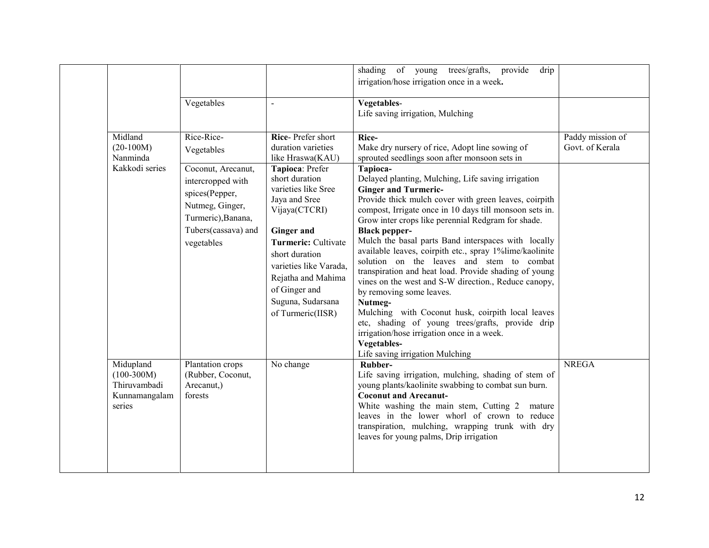|                                                                      | Vegetables                                                                                                                                                          | $\sim$                                                                                                                                                                                                                                                                                                                             | shading of young<br>provide<br>drip<br>trees/grafts,<br>irrigation/hose irrigation once in a week.<br>Vegetables-<br>Life saving irrigation, Mulching                                                                                                                                                                                                                                                                                                                                                                                                                                                                                                                                                                                                                                                                                                                                                                                       |                                     |
|----------------------------------------------------------------------|---------------------------------------------------------------------------------------------------------------------------------------------------------------------|------------------------------------------------------------------------------------------------------------------------------------------------------------------------------------------------------------------------------------------------------------------------------------------------------------------------------------|---------------------------------------------------------------------------------------------------------------------------------------------------------------------------------------------------------------------------------------------------------------------------------------------------------------------------------------------------------------------------------------------------------------------------------------------------------------------------------------------------------------------------------------------------------------------------------------------------------------------------------------------------------------------------------------------------------------------------------------------------------------------------------------------------------------------------------------------------------------------------------------------------------------------------------------------|-------------------------------------|
| Midland<br>$(20-100M)$<br>Nanminda<br>Kakkodi series                 | Rice-Rice-<br>Vegetables<br>Coconut, Arecanut,<br>intercropped with<br>spices(Pepper,<br>Nutmeg, Ginger,<br>Turmeric), Banana,<br>Tubers(cassava) and<br>vegetables | Rice-Prefer short<br>duration varieties<br>like Hraswa(KAU)<br>Tapioca: Prefer<br>short duration<br>varieties like Sree<br>Jaya and Sree<br>Vijaya(CTCRI)<br><b>Ginger and</b><br>Turmeric: Cultivate<br>short duration<br>varieties like Varada,<br>Rejatha and Mahima<br>of Ginger and<br>Suguna, Sudarsana<br>of Turmeric(IISR) | Rice-<br>Make dry nursery of rice, Adopt line sowing of<br>sprouted seedlings soon after monsoon sets in<br>Tapioca-<br>Delayed planting, Mulching, Life saving irrigation<br><b>Ginger and Turmeric-</b><br>Provide thick mulch cover with green leaves, coirpith<br>compost, Irrigate once in 10 days till monsoon sets in.<br>Grow inter crops like perennial Redgram for shade.<br><b>Black pepper-</b><br>Mulch the basal parts Band interspaces with locally<br>available leaves, coirpith etc., spray 1%lime/kaolinite<br>solution on the leaves and stem to combat<br>transpiration and heat load. Provide shading of young<br>vines on the west and S-W direction., Reduce canopy,<br>by removing some leaves.<br>Nutmeg-<br>Mulching with Coconut husk, coirpith local leaves<br>etc, shading of young trees/grafts, provide drip<br>irrigation/hose irrigation once in a week.<br>Vegetables-<br>Life saving irrigation Mulching | Paddy mission of<br>Govt. of Kerala |
| Midupland<br>$(100-300M)$<br>Thiruvambadi<br>Kunnamangalam<br>series | Plantation crops<br>(Rubber, Coconut,<br>Arecanut,)<br>forests                                                                                                      | No change                                                                                                                                                                                                                                                                                                                          | Rubber-<br>Life saving irrigation, mulching, shading of stem of<br>young plants/kaolinite swabbing to combat sun burn.<br><b>Coconut and Arecanut-</b><br>White washing the main stem, Cutting 2 mature<br>leaves in the lower whorl of crown to reduce<br>transpiration, mulching, wrapping trunk with dry<br>leaves for young palms, Drip irrigation                                                                                                                                                                                                                                                                                                                                                                                                                                                                                                                                                                                      | <b>NREGA</b>                        |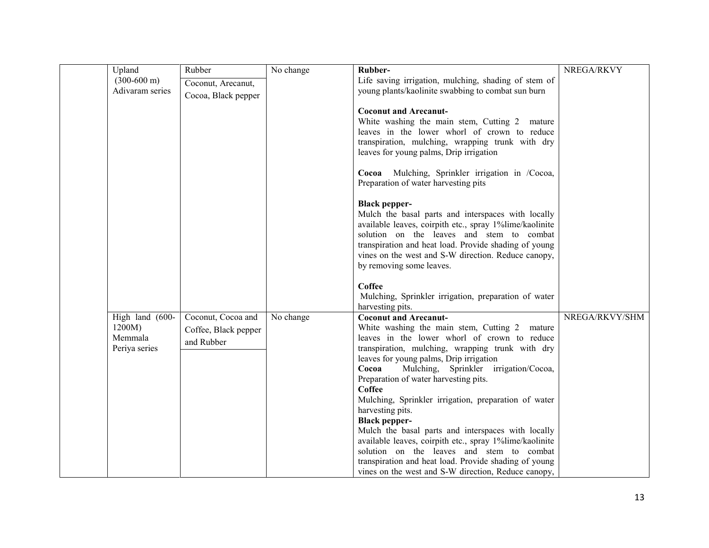| Upland                | Rubber               | No change | Rubber-                                                                                                       | NREGA/RKVY     |
|-----------------------|----------------------|-----------|---------------------------------------------------------------------------------------------------------------|----------------|
| $(300-600 \text{ m})$ | Coconut, Arecanut,   |           | Life saving irrigation, mulching, shading of stem of                                                          |                |
| Adivaram series       | Cocoa, Black pepper  |           | young plants/kaolinite swabbing to combat sun burn                                                            |                |
|                       |                      |           | <b>Coconut and Arecanut-</b>                                                                                  |                |
|                       |                      |           | White washing the main stem, Cutting 2 mature                                                                 |                |
|                       |                      |           | leaves in the lower whorl of crown to reduce                                                                  |                |
|                       |                      |           | transpiration, mulching, wrapping trunk with dry                                                              |                |
|                       |                      |           | leaves for young palms, Drip irrigation                                                                       |                |
|                       |                      |           | Cocoa Mulching, Sprinkler irrigation in /Cocoa,                                                               |                |
|                       |                      |           | Preparation of water harvesting pits                                                                          |                |
|                       |                      |           |                                                                                                               |                |
|                       |                      |           | <b>Black pepper-</b><br>Mulch the basal parts and interspaces with locally                                    |                |
|                       |                      |           | available leaves, coirpith etc., spray 1%lime/kaolinite                                                       |                |
|                       |                      |           | solution on the leaves and stem to combat                                                                     |                |
|                       |                      |           | transpiration and heat load. Provide shading of young                                                         |                |
|                       |                      |           | vines on the west and S-W direction. Reduce canopy,<br>by removing some leaves.                               |                |
|                       |                      |           |                                                                                                               |                |
|                       |                      |           | Coffee                                                                                                        |                |
|                       |                      |           | Mulching, Sprinkler irrigation, preparation of water                                                          |                |
| High land (600-       | Coconut, Cocoa and   | No change | harvesting pits.<br><b>Coconut and Arecanut-</b>                                                              | NREGA/RKVY/SHM |
| 1200M)                | Coffee, Black pepper |           | White washing the main stem, Cutting 2 mature                                                                 |                |
| Memmala               | and Rubber           |           | leaves in the lower whorl of crown to reduce                                                                  |                |
| Periya series         |                      |           | transpiration, mulching, wrapping trunk with dry                                                              |                |
|                       |                      |           | leaves for young palms, Drip irrigation                                                                       |                |
|                       |                      |           | Mulching, Sprinkler irrigation/Cocoa,<br>Cocoa<br>Preparation of water harvesting pits.                       |                |
|                       |                      |           | Coffee                                                                                                        |                |
|                       |                      |           | Mulching, Sprinkler irrigation, preparation of water                                                          |                |
|                       |                      |           | harvesting pits.                                                                                              |                |
|                       |                      |           | <b>Black pepper-</b>                                                                                          |                |
|                       |                      |           | Mulch the basal parts and interspaces with locally<br>available leaves, coirpith etc., spray 1%lime/kaolinite |                |
|                       |                      |           | solution on the leaves and stem to combat                                                                     |                |
|                       |                      |           | transpiration and heat load. Provide shading of young                                                         |                |
|                       |                      |           | vines on the west and S-W direction, Reduce canopy,                                                           |                |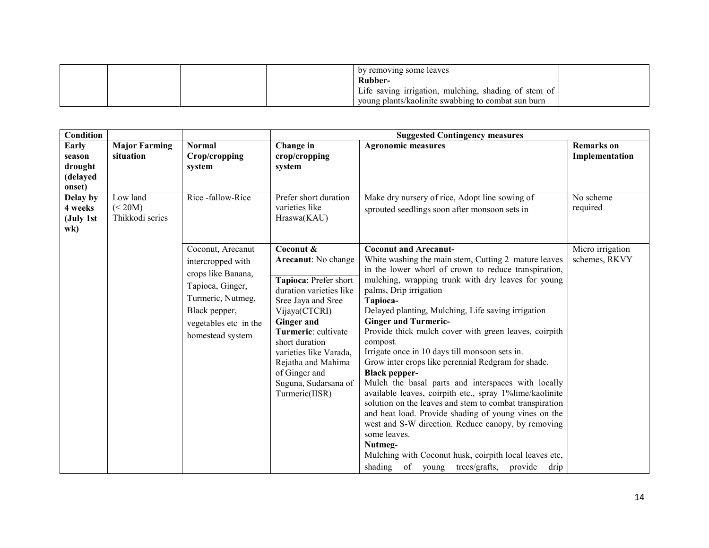|  | by removing some leaves                                         |  |
|--|-----------------------------------------------------------------|--|
|  | Rubber-<br>Life saving irrigation, mulching, shading of stem of |  |
|  | young plants/kaolinite swabbing to combat sun burn              |  |

| Condition               |                            |                         |                                       | <b>Suggested Contingency measures</b>                                                                              |                   |
|-------------------------|----------------------------|-------------------------|---------------------------------------|--------------------------------------------------------------------------------------------------------------------|-------------------|
| <b>Early</b>            | <b>Major Farming</b>       | <b>Normal</b>           | Change in                             | <b>Agronomic measures</b>                                                                                          | <b>Remarks</b> on |
| season<br>drought       | situation                  | Crop/cropping<br>system | crop/cropping<br>system               |                                                                                                                    | Implementation    |
| (delayed                |                            |                         |                                       |                                                                                                                    |                   |
| onset)                  |                            |                         |                                       |                                                                                                                    |                   |
| Delay by                | Low land                   | Rice-fallow-Rice        | Prefer short duration                 | Make dry nursery of rice, Adopt line sowing of                                                                     | No scheme         |
| 4 weeks<br>(July 1st    | (< 20M)<br>Thikkodi series |                         | varieties like<br>Hraswa(KAU)         | sprouted seedlings soon after monsoon sets in                                                                      | required          |
| $\mathbf{w}$ <b>k</b> ) |                            |                         |                                       |                                                                                                                    |                   |
|                         |                            |                         |                                       |                                                                                                                    |                   |
|                         |                            | Coconut, Arecanut       | Coconut &                             | <b>Coconut and Arecanut-</b>                                                                                       | Micro irrigation  |
|                         |                            | intercropped with       | Arecanut: No change                   | White washing the main stem, Cutting 2 mature leaves                                                               | schemes, RKVY     |
|                         |                            | crops like Banana,      | Tapioca: Prefer short                 | in the lower whorl of crown to reduce transpiration,<br>mulching, wrapping trunk with dry leaves for young         |                   |
|                         |                            | Tapioca, Ginger,        | duration varieties like               | palms, Drip irrigation                                                                                             |                   |
|                         |                            | Turmeric, Nutmeg,       | Sree Jaya and Sree                    | Tapioca-                                                                                                           |                   |
|                         |                            | Black pepper,           | Vijaya(CTCRI)                         | Delayed planting, Mulching, Life saving irrigation                                                                 |                   |
|                         |                            | vegetables etc in the   | <b>Ginger and</b>                     | <b>Ginger and Turmeric-</b>                                                                                        |                   |
|                         |                            | homestead system        | Turmeric: cultivate<br>short duration | Provide thick mulch cover with green leaves, coirpith<br>compost.                                                  |                   |
|                         |                            |                         | varieties like Varada,                | Irrigate once in 10 days till monsoon sets in.                                                                     |                   |
|                         |                            |                         | Rejatha and Mahima                    | Grow inter crops like perennial Redgram for shade.                                                                 |                   |
|                         |                            |                         | of Ginger and                         | <b>Black pepper-</b>                                                                                               |                   |
|                         |                            |                         | Suguna, Sudarsana of                  | Mulch the basal parts and interspaces with locally                                                                 |                   |
|                         |                            |                         | Turmeric(IISR)                        | available leaves, coirpith etc., spray 1%lime/kaolinite<br>solution on the leaves and stem to combat transpiration |                   |
|                         |                            |                         |                                       | and heat load. Provide shading of young vines on the                                                               |                   |
|                         |                            |                         |                                       | west and S-W direction. Reduce canopy, by removing                                                                 |                   |
|                         |                            |                         |                                       | some leaves.                                                                                                       |                   |
|                         |                            |                         |                                       | Nutmeg-                                                                                                            |                   |
|                         |                            |                         |                                       | Mulching with Coconut husk, coirpith local leaves etc,                                                             |                   |
|                         |                            |                         |                                       | shading of young trees/grafts,<br>provide drip                                                                     |                   |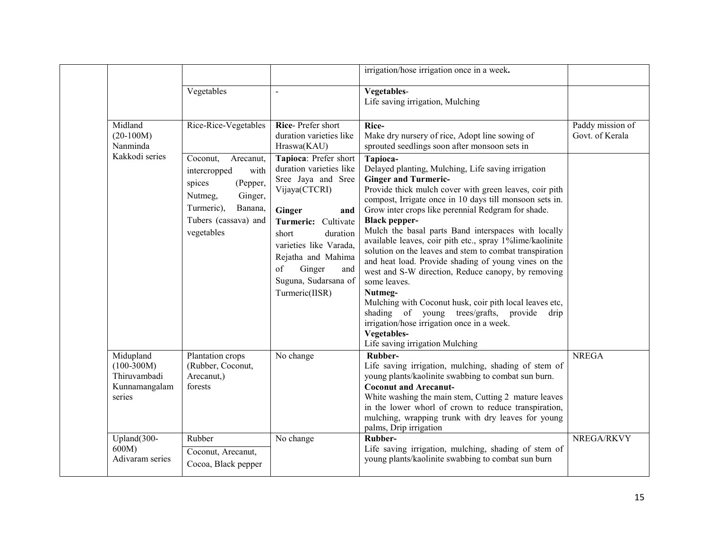|                                                                      |                                                                                                                                                          |                                                                                                                                                                                                                                                                       | irrigation/hose irrigation once in a week.                                                                                                                                                                                                                                                                                                                                                                                                                                                                                                                                                                                                                                                                                                                                                                                           |                                     |
|----------------------------------------------------------------------|----------------------------------------------------------------------------------------------------------------------------------------------------------|-----------------------------------------------------------------------------------------------------------------------------------------------------------------------------------------------------------------------------------------------------------------------|--------------------------------------------------------------------------------------------------------------------------------------------------------------------------------------------------------------------------------------------------------------------------------------------------------------------------------------------------------------------------------------------------------------------------------------------------------------------------------------------------------------------------------------------------------------------------------------------------------------------------------------------------------------------------------------------------------------------------------------------------------------------------------------------------------------------------------------|-------------------------------------|
|                                                                      | Vegetables                                                                                                                                               | $\blacksquare$                                                                                                                                                                                                                                                        | Vegetables-<br>Life saving irrigation, Mulching                                                                                                                                                                                                                                                                                                                                                                                                                                                                                                                                                                                                                                                                                                                                                                                      |                                     |
| Midland<br>$(20-100M)$<br>Nanminda                                   | Rice-Rice-Vegetables                                                                                                                                     | Rice-Prefer short<br>duration varieties like<br>Hraswa(KAU)                                                                                                                                                                                                           | Rice-<br>Make dry nursery of rice, Adopt line sowing of<br>sprouted seedlings soon after monsoon sets in                                                                                                                                                                                                                                                                                                                                                                                                                                                                                                                                                                                                                                                                                                                             | Paddy mission of<br>Govt. of Kerala |
| Kakkodi series                                                       | Coconut,<br>Arecanut,<br>intercropped<br>with<br>spices<br>(Pepper,<br>Ginger,<br>Nutmeg,<br>Turmeric),<br>Banana,<br>Tubers (cassava) and<br>vegetables | Tapioca: Prefer short<br>duration varieties like<br>Sree Jaya and Sree<br>Vijaya(CTCRI)<br>Ginger<br>and<br>Turmeric: Cultivate<br>short<br>duration<br>varieties like Varada,<br>Rejatha and Mahima<br>of<br>Ginger<br>and<br>Suguna, Sudarsana of<br>Turmeric(IISR) | Tapioca-<br>Delayed planting, Mulching, Life saving irrigation<br><b>Ginger and Turmeric-</b><br>Provide thick mulch cover with green leaves, coir pith<br>compost, Irrigate once in 10 days till monsoon sets in.<br>Grow inter crops like perennial Redgram for shade.<br><b>Black pepper-</b><br>Mulch the basal parts Band interspaces with locally<br>available leaves, coir pith etc., spray 1%lime/kaolinite<br>solution on the leaves and stem to combat transpiration<br>and heat load. Provide shading of young vines on the<br>west and S-W direction, Reduce canopy, by removing<br>some leaves.<br>Nutmeg-<br>Mulching with Coconut husk, coir pith local leaves etc,<br>shading of young trees/grafts, provide<br>drip<br>irrigation/hose irrigation once in a week.<br>Vegetables-<br>Life saving irrigation Mulching |                                     |
| Midupland<br>$(100-300M)$<br>Thiruvambadi<br>Kunnamangalam<br>series | Plantation crops<br>(Rubber, Coconut,<br>Arecanut,)<br>forests                                                                                           | No change                                                                                                                                                                                                                                                             | Rubber-<br>Life saving irrigation, mulching, shading of stem of<br>young plants/kaolinite swabbing to combat sun burn.<br><b>Coconut and Arecanut-</b><br>White washing the main stem, Cutting 2 mature leaves<br>in the lower whorl of crown to reduce transpiration,<br>mulching, wrapping trunk with dry leaves for young<br>palms, Drip irrigation                                                                                                                                                                                                                                                                                                                                                                                                                                                                               | <b>NREGA</b>                        |
| Upland(300-<br>600M<br>Adivaram series                               | Rubber<br>Coconut, Arecanut,<br>Cocoa, Black pepper                                                                                                      | No change                                                                                                                                                                                                                                                             | Rubber-<br>Life saving irrigation, mulching, shading of stem of<br>young plants/kaolinite swabbing to combat sun burn                                                                                                                                                                                                                                                                                                                                                                                                                                                                                                                                                                                                                                                                                                                | NREGA/RKVY                          |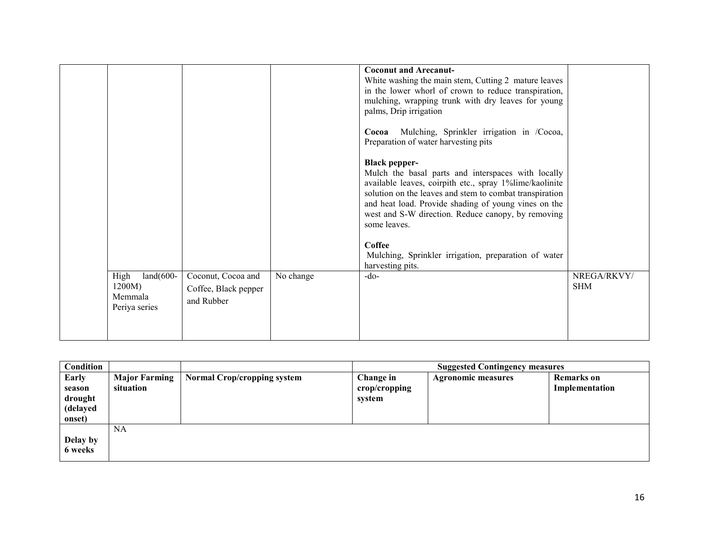|                                                           |                                                          |           | <b>Coconut and Arecanut-</b><br>White washing the main stem, Cutting 2 mature leaves<br>in the lower whorl of crown to reduce transpiration,<br>mulching, wrapping trunk with dry leaves for young<br>palms, Drip irrigation                                                                                                                    |                                                                                                            |
|-----------------------------------------------------------|----------------------------------------------------------|-----------|-------------------------------------------------------------------------------------------------------------------------------------------------------------------------------------------------------------------------------------------------------------------------------------------------------------------------------------------------|------------------------------------------------------------------------------------------------------------|
|                                                           |                                                          |           | Preparation of water harvesting pits                                                                                                                                                                                                                                                                                                            |                                                                                                            |
|                                                           |                                                          |           | <b>Black pepper-</b><br>Mulch the basal parts and interspaces with locally<br>available leaves, coirpith etc., spray 1%lime/kaolinite<br>solution on the leaves and stem to combat transpiration<br>and heat load. Provide shading of young vines on the<br>west and S-W direction. Reduce canopy, by removing<br>some leaves.<br><b>Coffee</b> |                                                                                                            |
|                                                           |                                                          |           | harvesting pits.                                                                                                                                                                                                                                                                                                                                |                                                                                                            |
| High<br>$land(600-$<br>1200M)<br>Memmala<br>Periya series | Coconut, Cocoa and<br>Coffee, Black pepper<br>and Rubber | No change | $-do-$                                                                                                                                                                                                                                                                                                                                          | NREGA/RKVY/<br><b>SHM</b>                                                                                  |
|                                                           |                                                          |           |                                                                                                                                                                                                                                                                                                                                                 | Mulching, Sprinkler irrigation in /Cocoa,<br>Cocoa<br>Mulching, Sprinkler irrigation, preparation of water |

| Condition |                      |                             |               | <b>Suggested Contingency measures</b> |                   |
|-----------|----------------------|-----------------------------|---------------|---------------------------------------|-------------------|
| Early     | <b>Major Farming</b> | Normal Crop/cropping system | Change in     | <b>Agronomic measures</b>             | <b>Remarks</b> on |
| season    | situation            |                             | crop/cropping |                                       | Implementation    |
| drought   |                      |                             | system        |                                       |                   |
| (delayed  |                      |                             |               |                                       |                   |
| onset)    |                      |                             |               |                                       |                   |
|           | <b>NA</b>            |                             |               |                                       |                   |
| Delay by  |                      |                             |               |                                       |                   |
| 6 weeks   |                      |                             |               |                                       |                   |
|           |                      |                             |               |                                       |                   |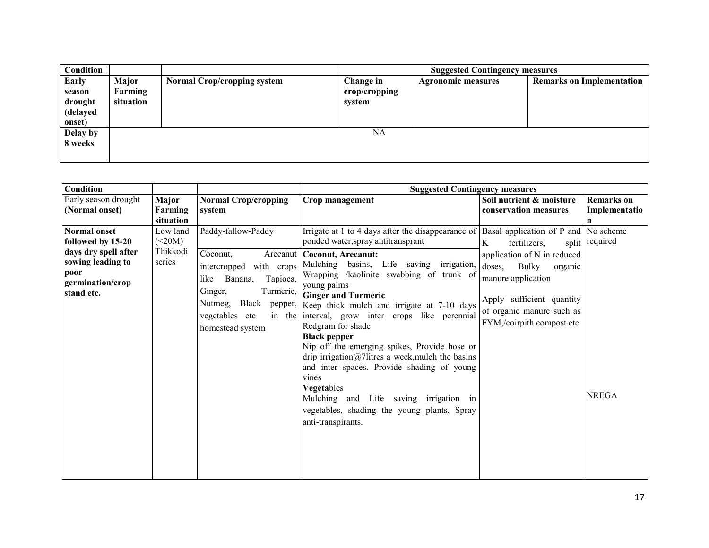| Condition                                        |                               |                                    |                                      | <b>Suggested Contingency measures</b> |                                  |
|--------------------------------------------------|-------------------------------|------------------------------------|--------------------------------------|---------------------------------------|----------------------------------|
| Early<br>season<br>drought<br>(delayed<br>onset) | Major<br>Farming<br>situation | <b>Normal Crop/cropping system</b> | Change in<br>crop/cropping<br>system | <b>Agronomic measures</b>             | <b>Remarks on Implementation</b> |
| Delay by<br>8 weeks                              |                               |                                    | NA                                   |                                       |                                  |

| Condition                                                                                                                       |                                          |                                                                                                                                                                                        | <b>Suggested Contingency measures</b>                                                                                                                                                                                                                                                                                                                                                                                                                                                                                                                                                                                                                                                             |                                                                                                                                                                                                                                     |                                         |
|---------------------------------------------------------------------------------------------------------------------------------|------------------------------------------|----------------------------------------------------------------------------------------------------------------------------------------------------------------------------------------|---------------------------------------------------------------------------------------------------------------------------------------------------------------------------------------------------------------------------------------------------------------------------------------------------------------------------------------------------------------------------------------------------------------------------------------------------------------------------------------------------------------------------------------------------------------------------------------------------------------------------------------------------------------------------------------------------|-------------------------------------------------------------------------------------------------------------------------------------------------------------------------------------------------------------------------------------|-----------------------------------------|
| Early season drought<br>(Normal onset)                                                                                          | Major<br>Farming<br>situation            | <b>Normal Crop/cropping</b><br>system                                                                                                                                                  | Crop management                                                                                                                                                                                                                                                                                                                                                                                                                                                                                                                                                                                                                                                                                   | Soil nutrient & moisture<br>conservation measures                                                                                                                                                                                   | <b>Remarks</b> on<br>Implementatio<br>n |
| <b>Normal onset</b><br>followed by 15-20<br>days dry spell after<br>sowing leading to<br>poor<br>germination/crop<br>stand etc. | Low land<br>(<20M)<br>Thikkodi<br>series | Paddy-fallow-Paddy<br>Coconut,<br>Arecanut<br>intercropped with crops<br>Banana,<br>Tapioca,<br>like<br>Ginger,<br>Turmeric,<br>Black<br>Nutmeg,<br>vegetables etc<br>homestead system | Irrigate at 1 to 4 days after the disappearance of<br>ponded water, spray antitransprant<br>Coconut, Arecanut:<br>Mulching basins, Life saving irrigation,<br>Wrapping /kaolinite swabbing of trunk of<br>young palms<br><b>Ginger and Turmeric</b><br>pepper, Keep thick mulch and irrigate at 7-10 days<br>in the interval, grow inter crops like perennial<br>Redgram for shade<br><b>Black pepper</b><br>Nip off the emerging spikes, Provide hose or<br>drip irrigation@7litres a week, mulch the basins<br>and inter spaces. Provide shading of young<br>vines<br>Vegetables<br>Mulching and Life saving irrigation in<br>vegetables, shading the young plants. Spray<br>anti-transpirants. | Basal application of P and No scheme<br>fertilizers,<br>K<br>application of N in reduced<br>doses,<br>Bulky<br>organic<br>manure application<br>Apply sufficient quantity<br>of organic manure such as<br>FYM,/coirpith compost etc | split required<br><b>NREGA</b>          |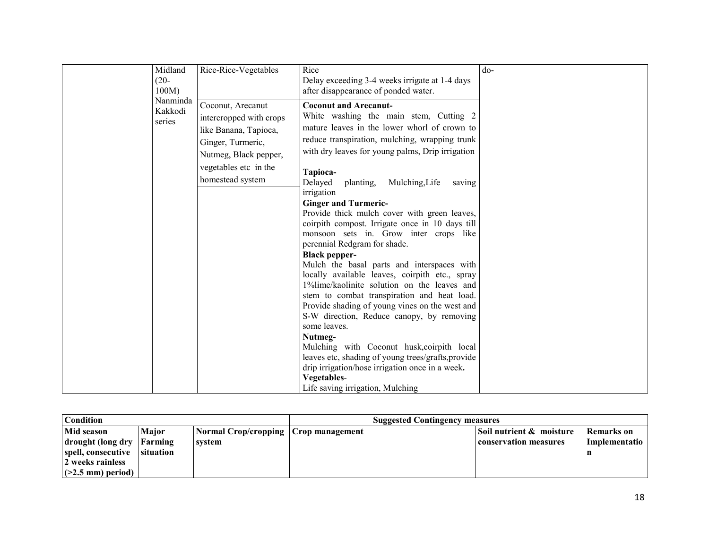| $(20 -$<br>Delay exceeding 3-4 weeks irrigate at 1-4 days<br>$100M$ )<br>after disappearance of ponded water.                                                                                                                                                                                                                                                                                                                                                                                                                                                                                                                                                                                                                                                                                                                                                                                                                                                                                                                                                                                                                                                                                                                                                                         |  |
|---------------------------------------------------------------------------------------------------------------------------------------------------------------------------------------------------------------------------------------------------------------------------------------------------------------------------------------------------------------------------------------------------------------------------------------------------------------------------------------------------------------------------------------------------------------------------------------------------------------------------------------------------------------------------------------------------------------------------------------------------------------------------------------------------------------------------------------------------------------------------------------------------------------------------------------------------------------------------------------------------------------------------------------------------------------------------------------------------------------------------------------------------------------------------------------------------------------------------------------------------------------------------------------|--|
| Nanminda<br>Coconut, Arecanut<br><b>Coconut and Arecanut-</b><br>Kakkodi<br>White washing the main stem, Cutting 2<br>intercropped with crops<br>series<br>mature leaves in the lower whorl of crown to<br>like Banana, Tapioca,<br>reduce transpiration, mulching, wrapping trunk<br>Ginger, Turmeric,<br>with dry leaves for young palms, Drip irrigation<br>Nutmeg, Black pepper,<br>vegetables etc in the<br>Tapioca-<br>homestead system<br>Delayed<br>Mulching, Life<br>planting,<br>saving<br>irrigation<br><b>Ginger and Turmeric-</b><br>Provide thick mulch cover with green leaves,<br>coirpith compost. Irrigate once in 10 days till<br>monsoon sets in. Grow inter crops like<br>perennial Redgram for shade.<br><b>Black pepper-</b><br>Mulch the basal parts and interspaces with<br>locally available leaves, coirpith etc., spray<br>1%lime/kaolinite solution on the leaves and<br>stem to combat transpiration and heat load.<br>Provide shading of young vines on the west and<br>S-W direction, Reduce canopy, by removing<br>some leaves.<br>Nutmeg-<br>Mulching with Coconut husk, coirpith local<br>leaves etc, shading of young trees/grafts, provide<br>drip irrigation/hose irrigation once in a week.<br>Vegetables-<br>Life saving irrigation, Mulching |  |

| <b>Condition</b>                        |                             |                                        | <b>Suggested Contingency measures</b> |  |                                       |                      |
|-----------------------------------------|-----------------------------|----------------------------------------|---------------------------------------|--|---------------------------------------|----------------------|
| <b>Mid season</b>                       | Maior                       | Normal Crop/cropping   Crop management |                                       |  | $\sf I$ Soil nutrient $\&\>$ moisture | <b>Remarks</b> on    |
| drought (long dry<br>spell, consecutive | Farming<br><b>Situation</b> | svstem                                 |                                       |  | conservation measures                 | <b>Implementatio</b> |
| 2 weeks rainless                        |                             |                                        |                                       |  |                                       |                      |
| $ $ (>2.5 mm) period)                   |                             |                                        |                                       |  |                                       |                      |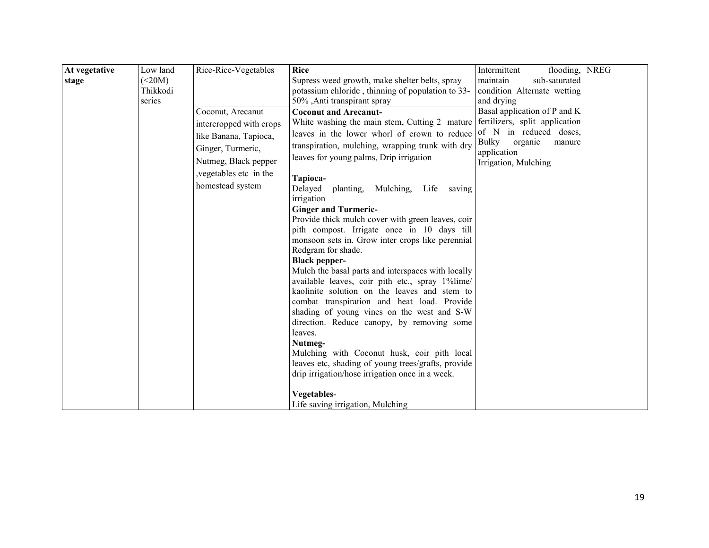| At vegetative | Low land | Rice-Rice-Vegetables    | <b>Rice</b>                                                                  | flooding, NREG<br>Intermittent    |  |
|---------------|----------|-------------------------|------------------------------------------------------------------------------|-----------------------------------|--|
| stage         | (<20M)   |                         | Supress weed growth, make shelter belts, spray                               | maintain<br>sub-saturated         |  |
|               | Thikkodi |                         | potassium chloride, thinning of population to 33-                            | condition Alternate wetting       |  |
|               | series   |                         | 50%, Anti transpirant spray                                                  | and drying                        |  |
|               |          | Coconut, Arecanut       | <b>Coconut and Arecanut-</b>                                                 | Basal application of P and K      |  |
|               |          | intercropped with crops | White washing the main stem, Cutting 2 mature fertilizers, split application |                                   |  |
|               |          | like Banana, Tapioca,   | leaves in the lower whorl of crown to reduce                                 | of N in reduced doses,            |  |
|               |          | Ginger, Turmeric,       | transpiration, mulching, wrapping trunk with dry                             | <b>Bulky</b><br>organic<br>manure |  |
|               |          |                         | leaves for young palms, Drip irrigation                                      | application                       |  |
|               |          | Nutmeg, Black pepper    |                                                                              | Irrigation, Mulching              |  |
|               |          | , vegetables etc in the | Tapioca-                                                                     |                                   |  |
|               |          | homestead system        | Delayed<br>Mulching,<br>Life<br>planting,<br>saving                          |                                   |  |
|               |          |                         | irrigation                                                                   |                                   |  |
|               |          |                         | <b>Ginger and Turmeric-</b>                                                  |                                   |  |
|               |          |                         | Provide thick mulch cover with green leaves, coir                            |                                   |  |
|               |          |                         | pith compost. Irrigate once in 10 days till                                  |                                   |  |
|               |          |                         | monsoon sets in. Grow inter crops like perennial                             |                                   |  |
|               |          |                         | Redgram for shade.                                                           |                                   |  |
|               |          |                         | <b>Black pepper-</b>                                                         |                                   |  |
|               |          |                         | Mulch the basal parts and interspaces with locally                           |                                   |  |
|               |          |                         | available leaves, coir pith etc., spray 1%lime/                              |                                   |  |
|               |          |                         | kaolinite solution on the leaves and stem to                                 |                                   |  |
|               |          |                         | combat transpiration and heat load. Provide                                  |                                   |  |
|               |          |                         | shading of young vines on the west and S-W                                   |                                   |  |
|               |          |                         | direction. Reduce canopy, by removing some                                   |                                   |  |
|               |          |                         | leaves.                                                                      |                                   |  |
|               |          |                         | Nutmeg-<br>Mulching with Coconut husk, coir pith local                       |                                   |  |
|               |          |                         | leaves etc, shading of young trees/grafts, provide                           |                                   |  |
|               |          |                         | drip irrigation/hose irrigation once in a week.                              |                                   |  |
|               |          |                         |                                                                              |                                   |  |
|               |          |                         | Vegetables-                                                                  |                                   |  |
|               |          |                         | Life saving irrigation, Mulching                                             |                                   |  |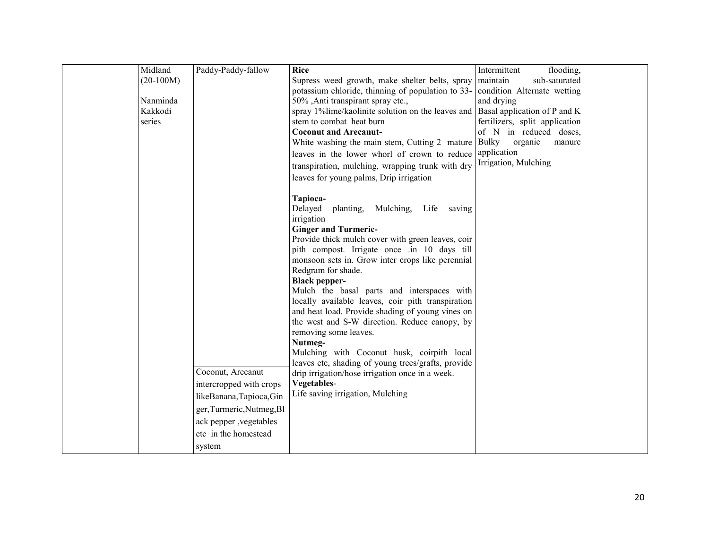| Midland     | Paddy-Paddy-fallow        | <b>Rice</b>                                                                                         | flooding,<br>Intermittent                                |  |
|-------------|---------------------------|-----------------------------------------------------------------------------------------------------|----------------------------------------------------------|--|
| $(20-100M)$ |                           | Supress weed growth, make shelter belts, spray<br>potassium chloride, thinning of population to 33- | maintain<br>sub-saturated<br>condition Alternate wetting |  |
| Nanminda    |                           | 50%, Anti transpirant spray etc.,                                                                   | and drying                                               |  |
| Kakkodi     |                           | spray 1% lime/kaolinite solution on the leaves and Basal application of P and K                     |                                                          |  |
| series      |                           | stem to combat heat burn                                                                            | fertilizers, split application                           |  |
|             |                           | <b>Coconut and Arecanut-</b>                                                                        | of N in reduced doses,                                   |  |
|             |                           | White washing the main stem, Cutting 2 mature Bulky                                                 | organic<br>manure                                        |  |
|             |                           | leaves in the lower whorl of crown to reduce application                                            |                                                          |  |
|             |                           | transpiration, mulching, wrapping trunk with dry                                                    | Irrigation, Mulching                                     |  |
|             |                           | leaves for young palms, Drip irrigation                                                             |                                                          |  |
|             |                           |                                                                                                     |                                                          |  |
|             |                           | Tapioca-                                                                                            |                                                          |  |
|             |                           | Delayed<br>planting,<br>Mulching,<br>Life<br>saving                                                 |                                                          |  |
|             |                           | irrigation                                                                                          |                                                          |  |
|             |                           | <b>Ginger and Turmeric-</b>                                                                         |                                                          |  |
|             |                           | Provide thick mulch cover with green leaves, coir<br>pith compost. Irrigate once .in 10 days till   |                                                          |  |
|             |                           | monsoon sets in. Grow inter crops like perennial                                                    |                                                          |  |
|             |                           | Redgram for shade.                                                                                  |                                                          |  |
|             |                           | <b>Black pepper-</b>                                                                                |                                                          |  |
|             |                           | Mulch the basal parts and interspaces with                                                          |                                                          |  |
|             |                           | locally available leaves, coir pith transpiration                                                   |                                                          |  |
|             |                           | and heat load. Provide shading of young vines on                                                    |                                                          |  |
|             |                           | the west and S-W direction. Reduce canopy, by                                                       |                                                          |  |
|             |                           | removing some leaves.                                                                               |                                                          |  |
|             |                           | Nutmeg-<br>Mulching with Coconut husk, coirpith local                                               |                                                          |  |
|             |                           | leaves etc, shading of young trees/grafts, provide                                                  |                                                          |  |
|             | Coconut, Arecanut         | drip irrigation/hose irrigation once in a week.                                                     |                                                          |  |
|             | intercropped with crops   | Vegetables-                                                                                         |                                                          |  |
|             | likeBanana,Tapioca,Gin    | Life saving irrigation, Mulching                                                                    |                                                          |  |
|             | ger, Turmeric, Nutmeg, Bl |                                                                                                     |                                                          |  |
|             | ack pepper , vegetables   |                                                                                                     |                                                          |  |
|             | etc in the homestead      |                                                                                                     |                                                          |  |
|             |                           |                                                                                                     |                                                          |  |
|             | system                    |                                                                                                     |                                                          |  |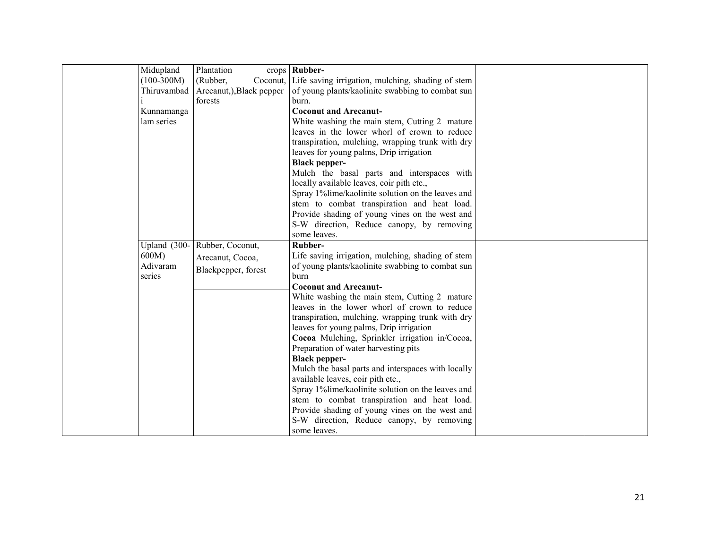| Midupland          | Plantation               | $crops$ Rubber-                                            |  |
|--------------------|--------------------------|------------------------------------------------------------|--|
| $(100-300M)$       | (Rubber,                 | Coconut, Life saving irrigation, mulching, shading of stem |  |
| Thiruvambad        | Arecanut,), Black pepper | of young plants/kaolinite swabbing to combat sun           |  |
|                    | forests                  | burn.                                                      |  |
| Kunnamanga         |                          | <b>Coconut and Arecanut-</b>                               |  |
| lam series         |                          | White washing the main stem, Cutting 2 mature              |  |
|                    |                          | leaves in the lower whorl of crown to reduce               |  |
|                    |                          | transpiration, mulching, wrapping trunk with dry           |  |
|                    |                          | leaves for young palms, Drip irrigation                    |  |
|                    |                          | <b>Black pepper-</b>                                       |  |
|                    |                          | Mulch the basal parts and interspaces with                 |  |
|                    |                          | locally available leaves, coir pith etc.,                  |  |
|                    |                          | Spray 1%lime/kaolinite solution on the leaves and          |  |
|                    |                          | stem to combat transpiration and heat load.                |  |
|                    |                          | Provide shading of young vines on the west and             |  |
|                    |                          | S-W direction, Reduce canopy, by removing                  |  |
|                    |                          | some leaves.                                               |  |
| Upland (300-       | Rubber, Coconut,         | Rubber-                                                    |  |
| 600M)              | Arecanut, Cocoa,         | Life saving irrigation, mulching, shading of stem          |  |
| Adivaram<br>series | Blackpepper, forest      | of young plants/kaolinite swabbing to combat sun<br>burn   |  |
|                    |                          | <b>Coconut and Arecanut-</b>                               |  |
|                    |                          | White washing the main stem, Cutting 2 mature              |  |
|                    |                          | leaves in the lower whorl of crown to reduce               |  |
|                    |                          | transpiration, mulching, wrapping trunk with dry           |  |
|                    |                          | leaves for young palms, Drip irrigation                    |  |
|                    |                          | Cocoa Mulching, Sprinkler irrigation in/Cocoa,             |  |
|                    |                          | Preparation of water harvesting pits                       |  |
|                    |                          | <b>Black pepper-</b>                                       |  |
|                    |                          | Mulch the basal parts and interspaces with locally         |  |
|                    |                          | available leaves, coir pith etc.,                          |  |
|                    |                          | Spray 1%lime/kaolinite solution on the leaves and          |  |
|                    |                          | stem to combat transpiration and heat load.                |  |
|                    |                          | Provide shading of young vines on the west and             |  |
|                    |                          | S-W direction, Reduce canopy, by removing                  |  |
|                    |                          | some leaves.                                               |  |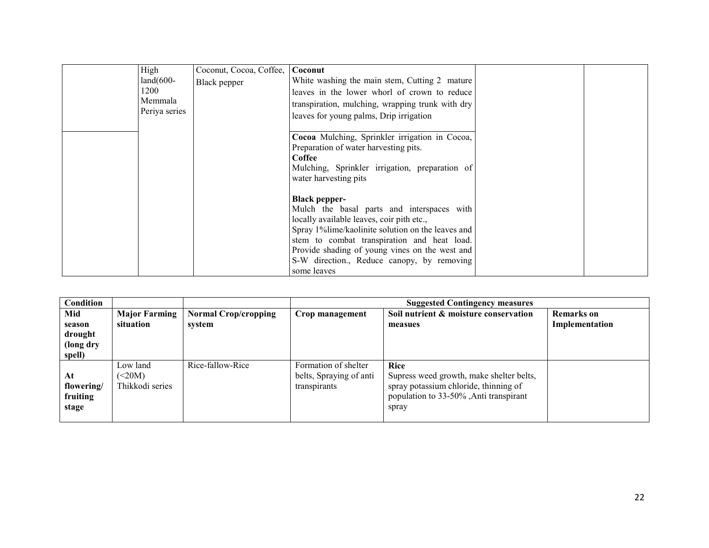| High          | Coconut, Cocoa, Coffee, | Coconut                                                                                 |  |
|---------------|-------------------------|-----------------------------------------------------------------------------------------|--|
| $land(600-$   | Black pepper            | White washing the main stem, Cutting 2 mature                                           |  |
| 1200          |                         | leaves in the lower whorl of crown to reduce                                            |  |
| Memmala       |                         | transpiration, mulching, wrapping trunk with dry                                        |  |
| Periya series |                         | leaves for young palms, Drip irrigation                                                 |  |
|               |                         |                                                                                         |  |
|               |                         | Cocoa Mulching, Sprinkler irrigation in Cocoa,                                          |  |
|               |                         | Preparation of water harvesting pits.                                                   |  |
|               |                         | Coffee                                                                                  |  |
|               |                         | Mulching, Sprinkler irrigation, preparation of                                          |  |
|               |                         | water harvesting pits                                                                   |  |
|               |                         |                                                                                         |  |
|               |                         | <b>Black pepper-</b>                                                                    |  |
|               |                         | Mulch the basal parts and interspaces with<br>locally available leaves, coir pith etc., |  |
|               |                         | Spray 1% lime/kaolinite solution on the leaves and                                      |  |
|               |                         | stem to combat transpiration and heat load.                                             |  |
|               |                         |                                                                                         |  |
|               |                         | Provide shading of young vines on the west and                                          |  |
|               |                         | S-W direction., Reduce canopy, by removing<br>some leaves                               |  |
|               |                         |                                                                                         |  |

| <b>Condition</b> |                      |                             | <b>Suggested Contingency measures</b> |                                          |                   |  |  |
|------------------|----------------------|-----------------------------|---------------------------------------|------------------------------------------|-------------------|--|--|
| Mid              | <b>Major Farming</b> | <b>Normal Crop/cropping</b> | Crop management                       | Soil nutrient & moisture conservation    | <b>Remarks</b> on |  |  |
| season           | situation            | system                      |                                       | measues                                  | Implementation    |  |  |
| drought          |                      |                             |                                       |                                          |                   |  |  |
| (long dry        |                      |                             |                                       |                                          |                   |  |  |
| spell)           |                      |                             |                                       |                                          |                   |  |  |
|                  | Low land             | Rice-fallow-Rice            | Formation of shelter                  | Rice                                     |                   |  |  |
| At               | (<20M)               |                             | belts, Spraying of anti               | Supress weed growth, make shelter belts, |                   |  |  |
| flowering/       | Thikkodi series      |                             | transpirants                          | spray potassium chloride, thinning of    |                   |  |  |
| fruiting         |                      |                             |                                       | population to 33-50%, Anti transpirant   |                   |  |  |
| stage            |                      |                             |                                       | spray                                    |                   |  |  |
|                  |                      |                             |                                       |                                          |                   |  |  |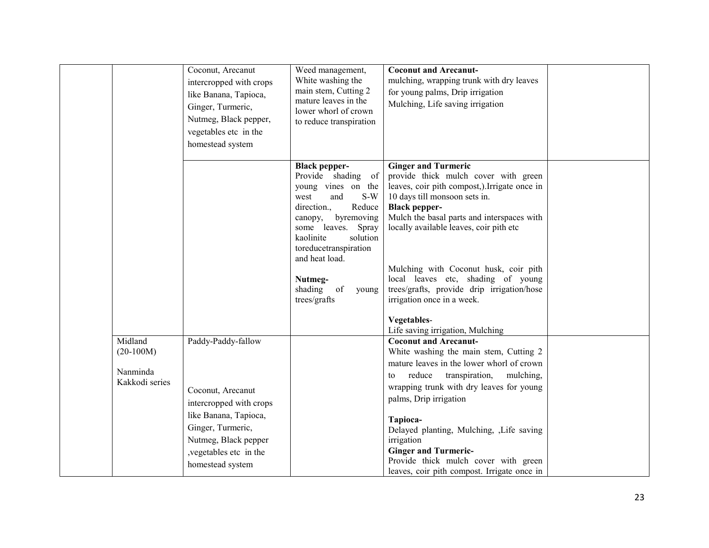|                                                      | Coconut, Arecanut<br>intercropped with crops<br>like Banana, Tapioca,<br>Ginger, Turmeric,<br>Nutmeg, Black pepper,<br>vegetables etc in the<br>homestead system                        | Weed management,<br>White washing the<br>main stem, Cutting 2<br>mature leaves in the<br>lower whorl of crown<br>to reduce transpiration                                                                                                                             | <b>Coconut and Arecanut-</b><br>mulching, wrapping trunk with dry leaves<br>for young palms, Drip irrigation<br>Mulching, Life saving irrigation                                                                                                                                                                                                                                                                                    |  |
|------------------------------------------------------|-----------------------------------------------------------------------------------------------------------------------------------------------------------------------------------------|----------------------------------------------------------------------------------------------------------------------------------------------------------------------------------------------------------------------------------------------------------------------|-------------------------------------------------------------------------------------------------------------------------------------------------------------------------------------------------------------------------------------------------------------------------------------------------------------------------------------------------------------------------------------------------------------------------------------|--|
|                                                      |                                                                                                                                                                                         | <b>Black pepper-</b><br>Provide shading of<br>young vines on the<br>west<br>S-W<br>and<br>direction.,<br>Reduce<br>canopy, byremoving<br>some leaves. Spray<br>kaolinite<br>solution<br>toreducetranspiration<br>and heat load.<br>Nutmeg-<br>shading<br>of<br>young | <b>Ginger and Turmeric</b><br>provide thick mulch cover with green<br>leaves, coir pith compost,).Irrigate once in<br>10 days till monsoon sets in.<br><b>Black pepper-</b><br>Mulch the basal parts and interspaces with<br>locally available leaves, coir pith etc<br>Mulching with Coconut husk, coir pith<br>local leaves etc, shading of young<br>trees/grafts, provide drip irrigation/hose                                   |  |
|                                                      |                                                                                                                                                                                         | trees/grafts                                                                                                                                                                                                                                                         | irrigation once in a week.<br>Vegetables-<br>Life saving irrigation, Mulching                                                                                                                                                                                                                                                                                                                                                       |  |
| Midland<br>$(20-100M)$<br>Nanminda<br>Kakkodi series | Paddy-Paddy-fallow<br>Coconut, Arecanut<br>intercropped with crops<br>like Banana, Tapioca,<br>Ginger, Turmeric,<br>Nutmeg, Black pepper<br>, vegetables etc in the<br>homestead system |                                                                                                                                                                                                                                                                      | <b>Coconut and Arecanut-</b><br>White washing the main stem, Cutting 2<br>mature leaves in the lower whorl of crown<br>transpiration,<br>mulching,<br>reduce<br>to<br>wrapping trunk with dry leaves for young<br>palms, Drip irrigation<br>Tapioca-<br>Delayed planting, Mulching, Life saving<br>irrigation<br><b>Ginger and Turmeric-</b><br>Provide thick mulch cover with green<br>leaves, coir pith compost. Irrigate once in |  |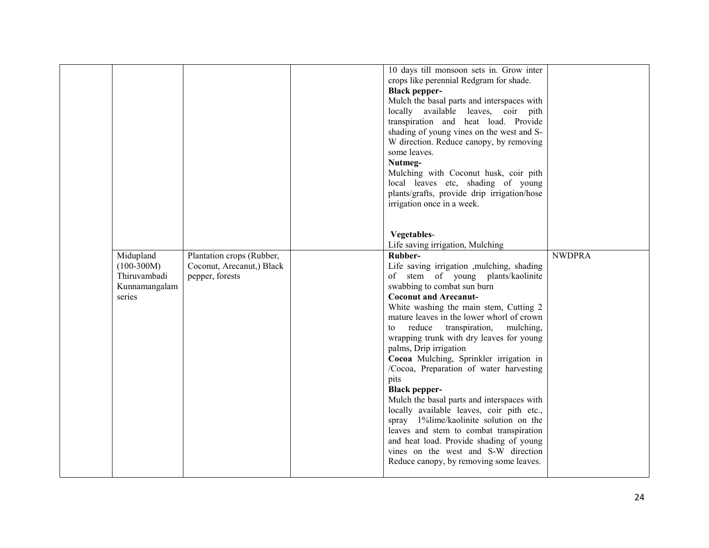|                                                         |                                              | 10 days till monsoon sets in. Grow inter<br>crops like perennial Redgram for shade.<br><b>Black pepper-</b><br>Mulch the basal parts and interspaces with<br>locally available leaves, coir pith<br>transpiration and heat load. Provide<br>shading of young vines on the west and S-<br>W direction. Reduce canopy, by removing<br>some leaves.<br>Nutmeg-<br>Mulching with Coconut husk, coir pith<br>local leaves etc, shading of young<br>plants/grafts, provide drip irrigation/hose<br>irrigation once in a week.                                                                                                                                                                                                                                                                   |               |
|---------------------------------------------------------|----------------------------------------------|-------------------------------------------------------------------------------------------------------------------------------------------------------------------------------------------------------------------------------------------------------------------------------------------------------------------------------------------------------------------------------------------------------------------------------------------------------------------------------------------------------------------------------------------------------------------------------------------------------------------------------------------------------------------------------------------------------------------------------------------------------------------------------------------|---------------|
| Midupland                                               | Plantation crops (Rubber,                    | Vegetables-<br>Life saving irrigation, Mulching<br>Rubber-                                                                                                                                                                                                                                                                                                                                                                                                                                                                                                                                                                                                                                                                                                                                | <b>NWDPRA</b> |
| $(100-300M)$<br>Thiruvambadi<br>Kunnamangalam<br>series | Coconut, Arecanut,) Black<br>pepper, forests | Life saving irrigation ,mulching, shading<br>of stem of young plants/kaolinite<br>swabbing to combat sun burn<br><b>Coconut and Arecanut-</b><br>White washing the main stem, Cutting 2<br>mature leaves in the lower whorl of crown<br>to reduce<br>transpiration,<br>mulching,<br>wrapping trunk with dry leaves for young<br>palms, Drip irrigation<br>Cocoa Mulching, Sprinkler irrigation in<br>/Cocoa, Preparation of water harvesting<br>pits<br><b>Black pepper-</b><br>Mulch the basal parts and interspaces with<br>locally available leaves, coir pith etc.,<br>spray 1%lime/kaolinite solution on the<br>leaves and stem to combat transpiration<br>and heat load. Provide shading of young<br>vines on the west and S-W direction<br>Reduce canopy, by removing some leaves. |               |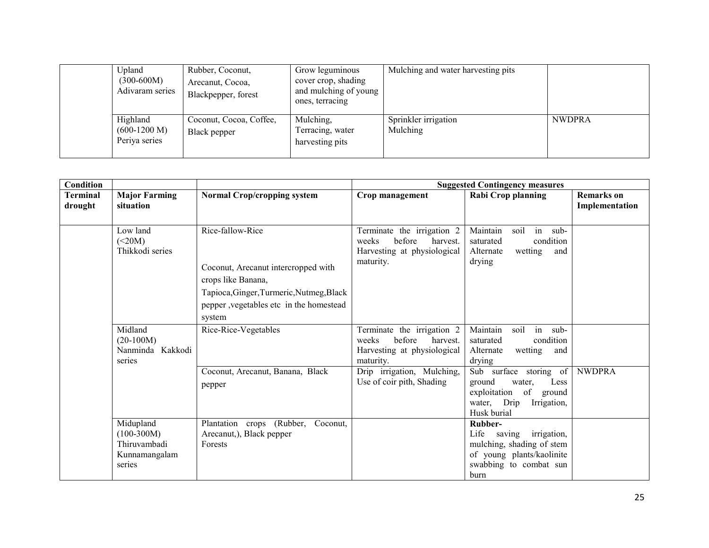|  | Upland<br>$(300-600M)$<br>Adivaram series   | Rubber, Coconut,<br>Arecanut, Cocoa,<br>Blackpepper, forest | Grow leguminous<br>cover crop, shading<br>and mulching of young<br>ones, terracing | Mulching and water harvesting pits |               |
|--|---------------------------------------------|-------------------------------------------------------------|------------------------------------------------------------------------------------|------------------------------------|---------------|
|  | Highland<br>$(600-1200 M)$<br>Periya series | Coconut, Cocoa, Coffee,<br>Black pepper                     | Mulching,<br>Terracing, water<br>harvesting pits                                   | Sprinkler irrigation<br>Mulching   | <b>NWDPRA</b> |

| Condition           |                                                                      |                                                                                                                                                                                 | <b>Suggested Contingency measures</b>                                                                                               |                                                                                                                                             |                                     |
|---------------------|----------------------------------------------------------------------|---------------------------------------------------------------------------------------------------------------------------------------------------------------------------------|-------------------------------------------------------------------------------------------------------------------------------------|---------------------------------------------------------------------------------------------------------------------------------------------|-------------------------------------|
| Terminal<br>drought | <b>Major Farming</b><br>situation                                    | <b>Normal Crop/cropping system</b>                                                                                                                                              | Crop management                                                                                                                     | <b>Rabi Crop planning</b>                                                                                                                   | <b>Remarks</b> on<br>Implementation |
|                     | Low land<br>(<20M)<br>Thikkodi series                                | Rice-fallow-Rice<br>Coconut, Arecanut intercropped with<br>crops like Banana,<br>Tapioca, Ginger, Turmeric, Nutmeg, Black<br>pepper , vegetables etc in the homestead<br>system | Terminate the irrigation 2<br>before<br>weeks<br>harvest.<br>Harvesting at physiological<br>maturity.                               | in sub-<br>Maintain<br>soil<br>saturated<br>condition<br>wetting<br>Alternate<br>and<br>drying                                              |                                     |
|                     | Midland<br>$(20-100M)$<br>Nanminda Kakkodi<br>series                 | Rice-Rice-Vegetables<br>Coconut, Arecanut, Banana, Black                                                                                                                        | Terminate the irrigation 2<br>before<br>weeks<br>harvest.<br>Harvesting at physiological<br>maturity.<br>Drip irrigation, Mulching, | Maintain<br>in sub-<br>soil<br>condition<br>saturated<br>Alternate<br>wetting<br>and<br>drying<br>Sub surface storing of                    | <b>NWDPRA</b>                       |
|                     |                                                                      | pepper                                                                                                                                                                          | Use of coir pith, Shading                                                                                                           | ground<br>Less<br>water,<br>of<br>exploitation<br>ground<br>water, Drip<br>Irrigation,<br>Husk burial                                       |                                     |
|                     | Midupland<br>$(100-300M)$<br>Thiruvambadi<br>Kunnamangalam<br>series | Plantation crops (Rubber,<br>Coconut,<br>Arecanut,), Black pepper<br>Forests                                                                                                    |                                                                                                                                     | Rubber-<br>Life<br><i>irrigation,</i><br>saving<br>mulching, shading of stem<br>of young plants/kaolinite<br>swabbing to combat sun<br>burn |                                     |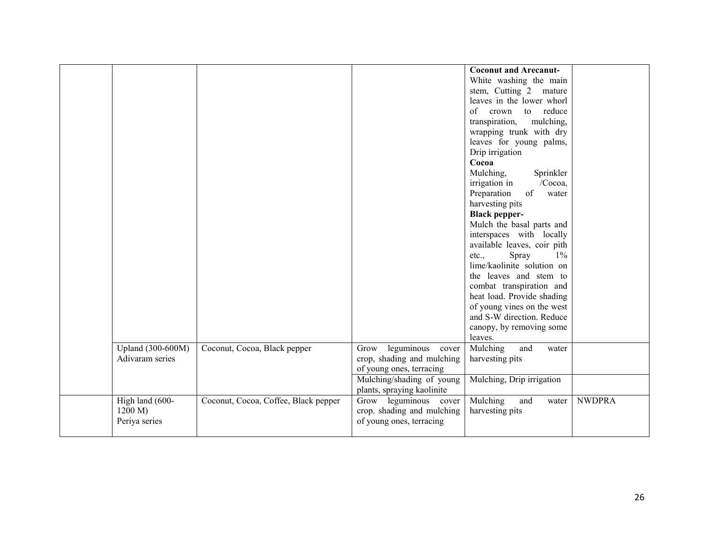|                   |                                      |                            | <b>Coconut and Arecanut-</b> |               |
|-------------------|--------------------------------------|----------------------------|------------------------------|---------------|
|                   |                                      |                            | White washing the main       |               |
|                   |                                      |                            | stem, Cutting 2 mature       |               |
|                   |                                      |                            | leaves in the lower whorl    |               |
|                   |                                      |                            | of crown to reduce           |               |
|                   |                                      |                            | transpiration,<br>mulching,  |               |
|                   |                                      |                            | wrapping trunk with dry      |               |
|                   |                                      |                            | leaves for young palms,      |               |
|                   |                                      |                            | Drip irrigation              |               |
|                   |                                      |                            | Cocoa                        |               |
|                   |                                      |                            | Mulching,<br>Sprinkler       |               |
|                   |                                      |                            | irrigation in<br>/Cocoa,     |               |
|                   |                                      |                            | of<br>Preparation<br>water   |               |
|                   |                                      |                            | harvesting pits              |               |
|                   |                                      |                            | <b>Black pepper-</b>         |               |
|                   |                                      |                            | Mulch the basal parts and    |               |
|                   |                                      |                            | interspaces with locally     |               |
|                   |                                      |                            | available leaves, coir pith  |               |
|                   |                                      |                            | Spray<br>$1\%$<br>etc.,      |               |
|                   |                                      |                            | lime/kaolinite solution on   |               |
|                   |                                      |                            | the leaves and stem to       |               |
|                   |                                      |                            | combat transpiration and     |               |
|                   |                                      |                            | heat load. Provide shading   |               |
|                   |                                      |                            | of young vines on the west   |               |
|                   |                                      |                            | and S-W direction. Reduce    |               |
|                   |                                      |                            | canopy, by removing some     |               |
|                   |                                      |                            | leaves.                      |               |
| Upland (300-600M) | Coconut, Cocoa, Black pepper         | leguminous cover<br>Grow   | Mulching<br>and<br>water     |               |
| Adivaram series   |                                      | crop, shading and mulching | harvesting pits              |               |
|                   |                                      | of young ones, terracing   |                              |               |
|                   |                                      | Mulching/shading of young  | Mulching, Drip irrigation    |               |
|                   |                                      | plants, spraying kaolinite |                              |               |
| High land (600-   | Coconut, Cocoa, Coffee, Black pepper | Grow leguminous cover      | Mulching<br>and<br>water     | <b>NWDPRA</b> |
| 1200 M            |                                      | crop. shading and mulching | harvesting pits              |               |
| Periya series     |                                      | of young ones, terracing   |                              |               |
|                   |                                      |                            |                              |               |
|                   |                                      |                            |                              |               |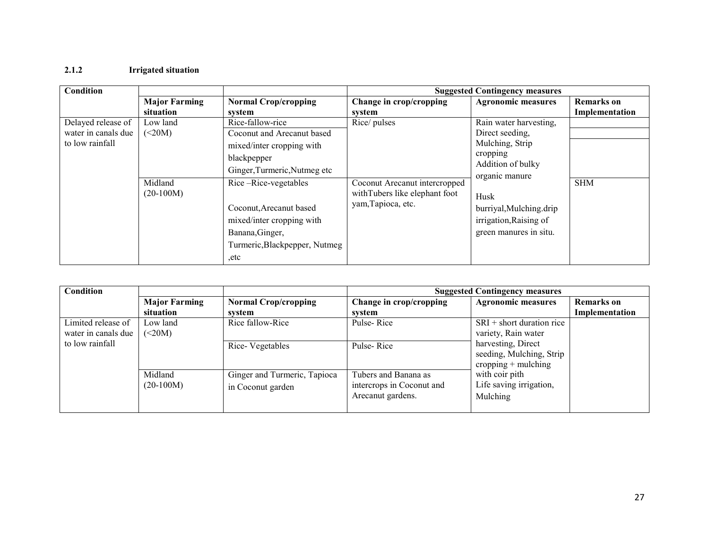#### 2.1.2 Irrigated situation

| Condition                                                    |                                              |                                                                                                                                                                                                                                                                |                                                                                                      | <b>Suggested Contingency measures</b>                                                                                                                                                                  |                                     |
|--------------------------------------------------------------|----------------------------------------------|----------------------------------------------------------------------------------------------------------------------------------------------------------------------------------------------------------------------------------------------------------------|------------------------------------------------------------------------------------------------------|--------------------------------------------------------------------------------------------------------------------------------------------------------------------------------------------------------|-------------------------------------|
|                                                              | <b>Major Farming</b><br>situation            | <b>Normal Crop/cropping</b><br>system                                                                                                                                                                                                                          | Change in crop/cropping<br>system                                                                    | <b>Agronomic measures</b>                                                                                                                                                                              | <b>Remarks</b> on<br>Implementation |
| Delayed release of<br>water in canals due<br>to low rainfall | Low land<br>(<20M)<br>Midland<br>$(20-100M)$ | Rice-fallow-rice<br>Coconut and Arecanut based<br>mixed/inter cropping with<br>blackpepper<br>Ginger, Turmeric, Nutmeg etc<br>Rice-Nice-vegetables<br>Coconut, Arecanut based<br>mixed/inter cropping with<br>Banana, Ginger,<br>Turmeric, Blackpepper, Nutmeg | Rice/ pulses<br>Coconut Arecanut intercropped<br>withTubers like elephant foot<br>yam, Tapioca, etc. | Rain water harvesting,<br>Direct seeding,<br>Mulching, Strip<br>cropping<br>Addition of bulky<br>organic manure<br>Husk<br>burriyal, Mulching.drip<br>irrigation, Raising of<br>green manures in situ. | <b>SHM</b>                          |
|                                                              |                                              | etc                                                                                                                                                                                                                                                            |                                                                                                      |                                                                                                                                                                                                        |                                     |

| Condition                              |                      |                              | <b>Suggested Contingency measures</b> |                           |                   |
|----------------------------------------|----------------------|------------------------------|---------------------------------------|---------------------------|-------------------|
|                                        | <b>Major Farming</b> | <b>Normal Crop/cropping</b>  | Change in crop/cropping               | <b>Agronomic measures</b> | <b>Remarks</b> on |
|                                        | situation            | system                       | system                                |                           | Implementation    |
| Limited release of                     | Low land             | Rice fallow-Rice             | Pulse-Rice                            | $SRI + short duration$    |                   |
| water in canals due<br>to low rainfall | (<20M)               |                              |                                       | variety, Rain water       |                   |
|                                        |                      | Rice-Vegetables              | Pulse-Rice                            | harvesting, Direct        |                   |
|                                        |                      |                              |                                       | seeding, Mulching, Strip  |                   |
|                                        |                      |                              |                                       | cropping $+$ mulching     |                   |
|                                        | Midland              | Ginger and Turmeric, Tapioca | Tubers and Banana as                  | with coir pith            |                   |
|                                        | $(20-100M)$          | in Coconut garden            | intercrops in Coconut and             | Life saving irrigation,   |                   |
|                                        |                      |                              | Arecanut gardens.                     | Mulching                  |                   |
|                                        |                      |                              |                                       |                           |                   |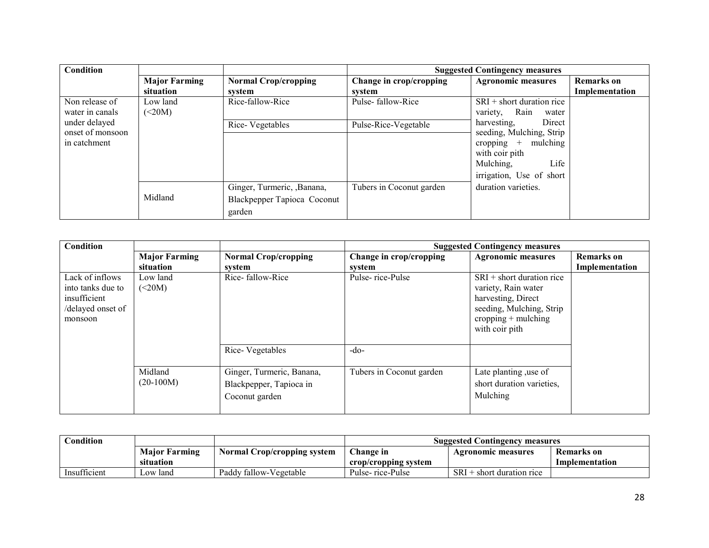| <b>Condition</b> |                      |                             | <b>Suggested Contingency measures</b> |                           |                   |
|------------------|----------------------|-----------------------------|---------------------------------------|---------------------------|-------------------|
|                  | <b>Major Farming</b> | <b>Normal Crop/cropping</b> | Change in crop/cropping               | <b>Agronomic measures</b> | <b>Remarks</b> on |
|                  | situation            | system                      | system                                |                           | Implementation    |
| Non release of   | Low land             | Rice-fallow-Rice            | Pulse-fallow-Rice                     | $SRI + short duration$    |                   |
| water in canals  | (<20M)               |                             |                                       | Rain<br>variety,<br>water |                   |
| under delayed    |                      | Rice-Vegetables             | Pulse-Rice-Vegetable                  | harvesting.<br>Direct     |                   |
| onset of monsoon |                      |                             |                                       | seeding, Mulching, Strip  |                   |
| in catchment     |                      |                             |                                       | mulching<br>cropping $+$  |                   |
|                  |                      |                             |                                       | with coir pith            |                   |
|                  |                      |                             |                                       | Mulching,<br>Life         |                   |
|                  |                      |                             |                                       | irrigation, Use of short  |                   |
|                  |                      | Ginger, Turmeric, , Banana, | Tubers in Coconut garden              | duration varieties.       |                   |
|                  | Midland              | Blackpepper Tapioca Coconut |                                       |                           |                   |
|                  |                      | garden                      |                                       |                           |                   |

| Condition                                                                            |                      |                                              | <b>Suggested Contingency measures</b> |                                                                                                                                                 |                   |
|--------------------------------------------------------------------------------------|----------------------|----------------------------------------------|---------------------------------------|-------------------------------------------------------------------------------------------------------------------------------------------------|-------------------|
|                                                                                      | <b>Major Farming</b> | <b>Normal Crop/cropping</b>                  | Change in crop/cropping               | <b>Agronomic measures</b>                                                                                                                       | <b>Remarks</b> on |
|                                                                                      | situation            | system                                       | system                                |                                                                                                                                                 | Implementation    |
| Lack of inflows<br>into tanks due to<br>insufficient<br>/delayed onset of<br>monsoon | Low land<br>(<20M)   | Rice-fallow-Rice                             | Pulse-rice-Pulse                      | $SRI + short duration$ rice<br>variety, Rain water<br>harvesting, Direct<br>seeding, Mulching, Strip<br>cropping $+$ mulching<br>with coir pith |                   |
|                                                                                      | Midland              | Rice-Vegetables<br>Ginger, Turmeric, Banana, | $-do-$<br>Tubers in Coconut garden    | Late planting, use of                                                                                                                           |                   |
|                                                                                      | $(20-100M)$          | Blackpepper, Tapioca in<br>Coconut garden    |                                       | short duration varieties.<br>Mulching                                                                                                           |                   |

| Condition    |                      |                                    | Suggested Contingency measures |                           |                |
|--------------|----------------------|------------------------------------|--------------------------------|---------------------------|----------------|
|              | <b>Major Farming</b> | <b>Normal Crop/cropping system</b> | Change in                      | <b>Agronomic measures</b> | Remarks on     |
|              | situation            |                                    | crop/cropping system           |                           | Implementation |
| Insufficient | Low land             | Paddy fallow-Vegetable             | Pulse- rice-Pulse              | $SRI + short duration$    |                |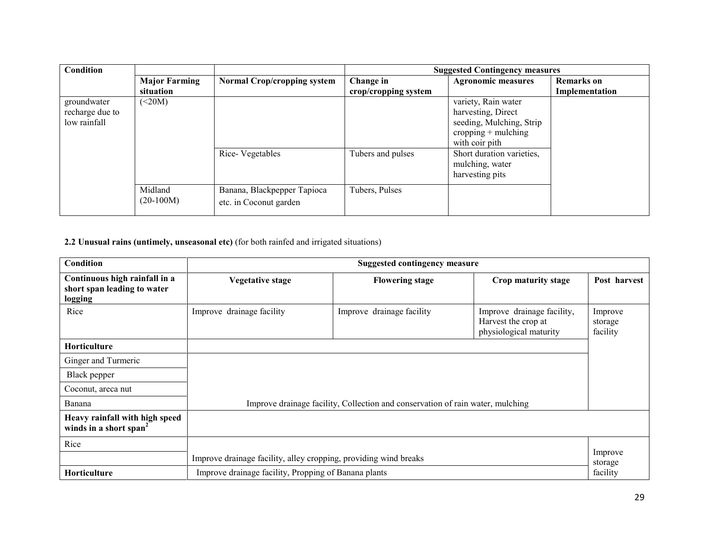| <b>Condition</b>                               |                        |                                                       | <b>Suggested Contingency measures</b> |                                                                                                                                                 |                   |
|------------------------------------------------|------------------------|-------------------------------------------------------|---------------------------------------|-------------------------------------------------------------------------------------------------------------------------------------------------|-------------------|
|                                                | <b>Major Farming</b>   | <b>Normal Crop/cropping system</b>                    | Change in                             | <b>Agronomic measures</b>                                                                                                                       | <b>Remarks</b> on |
|                                                | situation              |                                                       | crop/cropping system                  |                                                                                                                                                 | Implementation    |
| groundwater<br>recharge due to<br>low rainfall | $\leq$ 20M)            | Rice-Vegetables                                       | Tubers and pulses                     | variety, Rain water<br>harvesting, Direct<br>seeding, Mulching, Strip<br>$cropping + multipling$<br>with coir pith<br>Short duration varieties, |                   |
|                                                | Midland<br>$(20-100M)$ | Banana, Blackpepper Tapioca<br>etc. in Coconut garden | Tubers, Pulses                        | mulching, water<br>harvesting pits                                                                                                              |                   |

2.2 Unusual rains (untimely, unseasonal etc) (for both rainfed and irrigated situations)

| Condition                                                               | <b>Suggested contingency measure</b>                                           |                           |                                                                             |                                |
|-------------------------------------------------------------------------|--------------------------------------------------------------------------------|---------------------------|-----------------------------------------------------------------------------|--------------------------------|
| Continuous high rainfall in a<br>short span leading to water<br>logging | <b>Vegetative stage</b>                                                        | <b>Flowering stage</b>    | Crop maturity stage                                                         | Post harvest                   |
| Rice                                                                    | Improve drainage facility                                                      | Improve drainage facility | Improve drainage facility,<br>Harvest the crop at<br>physiological maturity | Improve<br>storage<br>facility |
| Horticulture                                                            |                                                                                |                           |                                                                             |                                |
| Ginger and Turmeric                                                     |                                                                                |                           |                                                                             |                                |
| Black pepper                                                            |                                                                                |                           |                                                                             |                                |
| Coconut, areca nut                                                      |                                                                                |                           |                                                                             |                                |
| Banana                                                                  | Improve drainage facility, Collection and conservation of rain water, mulching |                           |                                                                             |                                |
| Heavy rainfall with high speed<br>winds in a short span <sup>2</sup>    |                                                                                |                           |                                                                             |                                |
| Rice                                                                    |                                                                                |                           |                                                                             |                                |
|                                                                         | Improve drainage facility, alley cropping, providing wind breaks               |                           | Improve<br>storage                                                          |                                |
| Horticulture                                                            | Improve drainage facility, Propping of Banana plants                           |                           |                                                                             | facility                       |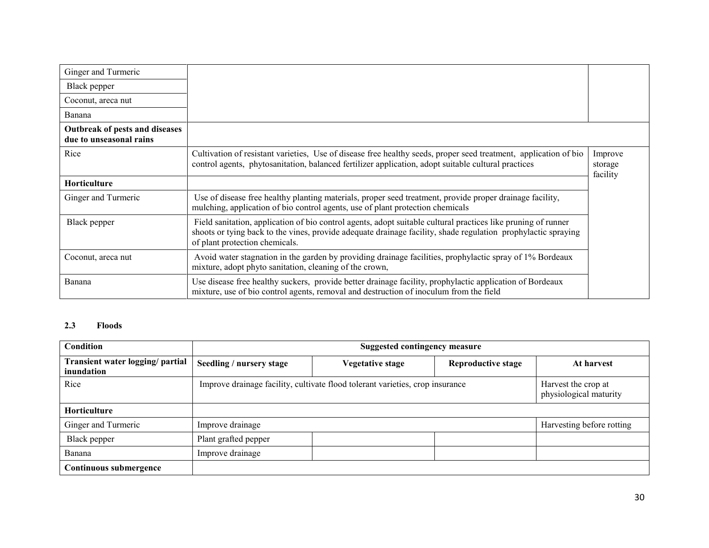| Ginger and Turmeric                                       |                                                                                                                                                                                                                                                                  |                                |
|-----------------------------------------------------------|------------------------------------------------------------------------------------------------------------------------------------------------------------------------------------------------------------------------------------------------------------------|--------------------------------|
| Black pepper                                              |                                                                                                                                                                                                                                                                  |                                |
| Coconut, areca nut                                        |                                                                                                                                                                                                                                                                  |                                |
| Banana                                                    |                                                                                                                                                                                                                                                                  |                                |
| Outbreak of pests and diseases<br>due to unseasonal rains |                                                                                                                                                                                                                                                                  |                                |
| Rice                                                      | Cultivation of resistant varieties, Use of disease free healthy seeds, proper seed treatment, application of bio<br>control agents, phytosanitation, balanced fertilizer application, adopt suitable cultural practices                                          | Improve<br>storage<br>facility |
| Horticulture                                              |                                                                                                                                                                                                                                                                  |                                |
| Ginger and Turmeric                                       | Use of disease free healthy planting materials, proper seed treatment, provide proper drainage facility,<br>mulching, application of bio control agents, use of plant protection chemicals                                                                       |                                |
| Black pepper                                              | Field sanitation, application of bio control agents, adopt suitable cultural practices like pruning of runner<br>shoots or tying back to the vines, provide adequate drainage facility, shade regulation prophylactic spraying<br>of plant protection chemicals. |                                |
| Coconut, areca nut                                        | Avoid water stagnation in the garden by providing drainage facilities, prophylactic spray of 1% Bordeaux<br>mixture, adopt phyto sanitation, cleaning of the crown,                                                                                              |                                |
| Banana                                                    | Use disease free healthy suckers, provide better drainage facility, prophylactic application of Bordeaux<br>mixture, use of bio control agents, removal and destruction of inoculum from the field                                                               |                                |

## 2.3 Floods

| Condition                                      |                                                                               | <b>Suggested contingency measure</b> |                           |                                               |  |  |
|------------------------------------------------|-------------------------------------------------------------------------------|--------------------------------------|---------------------------|-----------------------------------------------|--|--|
| Transient water logging/ partial<br>inundation | Seedling / nursery stage                                                      | <b>Vegetative stage</b>              | <b>Reproductive stage</b> | At harvest                                    |  |  |
| Rice                                           | Improve drainage facility, cultivate flood tolerant varieties, crop insurance |                                      |                           | Harvest the crop at<br>physiological maturity |  |  |
| <b>Horticulture</b>                            |                                                                               |                                      |                           |                                               |  |  |
| Ginger and Turmeric                            | Improve drainage                                                              |                                      |                           | Harvesting before rotting                     |  |  |
| Black pepper                                   | Plant grafted pepper                                                          |                                      |                           |                                               |  |  |
| Banana                                         | Improve drainage                                                              |                                      |                           |                                               |  |  |
| Continuous submergence                         |                                                                               |                                      |                           |                                               |  |  |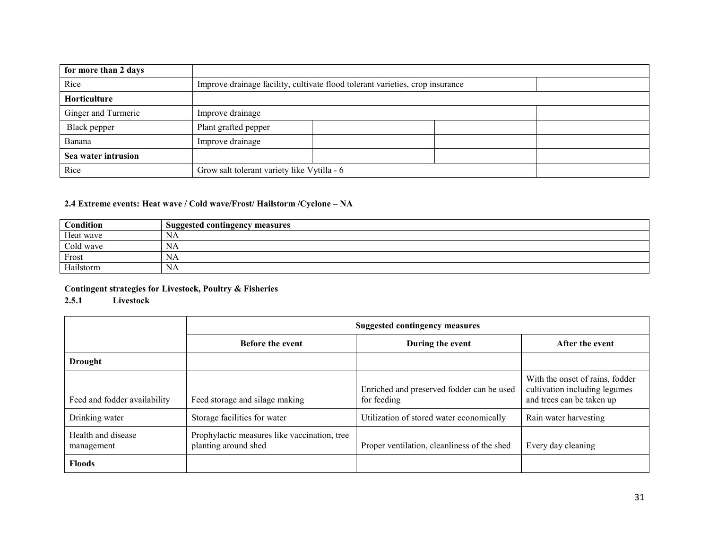| for more than 2 days |                                                                               |  |
|----------------------|-------------------------------------------------------------------------------|--|
| Rice                 | Improve drainage facility, cultivate flood tolerant varieties, crop insurance |  |
| Horticulture         |                                                                               |  |
| Ginger and Turmeric  | Improve drainage                                                              |  |
| Black pepper         | Plant grafted pepper                                                          |  |
| Banana               | Improve drainage                                                              |  |
| Sea water intrusion  |                                                                               |  |
| Rice                 | Grow salt tolerant variety like Vytilla - 6                                   |  |

## 2.4 Extreme events: Heat wave / Cold wave/Frost/ Hailstorm /Cyclone – NA

| Condition | <b>Suggested contingency measures</b> |
|-----------|---------------------------------------|
| Heat wave | ΝA                                    |
| Cold wave | INA.                                  |
| Frost     | ΙNΑ                                   |
| Hailstorm | NA                                    |

## Contingent strategies for Livestock, Poultry & Fisheries

### 2.5.1 Livestock

|                                  |                                                                      | <b>Suggested contingency measures</b>                    |                                                                                               |  |
|----------------------------------|----------------------------------------------------------------------|----------------------------------------------------------|-----------------------------------------------------------------------------------------------|--|
|                                  | <b>Before the event</b>                                              | During the event                                         | After the event                                                                               |  |
| Drought                          |                                                                      |                                                          |                                                                                               |  |
| Feed and fodder availability     | Feed storage and silage making                                       | Enriched and preserved fodder can be used<br>for feeding | With the onset of rains, fodder<br>cultivation including legumes<br>and trees can be taken up |  |
| Drinking water                   | Storage facilities for water                                         | Utilization of stored water economically                 | Rain water harvesting                                                                         |  |
| Health and disease<br>management | Prophylactic measures like vaccination, tree<br>planting around shed | Proper ventilation, cleanliness of the shed              | Every day cleaning                                                                            |  |
| <b>Floods</b>                    |                                                                      |                                                          |                                                                                               |  |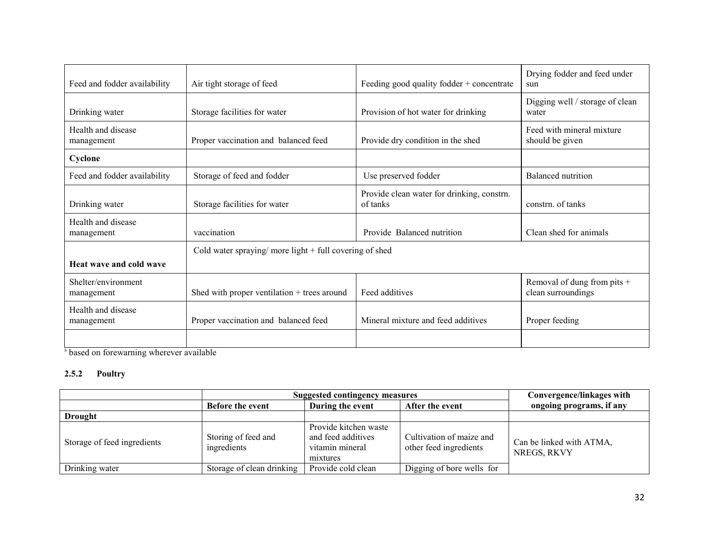|                              |                                                           |                                            | Drying fodder and feed under    |  |  |
|------------------------------|-----------------------------------------------------------|--------------------------------------------|---------------------------------|--|--|
| Feed and fodder availability | Air tight storage of feed                                 | Feeding good quality fodder + concentrate  | sun                             |  |  |
|                              |                                                           |                                            | Digging well / storage of clean |  |  |
| Drinking water               | Storage facilities for water                              | Provision of hot water for drinking        | water                           |  |  |
| Health and disease           |                                                           |                                            | Feed with mineral mixture       |  |  |
| management                   | Proper vaccination and balanced feed                      | Provide dry condition in the shed          | should be given                 |  |  |
| Cyclone                      |                                                           |                                            |                                 |  |  |
| Feed and fodder availability | Storage of feed and fodder                                | Use preserved fodder                       | Balanced nutrition              |  |  |
|                              |                                                           | Provide clean water for drinking, constrn. |                                 |  |  |
| Drinking water               | Storage facilities for water                              | of tanks                                   | constrn. of tanks               |  |  |
| Health and disease           |                                                           |                                            |                                 |  |  |
| management                   | vaccination                                               | Provide Balanced nutrition                 | Clean shed for animals          |  |  |
|                              | Cold water spraying/ more light $+$ full covering of shed |                                            |                                 |  |  |
| Heat wave and cold wave      |                                                           |                                            |                                 |  |  |
| Shelter/environment          |                                                           |                                            | Removal of dung from pits +     |  |  |
| management                   | Shed with proper ventilation + trees around               | Feed additives                             | clean surroundings              |  |  |
| Health and disease           |                                                           |                                            |                                 |  |  |
| management                   | Proper vaccination and balanced feed                      | Mineral mixture and feed additives         | Proper feeding                  |  |  |
|                              |                                                           |                                            |                                 |  |  |
|                              |                                                           |                                            |                                 |  |  |

<sup>s</sup> based on forewarning wherever available

## 2.5.2 Poultry

|                             | <b>Suggested contingency measures</b> | Convergence/linkages with                                                  |                                                    |                                         |
|-----------------------------|---------------------------------------|----------------------------------------------------------------------------|----------------------------------------------------|-----------------------------------------|
|                             | <b>Before the event</b>               | During the event                                                           | After the event                                    | ongoing programs, if any                |
| <b>Drought</b>              |                                       |                                                                            |                                                    |                                         |
| Storage of feed ingredients | Storing of feed and<br>ingredients    | Provide kitchen waste<br>and feed additives<br>vitamin mineral<br>mixtures | Cultivation of maize and<br>other feed ingredients | Can be linked with ATMA,<br>NREGS, RKVY |
| Drinking water              | Storage of clean drinking             | Provide cold clean                                                         | Digging of bore wells for                          |                                         |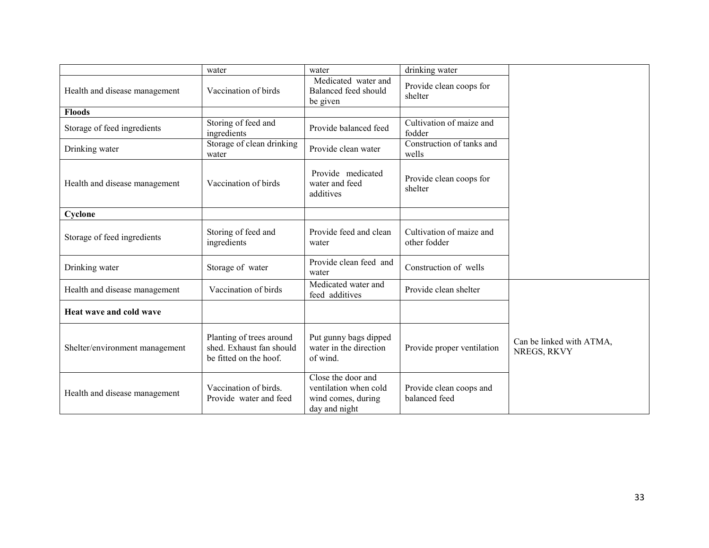|                                | water                                                                          | water                                                                              | drinking water                           |                                         |
|--------------------------------|--------------------------------------------------------------------------------|------------------------------------------------------------------------------------|------------------------------------------|-----------------------------------------|
| Health and disease management  | Vaccination of birds                                                           | Medicated water and<br>Balanced feed should<br>be given                            | Provide clean coops for<br>shelter       |                                         |
| <b>Floods</b>                  |                                                                                |                                                                                    |                                          |                                         |
| Storage of feed ingredients    | Storing of feed and<br>ingredients                                             | Provide balanced feed                                                              | Cultivation of maize and<br>fodder       |                                         |
| Drinking water                 | Storage of clean drinking<br>water                                             | Provide clean water                                                                | Construction of tanks and<br>wells       |                                         |
| Health and disease management  | Vaccination of birds                                                           | Provide medicated<br>water and feed<br>additives                                   | Provide clean coops for<br>shelter       |                                         |
| Cyclone                        |                                                                                |                                                                                    |                                          |                                         |
| Storage of feed ingredients    | Storing of feed and<br>ingredients                                             | Provide feed and clean<br>water                                                    | Cultivation of maize and<br>other fodder |                                         |
| Drinking water                 | Storage of water                                                               | Provide clean feed and<br>water                                                    | Construction of wells                    |                                         |
| Health and disease management  | Vaccination of birds                                                           | Medicated water and<br>feed additives                                              | Provide clean shelter                    |                                         |
| Heat wave and cold wave        |                                                                                |                                                                                    |                                          |                                         |
| Shelter/environment management | Planting of trees around<br>shed. Exhaust fan should<br>be fitted on the hoof. | Put gunny bags dipped<br>water in the direction<br>of wind.                        | Provide proper ventilation               | Can be linked with ATMA,<br>NREGS, RKVY |
| Health and disease management  | Vaccination of birds.<br>Provide water and feed                                | Close the door and<br>ventilation when cold<br>wind comes, during<br>day and night | Provide clean coops and<br>balanced feed |                                         |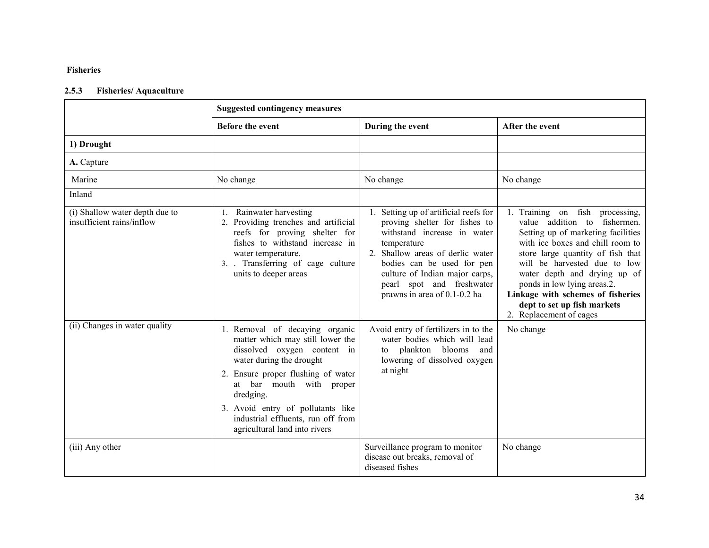## Fisheries

## 2.5.3 Fisheries/ Aquaculture

|                                                             | <b>Suggested contingency measures</b>                                                                                                                                                                                                                                                                                    |                                                                                                                                                                                                                                                                                       |                                                                                                                                                                                                                                                                                                                                                                              |
|-------------------------------------------------------------|--------------------------------------------------------------------------------------------------------------------------------------------------------------------------------------------------------------------------------------------------------------------------------------------------------------------------|---------------------------------------------------------------------------------------------------------------------------------------------------------------------------------------------------------------------------------------------------------------------------------------|------------------------------------------------------------------------------------------------------------------------------------------------------------------------------------------------------------------------------------------------------------------------------------------------------------------------------------------------------------------------------|
|                                                             | Before the event                                                                                                                                                                                                                                                                                                         | During the event                                                                                                                                                                                                                                                                      | After the event                                                                                                                                                                                                                                                                                                                                                              |
| 1) Drought                                                  |                                                                                                                                                                                                                                                                                                                          |                                                                                                                                                                                                                                                                                       |                                                                                                                                                                                                                                                                                                                                                                              |
| A. Capture                                                  |                                                                                                                                                                                                                                                                                                                          |                                                                                                                                                                                                                                                                                       |                                                                                                                                                                                                                                                                                                                                                                              |
| Marine                                                      | No change                                                                                                                                                                                                                                                                                                                | No change                                                                                                                                                                                                                                                                             | No change                                                                                                                                                                                                                                                                                                                                                                    |
| Inland                                                      |                                                                                                                                                                                                                                                                                                                          |                                                                                                                                                                                                                                                                                       |                                                                                                                                                                                                                                                                                                                                                                              |
| (i) Shallow water depth due to<br>insufficient rains/inflow | Rainwater harvesting<br>1.<br>2. Providing trenches and artificial<br>reefs for proving shelter for<br>fishes to withstand increase in<br>water temperature.<br>3. Transferring of cage culture<br>units to deeper areas                                                                                                 | 1. Setting up of artificial reefs for<br>proving shelter for fishes to<br>withstand increase in water<br>temperature<br>2. Shallow areas of derlic water<br>bodies can be used for pen<br>culture of Indian major carps,<br>pearl spot and freshwater<br>prawns in area of 0.1-0.2 ha | 1. Training on fish processing,<br>value addition to fishermen.<br>Setting up of marketing facilities<br>with ice boxes and chill room to<br>store large quantity of fish that<br>will be harvested due to low<br>water depth and drying up of<br>ponds in low lying areas.2.<br>Linkage with schemes of fisheries<br>dept to set up fish markets<br>2. Replacement of cages |
| (ii) Changes in water quality                               | 1. Removal of decaying organic<br>matter which may still lower the<br>dissolved oxygen content in<br>water during the drought<br>2. Ensure proper flushing of water<br>at bar mouth with proper<br>dredging.<br>3. Avoid entry of pollutants like<br>industrial effluents, run off from<br>agricultural land into rivers | Avoid entry of fertilizers in to the<br>water bodies which will lead<br>to plankton blooms<br>and<br>lowering of dissolved oxygen<br>at night                                                                                                                                         | No change                                                                                                                                                                                                                                                                                                                                                                    |
| (iii) Any other                                             |                                                                                                                                                                                                                                                                                                                          | Surveillance program to monitor<br>disease out breaks, removal of<br>diseased fishes                                                                                                                                                                                                  | No change                                                                                                                                                                                                                                                                                                                                                                    |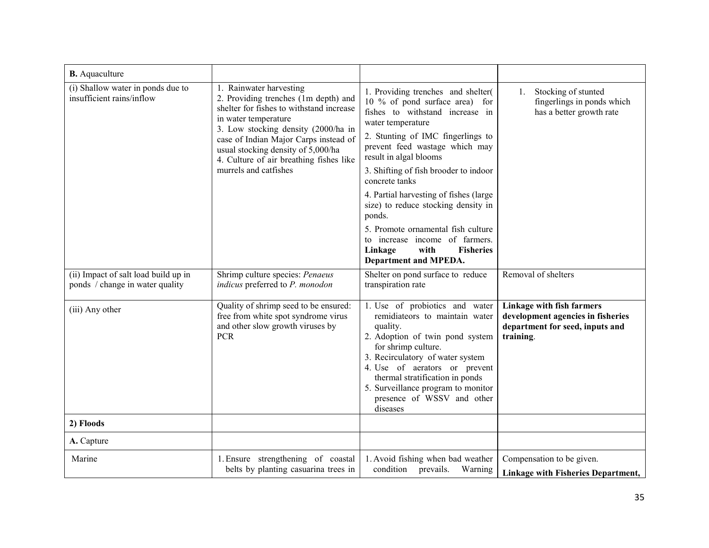| <b>B.</b> Aquaculture                                                   |                                                                                                                                                                                                                                                                                                                               |                                                                                                                                                                                                                                                                                                                                                                                                                                                                                                                            |                                                                                                                |  |
|-------------------------------------------------------------------------|-------------------------------------------------------------------------------------------------------------------------------------------------------------------------------------------------------------------------------------------------------------------------------------------------------------------------------|----------------------------------------------------------------------------------------------------------------------------------------------------------------------------------------------------------------------------------------------------------------------------------------------------------------------------------------------------------------------------------------------------------------------------------------------------------------------------------------------------------------------------|----------------------------------------------------------------------------------------------------------------|--|
| (i) Shallow water in ponds due to<br>insufficient rains/inflow          | 1. Rainwater harvesting<br>2. Providing trenches (1m depth) and<br>shelter for fishes to withstand increase<br>in water temperature<br>3. Low stocking density (2000/ha in<br>case of Indian Major Carps instead of<br>usual stocking density of 5,000/ha<br>4. Culture of air breathing fishes like<br>murrels and catfishes | 1. Providing trenches and shelter<br>10 % of pond surface area) for<br>fishes to withstand increase in<br>water temperature<br>2. Stunting of IMC fingerlings to<br>prevent feed wastage which may<br>result in algal blooms<br>3. Shifting of fish brooder to indoor<br>concrete tanks<br>4. Partial harvesting of fishes (large<br>size) to reduce stocking density in<br>ponds.<br>5. Promote ornamental fish culture<br>to increase income of farmers.<br>Linkage<br>with<br><b>Fisheries</b><br>Department and MPEDA. | Stocking of stunted<br>1.<br>fingerlings in ponds which<br>has a better growth rate                            |  |
| (ii) Impact of salt load build up in<br>ponds / change in water quality | Shrimp culture species: Penaeus<br>indicus preferred to P. monodon                                                                                                                                                                                                                                                            | Shelter on pond surface to reduce<br>transpiration rate                                                                                                                                                                                                                                                                                                                                                                                                                                                                    | Removal of shelters                                                                                            |  |
| (iii) Any other                                                         | Quality of shrimp seed to be ensured:<br>free from white spot syndrome virus<br>and other slow growth viruses by<br><b>PCR</b>                                                                                                                                                                                                | 1. Use of probiotics and water<br>remidiateors to maintain water<br>quality.<br>2. Adoption of twin pond system<br>for shrimp culture.<br>3. Recirculatory of water system<br>4. Use of aerators or prevent<br>thermal stratification in ponds<br>5. Surveillance program to monitor<br>presence of WSSV and other<br>diseases                                                                                                                                                                                             | Linkage with fish farmers<br>development agencies in fisheries<br>department for seed, inputs and<br>training. |  |
| 2) Floods                                                               |                                                                                                                                                                                                                                                                                                                               |                                                                                                                                                                                                                                                                                                                                                                                                                                                                                                                            |                                                                                                                |  |
| A. Capture                                                              |                                                                                                                                                                                                                                                                                                                               |                                                                                                                                                                                                                                                                                                                                                                                                                                                                                                                            |                                                                                                                |  |
| Marine                                                                  | 1. Ensure strengthening of coastal<br>belts by planting casuarina trees in                                                                                                                                                                                                                                                    | 1. Avoid fishing when bad weather<br>condition prevails.<br>Warning                                                                                                                                                                                                                                                                                                                                                                                                                                                        | Compensation to be given.<br><b>Linkage with Fisheries Department,</b>                                         |  |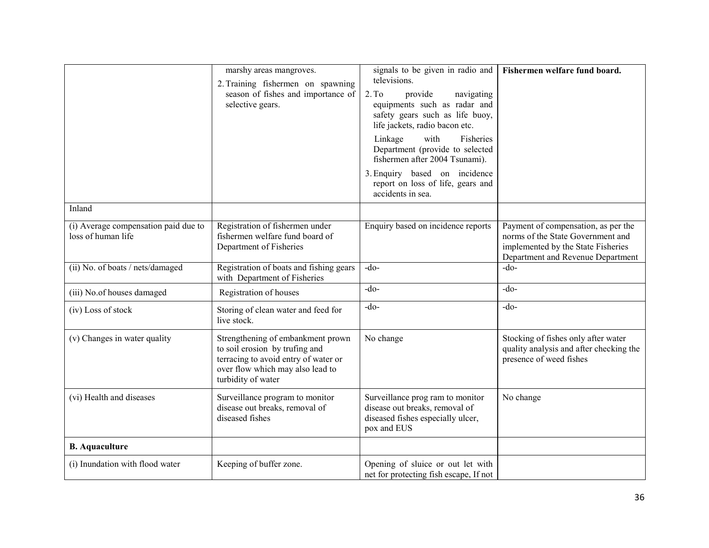|                                                            | marshy areas mangroves.<br>2. Training fishermen on spawning<br>season of fishes and importance of<br>selective gears.                                                | signals to be given in radio and<br>televisions.<br>2. T <sub>0</sub><br>provide<br>navigating<br>equipments such as radar and<br>safety gears such as life buoy,<br>life jackets, radio bacon etc.<br>Linkage<br>with<br>Fisheries<br>Department (provide to selected<br>fishermen after 2004 Tsunami).<br>3. Enquiry based on incidence<br>report on loss of life, gears and<br>accidents in sea. | Fishermen welfare fund board.                                                                                                                       |
|------------------------------------------------------------|-----------------------------------------------------------------------------------------------------------------------------------------------------------------------|-----------------------------------------------------------------------------------------------------------------------------------------------------------------------------------------------------------------------------------------------------------------------------------------------------------------------------------------------------------------------------------------------------|-----------------------------------------------------------------------------------------------------------------------------------------------------|
| Inland                                                     |                                                                                                                                                                       |                                                                                                                                                                                                                                                                                                                                                                                                     |                                                                                                                                                     |
| (i) Average compensation paid due to<br>loss of human life | Registration of fishermen under<br>fishermen welfare fund board of<br>Department of Fisheries                                                                         | Enquiry based on incidence reports                                                                                                                                                                                                                                                                                                                                                                  | Payment of compensation, as per the<br>norms of the State Government and<br>implemented by the State Fisheries<br>Department and Revenue Department |
| (ii) No. of boats / nets/damaged                           | Registration of boats and fishing gears<br>with Department of Fisheries                                                                                               | $-do$                                                                                                                                                                                                                                                                                                                                                                                               | $-do-$                                                                                                                                              |
| (iii) No.of houses damaged                                 | Registration of houses                                                                                                                                                | $-do-$                                                                                                                                                                                                                                                                                                                                                                                              | $-do$                                                                                                                                               |
| (iv) Loss of stock                                         | Storing of clean water and feed for<br>live stock.                                                                                                                    | $-do$                                                                                                                                                                                                                                                                                                                                                                                               | $-do-$                                                                                                                                              |
| (v) Changes in water quality                               | Strengthening of embankment prown<br>to soil erosion by trufing and<br>terracing to avoid entry of water or<br>over flow which may also lead to<br>turbidity of water | No change                                                                                                                                                                                                                                                                                                                                                                                           | Stocking of fishes only after water<br>quality analysis and after checking the<br>presence of weed fishes                                           |
| (vi) Health and diseases                                   | Surveillance program to monitor<br>disease out breaks, removal of<br>diseased fishes                                                                                  | Surveillance prog ram to monitor<br>disease out breaks, removal of<br>diseased fishes especially ulcer,<br>pox and EUS                                                                                                                                                                                                                                                                              | No change                                                                                                                                           |
| <b>B.</b> Aquaculture                                      |                                                                                                                                                                       |                                                                                                                                                                                                                                                                                                                                                                                                     |                                                                                                                                                     |
| (i) Inundation with flood water                            | Keeping of buffer zone.                                                                                                                                               | Opening of sluice or out let with<br>net for protecting fish escape, If not                                                                                                                                                                                                                                                                                                                         |                                                                                                                                                     |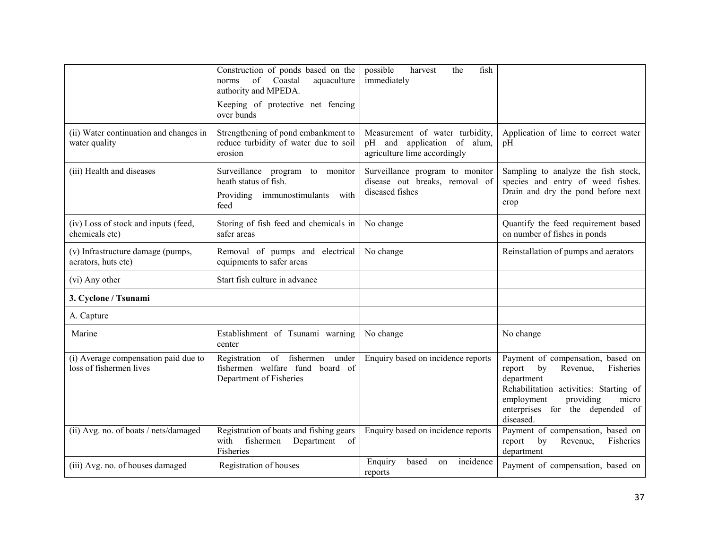|                                                                 | Construction of ponds based on the<br>of Coastal<br>aquaculture<br>norms<br>authority and MPEDA.<br>Keeping of protective net fencing<br>over bunds | possible<br>fish<br>harvest<br>the<br>immediately                                              |                                                                                                                                                                                                                        |
|-----------------------------------------------------------------|-----------------------------------------------------------------------------------------------------------------------------------------------------|------------------------------------------------------------------------------------------------|------------------------------------------------------------------------------------------------------------------------------------------------------------------------------------------------------------------------|
| (ii) Water continuation and changes in<br>water quality         | Strengthening of pond embankment to<br>reduce turbidity of water due to soil<br>erosion                                                             | Measurement of water turbidity,<br>pH and application of alum,<br>agriculture lime accordingly | Application of lime to correct water<br>pΗ                                                                                                                                                                             |
| (iii) Health and diseases                                       | Surveillance program to monitor<br>heath status of fish.<br>Providing immunostimulants with<br>feed                                                 | Surveillance program to monitor<br>disease out breaks, removal of<br>diseased fishes           | Sampling to analyze the fish stock,<br>species and entry of weed fishes.<br>Drain and dry the pond before next<br>crop                                                                                                 |
| (iv) Loss of stock and inputs (feed,<br>chemicals etc)          | Storing of fish feed and chemicals in<br>safer areas                                                                                                | No change                                                                                      | Quantify the feed requirement based<br>on number of fishes in ponds                                                                                                                                                    |
| (v) Infrastructure damage (pumps,<br>aerators, huts etc)        | Removal of pumps and electrical<br>equipments to safer areas                                                                                        | No change                                                                                      | Reinstallation of pumps and aerators                                                                                                                                                                                   |
| (vi) Any other                                                  | Start fish culture in advance                                                                                                                       |                                                                                                |                                                                                                                                                                                                                        |
| 3. Cyclone / Tsunami                                            |                                                                                                                                                     |                                                                                                |                                                                                                                                                                                                                        |
| A. Capture                                                      |                                                                                                                                                     |                                                                                                |                                                                                                                                                                                                                        |
| Marine                                                          | Establishment of Tsunami warning<br>center                                                                                                          | No change                                                                                      | No change                                                                                                                                                                                                              |
| (i) Average compensation paid due to<br>loss of fishermen lives | Registration of fishermen<br>under<br>fishermen welfare fund board of<br>Department of Fisheries                                                    | Enquiry based on incidence reports                                                             | Payment of compensation, based on<br>report<br>by<br>Fisheries<br>Revenue,<br>department<br>Rehabilitation activities: Starting of<br>employment<br>providing<br>micro<br>enterprises for the depended of<br>diseased. |
| (ii) Avg. no. of boats / nets/damaged                           | Registration of boats and fishing gears<br>fishermen<br>with<br>Department of<br>Fisheries                                                          | Enquiry based on incidence reports                                                             | Payment of compensation, based on<br>report<br>by<br>Revenue,<br>Fisheries<br>department                                                                                                                               |
| (iii) Avg. no. of houses damaged                                | Registration of houses                                                                                                                              | Enquiry<br>incidence<br>based<br>on<br>reports                                                 | Payment of compensation, based on                                                                                                                                                                                      |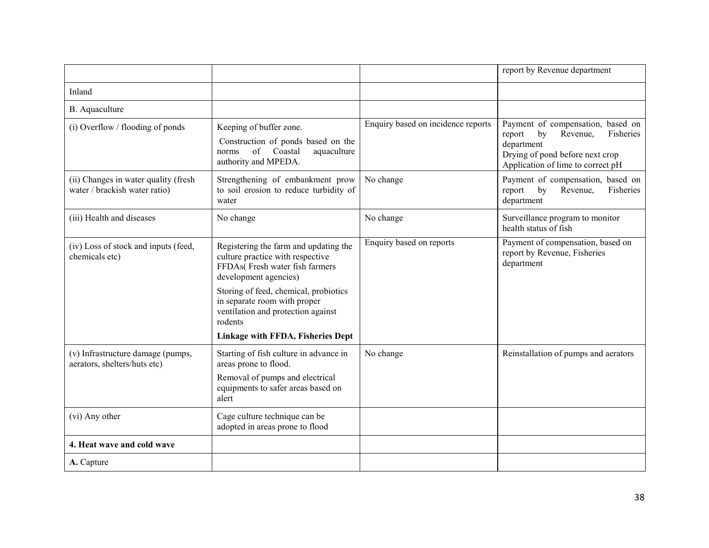|                                                                       |                                                                                                                                                                                                                                                                                                     |                                    | report by Revenue department                                                                                                                                     |
|-----------------------------------------------------------------------|-----------------------------------------------------------------------------------------------------------------------------------------------------------------------------------------------------------------------------------------------------------------------------------------------------|------------------------------------|------------------------------------------------------------------------------------------------------------------------------------------------------------------|
| Inland                                                                |                                                                                                                                                                                                                                                                                                     |                                    |                                                                                                                                                                  |
| B. Aquaculture                                                        |                                                                                                                                                                                                                                                                                                     |                                    |                                                                                                                                                                  |
| (i) Overflow / flooding of ponds                                      | Keeping of buffer zone.<br>Construction of ponds based on the<br>of Coastal<br>aquaculture<br>norms<br>authority and MPEDA.                                                                                                                                                                         | Enquiry based on incidence reports | Payment of compensation, based on<br>Fisheries<br>report<br>by<br>Revenue,<br>department<br>Drying of pond before next crop<br>Application of lime to correct pH |
| (ii) Changes in water quality (fresh<br>water / brackish water ratio) | Strengthening of embankment prow<br>to soil erosion to reduce turbidity of<br>water                                                                                                                                                                                                                 | No change                          | Payment of compensation, based on<br>Fisheries<br>by<br>Revenue,<br>report<br>department                                                                         |
| (iii) Health and diseases                                             | No change                                                                                                                                                                                                                                                                                           | No change                          | Surveillance program to monitor<br>health status of fish                                                                                                         |
| (iv) Loss of stock and inputs (feed,<br>chemicals etc)                | Registering the farm and updating the<br>culture practice with respective<br>FFDAs(Fresh water fish farmers<br>development agencies)<br>Storing of feed, chemical, probiotics<br>in separate room with proper<br>ventilation and protection against<br>rodents<br>Linkage with FFDA, Fisheries Dept | Enquiry based on reports           | Payment of compensation, based on<br>report by Revenue, Fisheries<br>department                                                                                  |
| (v) Infrastructure damage (pumps,<br>aerators, shelters/huts etc)     | Starting of fish culture in advance in<br>areas prone to flood.<br>Removal of pumps and electrical<br>equipments to safer areas based on<br>alert                                                                                                                                                   | No change                          | Reinstallation of pumps and aerators                                                                                                                             |
| (vi) Any other                                                        | Cage culture technique can be<br>adopted in areas prone to flood                                                                                                                                                                                                                                    |                                    |                                                                                                                                                                  |
| 4. Heat wave and cold wave                                            |                                                                                                                                                                                                                                                                                                     |                                    |                                                                                                                                                                  |
| A. Capture                                                            |                                                                                                                                                                                                                                                                                                     |                                    |                                                                                                                                                                  |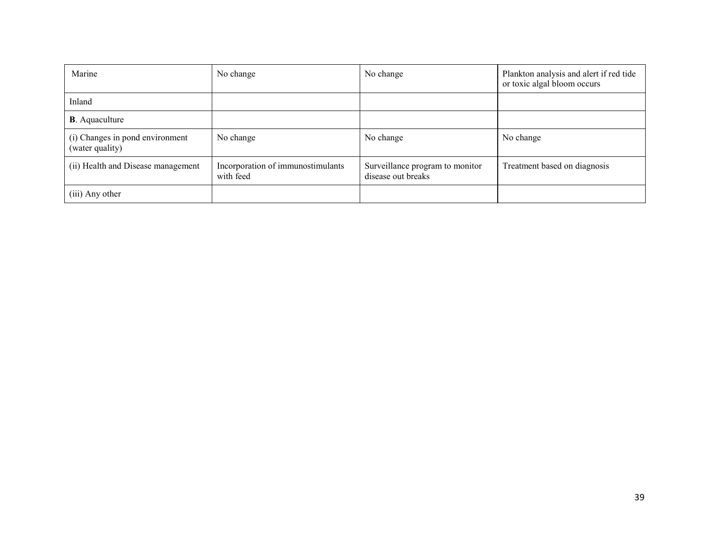| Marine                                                                               | No change | No change                                             | Plankton analysis and alert if red tide<br>or toxic algal bloom occurs |
|--------------------------------------------------------------------------------------|-----------|-------------------------------------------------------|------------------------------------------------------------------------|
| Inland                                                                               |           |                                                       |                                                                        |
| <b>B</b> . Aquaculture                                                               |           |                                                       |                                                                        |
| (i) Changes in pond environment<br>(water quality)                                   | No change | No change                                             | No change                                                              |
| (ii) Health and Disease management<br>Incorporation of immunostimulants<br>with feed |           | Surveillance program to monitor<br>disease out breaks | Treatment based on diagnosis                                           |
| (iii) Any other                                                                      |           |                                                       |                                                                        |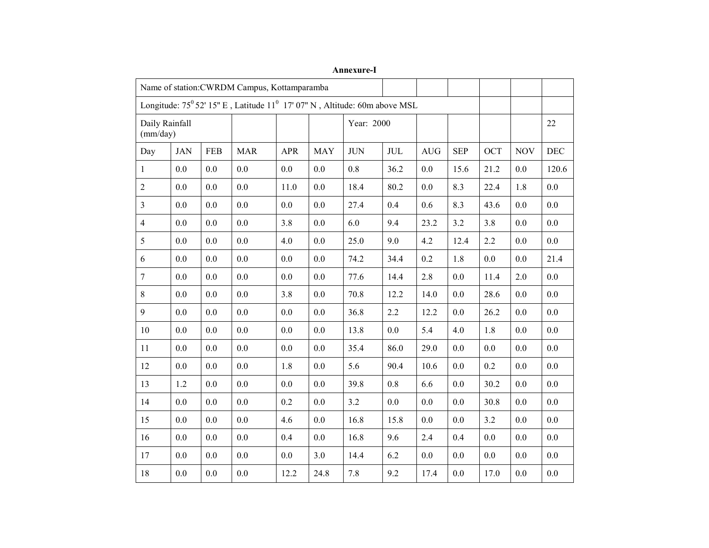|                                                                           | Name of station: CWRDM Campus, Kottamparamba |            |            |            |            |            |              |            |            |            |            |         |
|---------------------------------------------------------------------------|----------------------------------------------|------------|------------|------------|------------|------------|--------------|------------|------------|------------|------------|---------|
| Longitude: 75° 52′ 15" E, Latitude 11° 17′ 07" N, Altitude: 60m above MSL |                                              |            |            |            |            |            |              |            |            |            |            |         |
| Daily Rainfall<br>(mm/day)                                                |                                              |            |            |            |            | Year: 2000 |              |            |            |            |            | 22      |
| Day                                                                       | <b>JAN</b>                                   | <b>FEB</b> | <b>MAR</b> | <b>APR</b> | <b>MAY</b> | $\rm JUN$  | $\text{JUL}$ | <b>AUG</b> | <b>SEP</b> | <b>OCT</b> | <b>NOV</b> | DEC     |
| 1                                                                         | 0.0                                          | 0.0        | 0.0        | 0.0        | 0.0        | 0.8        | 36.2         | 0.0        | 15.6       | 21.2       | 0.0        | 120.6   |
| $\overline{2}$                                                            | 0.0                                          | 0.0        | 0.0        | 11.0       | 0.0        | 18.4       | 80.2         | 0.0        | 8.3        | 22.4       | 1.8        | 0.0     |
| $\overline{3}$                                                            | 0.0                                          | 0.0        | 0.0        | 0.0        | 0.0        | 27.4       | 0.4          | 0.6        | 8.3        | 43.6       | 0.0        | 0.0     |
| $\overline{4}$                                                            | 0.0                                          | 0.0        | 0.0        | 3.8        | 0.0        | 6.0        | 9.4          | 23.2       | 3.2        | 3.8        | 0.0        | 0.0     |
| 5                                                                         | 0.0                                          | 0.0        | 0.0        | 4.0        | 0.0        | 25.0       | 9.0          | 4.2        | 12.4       | 2.2        | 0.0        | 0.0     |
| 6                                                                         | 0.0                                          | 0.0        | 0.0        | 0.0        | 0.0        | 74.2       | 34.4         | 0.2        | 1.8        | 0.0        | 0.0        | 21.4    |
| $\overline{7}$                                                            | 0.0                                          | 0.0        | 0.0        | 0.0        | $0.0\,$    | 77.6       | 14.4         | 2.8        | 0.0        | 11.4       | 2.0        | 0.0     |
| 8                                                                         | 0.0                                          | 0.0        | 0.0        | 3.8        | 0.0        | 70.8       | 12.2         | 14.0       | 0.0        | 28.6       | 0.0        | 0.0     |
| 9                                                                         | 0.0                                          | 0.0        | 0.0        | 0.0        | 0.0        | 36.8       | 2.2          | 12.2       | 0.0        | 26.2       | 0.0        | 0.0     |
| 10                                                                        | 0.0                                          | 0.0        | 0.0        | 0.0        | 0.0        | 13.8       | 0.0          | 5.4        | 4.0        | 1.8        | 0.0        | 0.0     |
| 11                                                                        | 0.0                                          | 0.0        | 0.0        | 0.0        | 0.0        | 35.4       | 86.0         | 29.0       | 0.0        | 0.0        | 0.0        | 0.0     |
| 12                                                                        | 0.0                                          | 0.0        | 0.0        | 1.8        | $0.0\,$    | 5.6        | 90.4         | 10.6       | 0.0        | 0.2        | $0.0\,$    | $0.0\,$ |
| 13                                                                        | 1.2                                          | 0.0        | 0.0        | 0.0        | 0.0        | 39.8       | 0.8          | 6.6        | 0.0        | 30.2       | 0.0        | 0.0     |
| 14                                                                        | 0.0                                          | 0.0        | 0.0        | 0.2        | 0.0        | 3.2        | 0.0          | 0.0        | 0.0        | 30.8       | 0.0        | 0.0     |
| 15                                                                        | 0.0                                          | 0.0        | 0.0        | 4.6        | 0.0        | 16.8       | 15.8         | 0.0        | 0.0        | 3.2        | 0.0        | 0.0     |
| 16                                                                        | 0.0                                          | 0.0        | 0.0        | 0.4        | 0.0        | 16.8       | 9.6          | 2.4        | 0.4        | 0.0        | 0.0        | 0.0     |
| 17                                                                        | 0.0                                          | $0.0\,$    | $0.0\,$    | 0.0        | 3.0        | 14.4       | 6.2          | $0.0\,$    | $0.0\,$    | $0.0\,$    | $0.0\,$    | $0.0\,$ |
| $18\,$                                                                    | 0.0                                          | 0.0        | 0.0        | 12.2       | 24.8       | 7.8        | 9.2          | 17.4       | 0.0        | 17.0       | 0.0        | 0.0     |

Annexure-I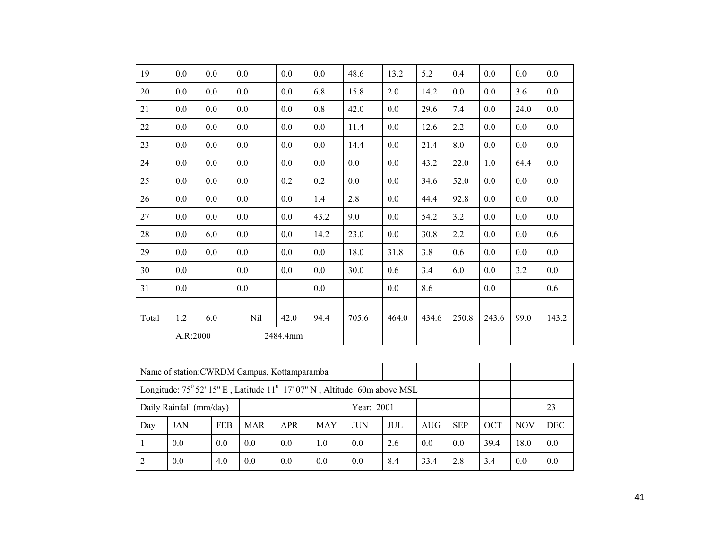| 19    | 0.0      | 0.0     | 0.0 | 0.0      | $0.0\,$ | 48.6    | 13.2  | 5.2   | 0.4   | 0.0   | 0.0  | 0.0     |
|-------|----------|---------|-----|----------|---------|---------|-------|-------|-------|-------|------|---------|
| 20    | 0.0      | 0.0     | 0.0 | 0.0      | 6.8     | 15.8    | 2.0   | 14.2  | 0.0   | 0.0   | 3.6  | $0.0\,$ |
| 21    | 0.0      | 0.0     | 0.0 | 0.0      | $0.8\,$ | 42.0    | 0.0   | 29.6  | 7.4   | 0.0   | 24.0 | 0.0     |
| 22    | 0.0      | 0.0     | 0.0 | 0.0      | 0.0     | 11.4    | 0.0   | 12.6  | 2.2   | 0.0   | 0.0  | $0.0\,$ |
| 23    | $0.0\,$  | $0.0\,$ | 0.0 | 0.0      | 0.0     | 14.4    | 0.0   | 21.4  | 8.0   | 0.0   | 0.0  | $0.0\,$ |
| 24    | 0.0      | 0.0     | 0.0 | 0.0      | 0.0     | $0.0\,$ | 0.0   | 43.2  | 22.0  | 1.0   | 64.4 | $0.0\,$ |
| 25    | 0.0      | 0.0     | 0.0 | 0.2      | 0.2     | 0.0     | 0.0   | 34.6  | 52.0  | 0.0   | 0.0  | $0.0\,$ |
| 26    | 0.0      | 0.0     | 0.0 | 0.0      | 1.4     | 2.8     | 0.0   | 44.4  | 92.8  | 0.0   | 0.0  | $0.0\,$ |
| 27    | 0.0      | 0.0     | 0.0 | 0.0      | 43.2    | 9.0     | 0.0   | 54.2  | 3.2   | 0.0   | 0.0  | $0.0\,$ |
| 28    | 0.0      | 6.0     | 0.0 | 0.0      | 14.2    | 23.0    | 0.0   | 30.8  | 2.2   | 0.0   | 0.0  | 0.6     |
| 29    | 0.0      | 0.0     | 0.0 | 0.0      | 0.0     | 18.0    | 31.8  | 3.8   | 0.6   | 0.0   | 0.0  | $0.0\,$ |
| 30    | 0.0      |         | 0.0 | 0.0      | $0.0\,$ | 30.0    | 0.6   | 3.4   | 6.0   | 0.0   | 3.2  | $0.0\,$ |
| 31    | 0.0      |         | 0.0 |          | 0.0     |         | 0.0   | 8.6   |       | 0.0   |      | 0.6     |
|       |          |         |     |          |         |         |       |       |       |       |      |         |
| Total | 1.2      | 6.0     | Nil | 42.0     | 94.4    | 705.6   | 464.0 | 434.6 | 250.8 | 243.6 | 99.0 | 143.2   |
|       | A.R:2000 |         |     | 2484.4mm |         |         |       |       |       |       |      |         |

|                                       | Name of station: CWRDM Campus, Kottamparamba                                                   |            |            |            |     |            |     |            |            |            |            |            |
|---------------------------------------|------------------------------------------------------------------------------------------------|------------|------------|------------|-----|------------|-----|------------|------------|------------|------------|------------|
|                                       | Longitude: $75^{\circ}$ 52' 15" E, Latitude 11 <sup>°</sup> 17' 07" N, Altitude: 60m above MSL |            |            |            |     |            |     |            |            |            |            |            |
| Daily Rainfall (mm/day)<br>Year: 2001 |                                                                                                |            |            |            |     |            |     |            |            |            |            | 23         |
| Day                                   | <b>JAN</b>                                                                                     | <b>FEB</b> | <b>MAR</b> | <b>APR</b> | MAY | <b>JUN</b> | JUL | <b>AUG</b> | <b>SEP</b> | <b>OCT</b> | <b>NOV</b> | <b>DEC</b> |
|                                       | 0.0                                                                                            | 0.0        | 0.0        | 0.0        | 1.0 | 0.0        | 2.6 | 0.0        | 0.0        | 39.4       | 18.0       | 0.0        |
|                                       | 0.0                                                                                            | 4.0        | 0.0        | 0.0        | 0.0 | 0.0        | 8.4 | 33.4       | 2.8        | 3.4        | 0.0        | 0.0        |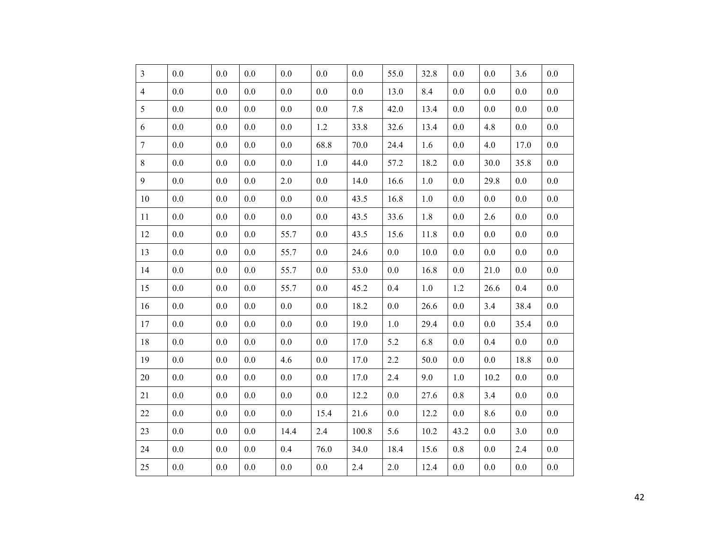| $\overline{3}$ | 0.0     | 0.0     | 0.0     | 0.0  | 0.0     | 0.0   | 55.0    | 32.8    | 0.0     | 0.0     | 3.6     | 0.0     |
|----------------|---------|---------|---------|------|---------|-------|---------|---------|---------|---------|---------|---------|
| $\overline{4}$ | 0.0     | 0.0     | 0.0     | 0.0  | 0.0     | 0.0   | 13.0    | 8.4     | 0.0     | 0.0     | 0.0     | 0.0     |
| 5              | 0.0     | 0.0     | 0.0     | 0.0  | 0.0     | 7.8   | 42.0    | 13.4    | 0.0     | 0.0     | 0.0     | 0.0     |
| 6              | 0.0     | $0.0\,$ | $0.0\,$ | 0.0  | 1.2     | 33.8  | 32.6    | 13.4    | $0.0\,$ | 4.8     | $0.0\,$ | 0.0     |
| $\overline{7}$ | 0.0     | 0.0     | 0.0     | 0.0  | 68.8    | 70.0  | 24.4    | 1.6     | 0.0     | 4.0     | 17.0    | 0.0     |
| $\,8\,$        | 0.0     | 0.0     | 0.0     | 0.0  | $1.0\,$ | 44.0  | 57.2    | 18.2    | 0.0     | 30.0    | 35.8    | 0.0     |
| 9              | 0.0     | 0.0     | 0.0     | 2.0  | 0.0     | 14.0  | 16.6    | 1.0     | 0.0     | 29.8    | 0.0     | 0.0     |
| 10             | 0.0     | 0.0     | $0.0\,$ | 0.0  | $0.0\,$ | 43.5  | 16.8    | 1.0     | 0.0     | 0.0     | 0.0     | 0.0     |
| $11\,$         | 0.0     | $0.0\,$ | 0.0     | 0.0  | $0.0\,$ | 43.5  | 33.6    | 1.8     | 0.0     | 2.6     | $0.0\,$ | 0.0     |
| 12             | 0.0     | 0.0     | 0.0     | 55.7 | 0.0     | 43.5  | 15.6    | 11.8    | 0.0     | 0.0     | 0.0     | 0.0     |
| 13             | 0.0     | 0.0     | 0.0     | 55.7 | 0.0     | 24.6  | 0.0     | 10.0    | 0.0     | 0.0     | $0.0\,$ | 0.0     |
| 14             | 0.0     | 0.0     | 0.0     | 55.7 | 0.0     | 53.0  | 0.0     | 16.8    | 0.0     | 21.0    | 0.0     | 0.0     |
| 15             | 0.0     | 0.0     | $0.0\,$ | 55.7 | $0.0\,$ | 45.2  | 0.4     | $1.0\,$ | 1.2     | 26.6    | 0.4     | 0.0     |
| 16             | 0.0     | 0.0     | 0.0     | 0.0  | 0.0     | 18.2  | $0.0\,$ | 26.6    | 0.0     | 3.4     | 38.4    | 0.0     |
| 17             | 0.0     | 0.0     | 0.0     | 0.0  | 0.0     | 19.0  | 1.0     | 29.4    | 0.0     | 0.0     | 35.4    | 0.0     |
| 18             | 0.0     | 0.0     | $0.0\,$ | 0.0  | $0.0\,$ | 17.0  | 5.2     | 6.8     | 0.0     | 0.4     | 0.0     | 0.0     |
| 19             | 0.0     | 0.0     | 0.0     | 4.6  | 0.0     | 17.0  | 2.2     | 50.0    | 0.0     | 0.0     | 18.8    | 0.0     |
| 20             | 0.0     | 0.0     | $0.0\,$ | 0.0  | $0.0\,$ | 17.0  | 2.4     | 9.0     | $1.0\,$ | 10.2    | $0.0\,$ | 0.0     |
| 21             | 0.0     | $0.0\,$ | 0.0     | 0.0  | $0.0\,$ | 12.2  | 0.0     | 27.6    | $0.8\,$ | 3.4     | 0.0     | $0.0\,$ |
| $22\,$         | 0.0     | 0.0     | 0.0     | 0.0  | 15.4    | 21.6  | 0.0     | 12.2    | 0.0     | 8.6     | $0.0\,$ | 0.0     |
| 23             | 0.0     | $0.0\,$ | $0.0\,$ | 14.4 | 2.4     | 100.8 | 5.6     | 10.2    | 43.2    | $0.0\,$ | 3.0     | 0.0     |
| 24             | 0.0     | 0.0     | 0.0     | 0.4  | 76.0    | 34.0  | 18.4    | 15.6    | 0.8     | 0.0     | 2.4     | 0.0     |
| $25\,$         | $0.0\,$ | $0.0\,$ | $0.0\,$ | 0.0  | $0.0\,$ | 2.4   | 2.0     | 12.4    | $0.0\,$ | $0.0\,$ | $0.0\,$ | $0.0\,$ |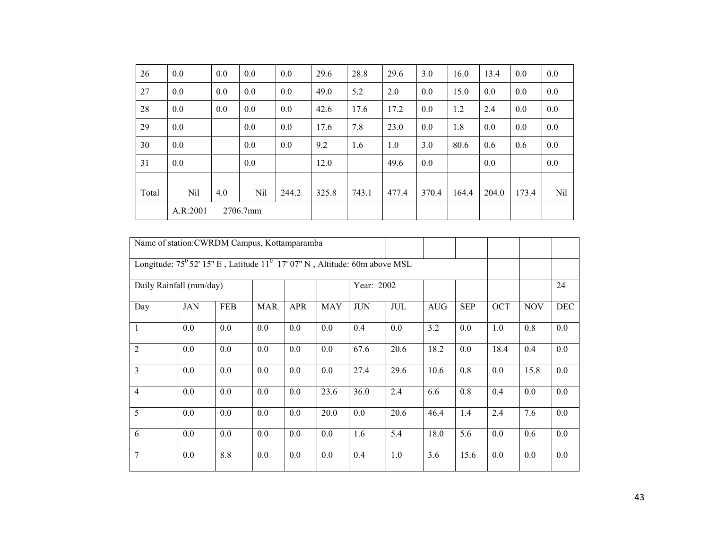| 26    | 0.0      | 0.0 | 0.0      | 0.0   | 29.6  | 28.8  | 29.6  | 3.0   | 16.0  | 13.4  | 0.0   | $0.0\,$ |
|-------|----------|-----|----------|-------|-------|-------|-------|-------|-------|-------|-------|---------|
| 27    | 0.0      | 0.0 | 0.0      | 0.0   | 49.0  | 5.2   | 2.0   | 0.0   | 15.0  | 0.0   | 0.0   | 0.0     |
| 28    | 0.0      | 0.0 | 0.0      | 0.0   | 42.6  | 17.6  | 17.2  | 0.0   | 1.2   | 2.4   | 0.0   | 0.0     |
| 29    | 0.0      |     | 0.0      | 0.0   | 17.6  | 7.8   | 23.0  | 0.0   | 1.8   | 0.0   | 0.0   | 0.0     |
| 30    | 0.0      |     | 0.0      | 0.0   | 9.2   | 1.6   | 1.0   | 3.0   | 80.6  | 0.6   | 0.6   | 0.0     |
| 31    | 0.0      |     | 0.0      |       | 12.0  |       | 49.6  | 0.0   |       | 0.0   |       | 0.0     |
|       |          |     |          |       |       |       |       |       |       |       |       |         |
| Total | Nil      | 4.0 | Nil      | 244.2 | 325.8 | 743.1 | 477.4 | 370.4 | 164.4 | 204.0 | 173.4 | Nil     |
|       | A.R:2001 |     | 2706.7mm |       |       |       |       |       |       |       |       |         |

|                | Name of station: CWRDM Campus, Kottamparamba                                                |            |            |            |            |            |      |            |            |      |            |            |
|----------------|---------------------------------------------------------------------------------------------|------------|------------|------------|------------|------------|------|------------|------------|------|------------|------------|
|                | Longitude: $75^{\circ}$ 52' 15" E, Latitude $11^{\circ}$ 17' 07" N, Altitude: 60m above MSL |            |            |            |            |            |      |            |            |      |            |            |
|                | Daily Rainfall (mm/day)                                                                     |            |            |            |            | Year: 2002 |      |            |            |      |            | 24         |
| Day            | <b>JAN</b>                                                                                  | <b>FEB</b> | <b>MAR</b> | <b>APR</b> | <b>MAY</b> | <b>JUN</b> | JUL  | <b>AUG</b> | <b>SEP</b> | OCT  | <b>NOV</b> | <b>DEC</b> |
| $\mathbf{1}$   | 0.0                                                                                         | 0.0        | 0.0        | 0.0        | 0.0        | 0.4        | 0.0  | 3.2        | 0.0        | 1.0  | 0.8        | 0.0        |
| $\overline{2}$ | $0.0\,$                                                                                     | 0.0        | 0.0        | 0.0        | 0.0        | 67.6       | 20.6 | 18.2       | 0.0        | 18.4 | 0.4        | 0.0        |
| 3              | 0.0                                                                                         | 0.0        | 0.0        | 0.0        | 0.0        | 27.4       | 29.6 | 10.6       | 0.8        | 0.0  | 15.8       | 0.0        |
| $\overline{4}$ | $0.0\,$                                                                                     | 0.0        | 0.0        | 0.0        | 23.6       | 36.0       | 2.4  | 6.6        | 0.8        | 0.4  | 0.0        | 0.0        |
| 5              | 0.0                                                                                         | 0.0        | 0.0        | 0.0        | 20.0       | 0.0        | 20.6 | 46.4       | 1.4        | 2.4  | 7.6        | 0.0        |
| 6              | $0.0\,$                                                                                     | 0.0        | 0.0        | 0.0        | 0.0        | 1.6        | 5.4  | 18.0       | 5.6        | 0.0  | 0.6        | 0.0        |
| 7              | $0.0\,$                                                                                     | 8.8        | 0.0        | 0.0        | 0.0        | 0.4        | 1.0  | 3.6        | 15.6       | 0.0  | 0.0        | 0.0        |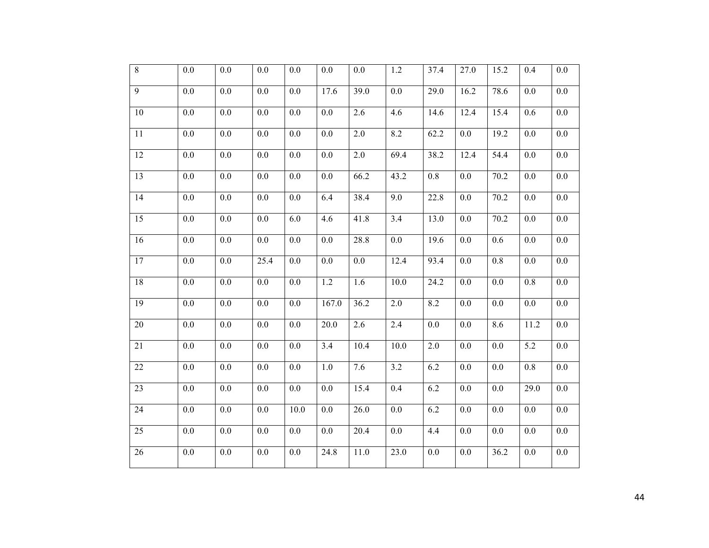| $\overline{8}$  | $0.0\,$          | $0.0\,$ | $0.0\,$ | 0.0     | 0.0              | $0.0\,$           | $1.2\,$           | 37.4             | 27.0 | 15.2    | 0.4              | $0.0\,$          |
|-----------------|------------------|---------|---------|---------|------------------|-------------------|-------------------|------------------|------|---------|------------------|------------------|
| $\overline{9}$  | $0.0\,$          | $0.0\,$ | $0.0\,$ | $0.0\,$ | 17.6             | 39.0              | $0.0\,$           | 29.0             | 16.2 | 78.6    | $0.0\,$          | $0.0\,$          |
| $10\,$          | $0.0\,$          | $0.0\,$ | $0.0\,$ | $0.0\,$ | $0.0\,$          | 2.6               | 4.6               | 14.6             | 12.4 | 15.4    | 0.6              | $0.0\,$          |
| $11\,$          | $0.0\,$          | $0.0\,$ | $0.0\,$ | $0.0\,$ | $0.0\,$          | $2.0\,$           | $\overline{8.2}$  | 62.2             | 0.0  | 19.2    | $0.0\,$          | $0.0\,$          |
| 12              | $0.0\,$          | $0.0\,$ | $0.0\,$ | $0.0\,$ | 0.0              | $2.0\,$           | 69.4              | 38.2             | 12.4 | 54.4    | $0.0\,$          | $0.0\,$          |
| $\overline{13}$ | $\overline{0.0}$ | $0.0\,$ | $0.0\,$ | $0.0\,$ | $\overline{0.0}$ | $\overline{66.2}$ | $\overline{43.2}$ | $\overline{0.8}$ | 0.0  | 70.2    | $0.0\,$          | $0.0\,$          |
| 14              | 0.0              | 0.0     | 0.0     | 0.0     | 6.4              | 38.4              | 9.0               | 22.8             | 0.0  | 70.2    | 0.0              | $0.0\,$          |
| 15              | 0.0              | 0.0     | 0.0     | 6.0     | 4.6              | 41.8              | 3.4               | 13.0             | 0.0  | 70.2    | 0.0              | $0.0\,$          |
| 16              | $0.0\,$          | $0.0\,$ | 0.0     | $0.0\,$ | 0.0              | 28.8              | $0.0\,$           | 19.6             | 0.0  | 0.6     | $0.0\,$          | $0.0\,$          |
| 17              | 0.0              | 0.0     | 25.4    | 0.0     | 0.0              | 0.0               | 12.4              | 93.4             | 0.0  | 0.8     | 0.0              | $0.0\,$          |
| 18              | 0.0              | 0.0     | 0.0     | 0.0     | 1.2              | 1.6               | 10.0              | 24.2             | 0.0  | 0.0     | 0.8              | $0.0\,$          |
| 19              | 0.0              | 0.0     | 0.0     | $0.0\,$ | 167.0            | 36.2              | 2.0               | 8.2              | 0.0  | $0.0\,$ | $0.0\,$          | $0.0\,$          |
| 20              | $0.0\,$          | 0.0     | 0.0     | $0.0\,$ | 20.0             | 2.6               | 2.4               | 0.0              | 0.0  | 8.6     | 11.2             | $0.0\,$          |
| 21              | $0.0\,$          | $0.0\,$ | 0.0     | $0.0\,$ | 3.4              | 10.4              | 10.0              | 2.0              | 0.0  | 0.0     | 5.2              | $0.0\,$          |
| 22              | $0.0\,$          | $0.0\,$ | $0.0\,$ | $0.0\,$ | 1.0              | 7.6               | 3.2               | 6.2              | 0.0  | 0.0     | 0.8              | $0.0\,$          |
| 23              | $0.0\,$          | 0.0     | 0.0     | $0.0\,$ | 0.0              | 15.4              | 0.4               | 6.2              | 0.0  | $0.0\,$ | 29.0             | $0.0\,$          |
| 24              | $\overline{0.0}$ | $0.0\,$ | $0.0\,$ | 10.0    | 0.0              | 26.0              | $0.0\,$           | 6.2              | 0.0  | $0.0\,$ | $0.0\,$          | $0.0\,$          |
| 25              | 0.0              | 0.0     | 0.0     | 0.0     | 0.0              | 20.4              | $0.0\,$           | 4.4              | 0.0  | 0.0     | 0.0              | $0.0\,$          |
| $\overline{26}$ | $\overline{0.0}$ | $0.0\,$ | 0.0     | $0.0\,$ | 24.8             | 11.0              | 23.0              | $\overline{0.0}$ | 0.0  | 36.2    | $\overline{0.0}$ | $\overline{0.0}$ |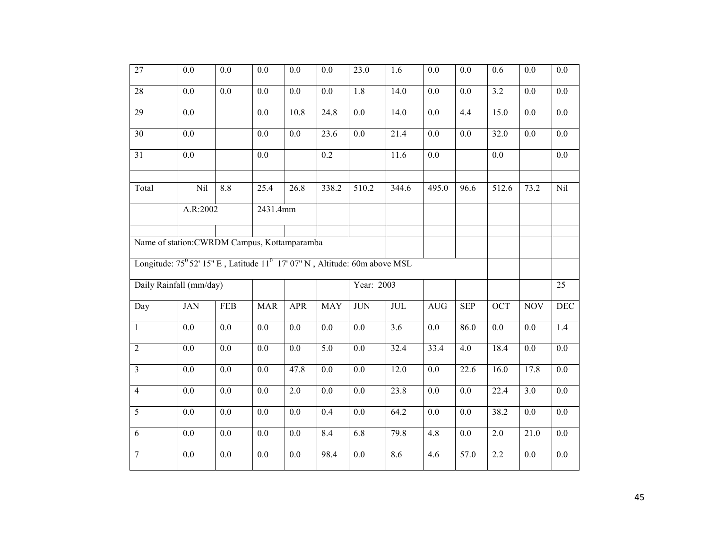| $\overline{27}$ | 0.0                                                                                         | 0.0              | 0.0              | 0.0              | 0.0              | 23.0             | 1.6                     | 0.0                  | 0.0               | 0.6              | 0.0              | 0.0              |
|-----------------|---------------------------------------------------------------------------------------------|------------------|------------------|------------------|------------------|------------------|-------------------------|----------------------|-------------------|------------------|------------------|------------------|
| $28\,$          | $0.0\,$                                                                                     | $0.0\,$          | $0.0\,$          | $0.0\,$          | $0.0\,$          | 1.8              | 14.0                    | $0.0\,$              | 0.0               | $\overline{3.2}$ | $0.0\,$          | $0.0\,$          |
| $\overline{29}$ | $0.0\,$                                                                                     |                  | $0.0\,$          | 10.8             | 24.8             | $\overline{0.0}$ | 14.0                    | $\overline{0.0}$     | 4.4               | 15.0             | $\overline{0.0}$ | $\overline{0.0}$ |
| 30              | $\overline{0.0}$                                                                            |                  | 0.0              | 0.0              | 23.6             | 0.0              | $\overline{21.4}$       | 0.0                  | 0.0               | 32.0             | 0.0              | 0.0              |
| 31              | $\overline{0.0}$                                                                            |                  | 0.0              |                  | $\overline{0.2}$ |                  | 11.6                    | 0.0                  |                   | $\overline{0.0}$ |                  | 0.0              |
| Total           | Nil                                                                                         | 8.8              | 25.4             | 26.8             | 338.2            | 510.2            | 344.6                   | 495.0                | 96.6              | 512.6            | 73.2             | Nil              |
|                 | A.R:2002                                                                                    |                  | 2431.4mm         |                  |                  |                  |                         |                      |                   |                  |                  |                  |
|                 | Name of station: CWRDM Campus, Kottamparamba                                                |                  |                  |                  |                  |                  |                         |                      |                   |                  |                  |                  |
|                 | Longitude: $75^{\circ}$ 52' 15" E, Latitude $11^{\circ}$ 17' 07" N, Altitude: 60m above MSL |                  |                  |                  |                  |                  |                         |                      |                   |                  |                  |                  |
|                 | Daily Rainfall (mm/day)                                                                     |                  |                  |                  |                  | Year: 2003       |                         |                      |                   |                  |                  | 25               |
| Day             | <b>JAN</b>                                                                                  | FEB              | <b>MAR</b>       | <b>APR</b>       | <b>MAY</b>       | <b>JUN</b>       | $\overline{\text{JUL}}$ | $\operatorname{AUG}$ | <b>SEP</b>        | <b>OCT</b>       | <b>NOV</b>       | <b>DEC</b>       |
| $\mathbf{1}$    | $0.0\,$                                                                                     | $0.0\,$          | 0.0              | 0.0              | 0.0              | 0.0              | $\overline{3.6}$        | $0.0\,$              | 86.0              | $0.0\,$          | 0.0              | 1.4              |
| $\overline{2}$  | 0.0                                                                                         | 0.0              | 0.0              | 0.0              | $\overline{5.0}$ | 0.0              | 32.4                    | 33.4                 | 4.0               | 18.4             | 0.0              | 0.0              |
| $\overline{3}$  | 0.0                                                                                         | 0.0              | 0.0              | 47.8             | $\overline{0.0}$ | 0.0              | 12.0                    | 0.0                  | $\overline{22.6}$ | 16.0             | 17.8             | $\overline{0.0}$ |
| $\overline{4}$  | $\overline{0.0}$                                                                            | $\overline{0.0}$ | $\overline{0.0}$ | $\overline{2.0}$ | $\overline{0.0}$ | $\overline{0.0}$ | 23.8                    | $\overline{0.0}$     | $\overline{0.0}$  | 22.4             | 3.0              | 0.0              |
| $\overline{5}$  | $\overline{0.0}$                                                                            | 0.0              | 0.0              | $\overline{0.0}$ | 0.4              | 0.0              | 64.2                    | 0.0                  | 0.0               | 38.2             | 0.0              | 0.0              |
| $\overline{6}$  | $\overline{0.0}$                                                                            | $\overline{0.0}$ | $\overline{0.0}$ | $\overline{0.0}$ | 8.4              | 6.8              | 79.8                    | 4.8                  | $\overline{0.0}$  | $\overline{2.0}$ | 21.0             | 0.0              |
| $\overline{7}$  | $0.0\,$                                                                                     | 0.0              | $0.0\,$          | $0.0\,$          | 98.4             | 0.0              | 8.6                     | 4.6                  | 57.0              | 2.2              | $0.0\,$          | $0.0\,$          |
|                 |                                                                                             |                  |                  |                  |                  |                  |                         |                      |                   |                  |                  |                  |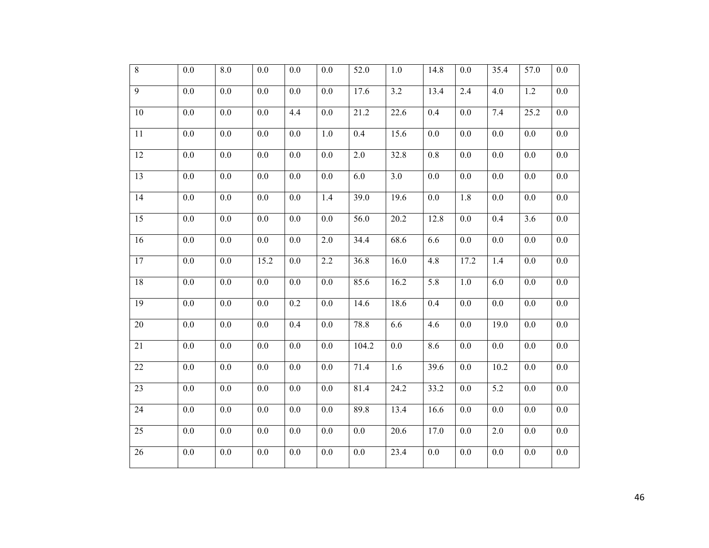| $\overline{8}$  | $0.0\,$          | $8.0\,$ | $0.0\,$ | $0.0\,$ | 0.0              | 52.0    | $1.0\,$          | 14.8    | 0.0  | 35.4             | 57.0    | 0.0              |
|-----------------|------------------|---------|---------|---------|------------------|---------|------------------|---------|------|------------------|---------|------------------|
| $\overline{9}$  | $0.0\,$          | $0.0\,$ | $0.0\,$ | $0.0\,$ | $0.0\,$          | 17.6    | 3.2              | 13.4    | 2.4  | 4.0              | 1.2     | $0.0\,$          |
| $10\,$          | $0.0\,$          | $0.0\,$ | $0.0\,$ | 4.4     | $0.0\,$          | 21.2    | 22.6             | 0.4     | 0.0  | 7.4              | 25.2    | $0.0\,$          |
| $11\,$          | $0.0\,$          | $0.0\,$ | $0.0\,$ | $0.0\,$ | $1.0\,$          | 0.4     | 15.6             | $0.0\,$ | 0.0  | 0.0              | $0.0\,$ | $0.0\,$          |
| 12              | $0.0\,$          | $0.0\,$ | $0.0\,$ | $0.0\,$ | 0.0              | $2.0\,$ | 32.8             | $0.8\,$ | 0.0  | $0.0\,$          | $0.0\,$ | $0.0\,$          |
| $\overline{13}$ | $0.0\,$          | $0.0\,$ | $0.0\,$ | $0.0\,$ | $\overline{0.0}$ | 6.0     | $\overline{3.0}$ | $0.0\,$ | 0.0  | 0.0              | $0.0\,$ | $0.0\,$          |
| 14              | 0.0              | 0.0     | 0.0     | 0.0     | 1.4              | 39.0    | 19.6             | 0.0     | 1.8  | 0.0              | 0.0     | $0.0\,$          |
| 15              | 0.0              | 0.0     | 0.0     | 0.0     | 0.0              | 56.0    | 20.2             | 12.8    | 0.0  | 0.4              | 3.6     | $0.0\,$          |
| 16              | $0.0\,$          | $0.0\,$ | 0.0     | $0.0\,$ | 2.0              | 34.4    | 68.6             | 6.6     | 0.0  | $0.0\,$          | $0.0\,$ | $0.0\,$          |
| 17              | 0.0              | 0.0     | 15.2    | 0.0     | 2.2              | 36.8    | 16.0             | 4.8     | 17.2 | 1.4              | 0.0     | $0.0\,$          |
| 18              | 0.0              | 0.0     | 0.0     | 0.0     | 0.0              | 85.6    | 16.2             | 5.8     | 1.0  | 6.0              | 0.0     | $0.0\,$          |
| 19              | $0.0\,$          | 0.0     | 0.0     | 0.2     | 0.0              | 14.6    | 18.6             | 0.4     | 0.0  | $0.0\,$          | $0.0\,$ | $0.0\,$          |
| 20              | $0.0\,$          | 0.0     | 0.0     | 0.4     | 0.0              | 78.8    | 6.6              | 4.6     | 0.0  | 19.0             | $0.0\,$ | $0.0\,$          |
| 21              | $0.0\,$          | $0.0\,$ | 0.0     | $0.0\,$ | 0.0              | 104.2   | $0.0\,$          | 8.6     | 0.0  | $0.0\,$          | 0.0     | $0.0\,$          |
| 22              | $0.0\,$          | $0.0\,$ | $0.0\,$ | $0.0\,$ | 0.0              | 71.4    | 1.6              | 39.6    | 0.0  | 10.2             | $0.0\,$ | $0.0\,$          |
| 23              | $0.0\,$          | 0.0     | 0.0     | $0.0\,$ | 0.0              | 81.4    | 24.2             | 33.2    | 0.0  | 5.2              | $0.0\,$ | $0.0\,$          |
| 24              | $\overline{0.0}$ | $0.0\,$ | $0.0\,$ | $0.0\,$ | 0.0              | 89.8    | 13.4             | 16.6    | 0.0  | $\overline{0.0}$ | $0.0\,$ | $0.0\,$          |
| 25              | 0.0              | 0.0     | 0.0     | 0.0     | 0.0              | 0.0     | 20.6             | 17.0    | 0.0  | 2.0              | 0.0     | $0.0\,$          |
| 26              | $\overline{0.0}$ | $0.0\,$ | 0.0     | $0.0\,$ | 0.0              | $0.0\,$ | 23.4             | 0.0     | 0.0  | 0.0              | 0.0     | $\overline{0.0}$ |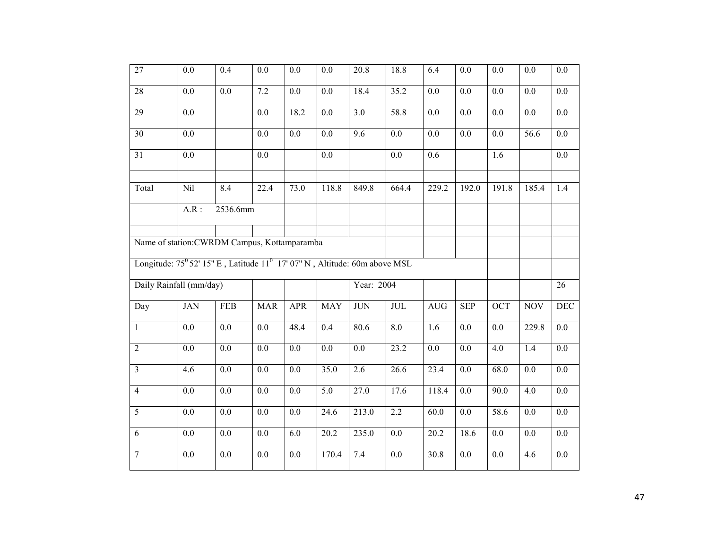| $\overline{27}$ | 0.0                                                                                         | 0.4              | 0.0              | 0.0              | 0.0               | 20.8             | 18.8              | 6.4               | 0.0              | 0.0              | 0.0              | 0.0              |
|-----------------|---------------------------------------------------------------------------------------------|------------------|------------------|------------------|-------------------|------------------|-------------------|-------------------|------------------|------------------|------------------|------------------|
| $28\,$          | $0.0\,$                                                                                     | $0.0\,$          | $7.2\,$          | $0.0\,$          | $0.0\,$           | 18.4             | 35.2              | $0.0\,$           | 0.0              | $\overline{0.0}$ | $0.0\,$          | $0.0\,$          |
| $\overline{29}$ | $0.0\,$                                                                                     |                  | $0.0\,$          | 18.2             | 0.0               | $\overline{3.0}$ | $\overline{58.8}$ | $0.0\,$           | 0.0              | $\overline{0.0}$ | $\overline{0.0}$ | $0.0\,$          |
| 30              | $\overline{0.0}$                                                                            |                  | 0.0              | 0.0              | 0.0               | 9.6              | 0.0               | 0.0               | 0.0              | $\overline{0.0}$ | 56.6             | 0.0              |
| 31              | $\overline{0.0}$                                                                            |                  | 0.0              |                  | 0.0               |                  | 0.0               | $\overline{0.6}$  |                  | $\overline{1.6}$ |                  | 0.0              |
| Total           | Nil                                                                                         | 8.4              | 22.4             | 73.0             | 118.8             | 849.8            | 664.4             | 229.2             | 192.0            | 191.8            | 185.4            | 1.4              |
|                 | $A.R$ :                                                                                     | 2536.6mm         |                  |                  |                   |                  |                   |                   |                  |                  |                  |                  |
|                 | Name of station: CWRDM Campus, Kottamparamba                                                |                  |                  |                  |                   |                  |                   |                   |                  |                  |                  |                  |
|                 | Longitude: $75^{\circ}$ 52' 15" E, Latitude $11^{\circ}$ 17' 07" N, Altitude: 60m above MSL |                  |                  |                  |                   |                  |                   |                   |                  |                  |                  |                  |
|                 | Daily Rainfall (mm/day)                                                                     |                  |                  |                  |                   | Year: 2004       |                   |                   |                  |                  |                  | 26               |
| Day             | <b>JAN</b>                                                                                  | FEB              | <b>MAR</b>       | <b>APR</b>       | <b>MAY</b>        | <b>JUN</b>       | JUL               | AUG               | <b>SEP</b>       | <b>OCT</b>       | <b>NOV</b>       | <b>DEC</b>       |
| $\mathbf{1}$    | $0.0\,$                                                                                     | $0.0\,$          | 0.0              | 48.4             | 0.4               | 80.6             | $\overline{8.0}$  | 1.6               | $0.0\,$          | $\overline{0.0}$ | 229.8            | $0.0\,$          |
| $\overline{2}$  | 0.0                                                                                         | 0.0              | 0.0              | 0.0              | 0.0               | 0.0              | 23.2              | 0.0               | 0.0              | 4.0              | 1.4              | 0.0              |
| $\overline{3}$  | 4.6                                                                                         | 0.0              | 0.0              | 0.0              | 35.0              | 2.6              | 26.6              | 23.4              | $\overline{0.0}$ | 68.0             | 0.0              | $\overline{0.0}$ |
| $\overline{4}$  | $\overline{0.0}$                                                                            | $\overline{0.0}$ | $\overline{0.0}$ | $\overline{0.0}$ | $\overline{5.0}$  | 27.0             | 17.6              | 118.4             | 0.0              | 90.0             | $\overline{4.0}$ | 0.0              |
| $\overline{5}$  | $\overline{0.0}$                                                                            | 0.0              | 0.0              | 0.0              | 24.6              | 213.0            | $\overline{2.2}$  | 60.0              | 0.0              | 58.6             | 0.0              | 0.0              |
| $\overline{6}$  | $\overline{0.0}$                                                                            | $\overline{0.0}$ | $\overline{0.0}$ | 6.0              | $\overline{20.2}$ | 235.0            | $\overline{0.0}$  | $\overline{20.2}$ | 18.6             | $\overline{0.0}$ | $\overline{0.0}$ | 0.0              |
| $\overline{7}$  | $0.0\,$                                                                                     | 0.0              | $0.0\,$          | $0.0\,$          | 170.4             | $7.4$            | $\overline{0.0}$  | 30.8              | 0.0              | $0.0\,$          | 4.6              | $0.0\,$          |
|                 |                                                                                             |                  |                  |                  |                   |                  |                   |                   |                  |                  |                  |                  |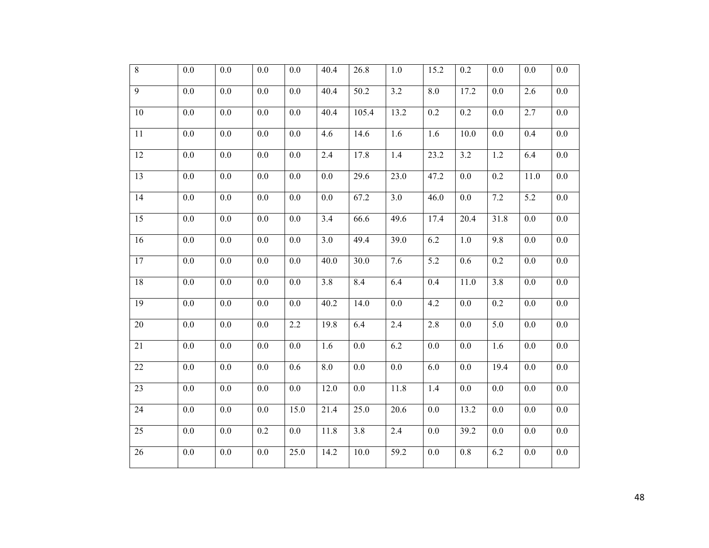| $\overline{8}$  | $0.0\,$          | 0.0     | 0.0     | $0.0\,$ | 40.4              | 26.8              | 1.0              | 15.2    | 0.2               | $0.0\,$          | $0.0\,$          | $0.0\,$          |
|-----------------|------------------|---------|---------|---------|-------------------|-------------------|------------------|---------|-------------------|------------------|------------------|------------------|
| $\overline{9}$  | $0.0\,$          | $0.0\,$ | $0.0\,$ | $0.0\,$ | 40.4              | 50.2              | $\overline{3.2}$ | 8.0     | 17.2              | 0.0              | $\overline{2.6}$ | $0.0\,$          |
| $\overline{10}$ | $0.0\,$          | $0.0\,$ | 0.0     | $0.0\,$ | $\overline{40.4}$ | 105.4             | 13.2             | 0.2     | 0.2               | 0.0              | 2.7              | $0.0\,$          |
| 11              | $\overline{0.0}$ | $0.0\,$ | 0.0     | $0.0\,$ | 4.6               | 14.6              | 1.6              | 1.6     | $\overline{10.0}$ | $\overline{0.0}$ | 0.4              | $0.0\,$          |
| 12              | $0.0\,$          | $0.0\,$ | $0.0\,$ | $0.0\,$ | 2.4               | 17.8              | $\overline{1.4}$ | 23.2    | 3.2               | $1.2\,$          | 6.4              | $0.0\,$          |
| $\overline{13}$ | $\overline{0.0}$ | $0.0\,$ | $0.0\,$ | $0.0\,$ | $\overline{0.0}$  | 29.6              | 23.0             | 47.2    | 0.0               | 0.2              | 11.0             | $0.0\,$          |
| 14              | 0.0              | 0.0     | 0.0     | 0.0     | 0.0               | 67.2              | $\overline{3.0}$ | 46.0    | 0.0               | 7.2              | 5.2              | $0.0\,$          |
| 15              | 0.0              | 0.0     | 0.0     | 0.0     | 3.4               | 66.6              | 49.6             | 17.4    | 20.4              | 31.8             | 0.0              | $0.0\,$          |
| 16              | $0.0\,$          | $0.0\,$ | 0.0     | $0.0\,$ | 3.0               | 49.4              | 39.0             | 6.2     | $1.0\,$           | $\overline{9.8}$ | $0.0\,$          | $0.0\,$          |
| 17              | 0.0              | 0.0     | 0.0     | 0.0     | 40.0              | 30.0              | 7.6              | 5.2     | 0.6               | 0.2              | 0.0              | $0.0\,$          |
| 18              | 0.0              | 0.0     | 0.0     | 0.0     | 3.8               | 8.4               | 6.4              | 0.4     | 11.0              | 3.8              | $0.0\,$          | $0.0\,$          |
| 19              | $0.0\,$          | 0.0     | 0.0     | $0.0\,$ | 40.2              | 14.0              | $0.0\,$          | 4.2     | 0.0               | 0.2              | 0.0              | $0.0\,$          |
| 20              | $0.0\,$          | $0.0\,$ | 0.0     | 2.2     | 19.8              | 6.4               | 2.4              | 2.8     | 0.0               | 5.0              | $0.0\,$          | $0.0\,$          |
| 21              | 0.0              | $0.0\,$ | 0.0     | 0.0     | 1.6               | $0.0\,$           | 6.2              | 0.0     | 0.0               | 1.6              | 0.0              | $\overline{0.0}$ |
| 22              | 0.0              | 0.0     | 0.0     | 0.6     | 8.0               | 0.0               | 0.0              | 6.0     | 0.0               | 19.4             | 0.0              | $0.0\,$          |
| 23              | $0.0\,$          | $0.0\,$ | 0.0     | $0.0\,$ | 12.0              | $0.0\,$           | 11.8             | 1.4     | 0.0               | 0.0              | 0.0              | $0.0\,$          |
| 24              | $\overline{0.0}$ | $0.0\,$ | $0.0\,$ | 15.0    | 21.4              | 25.0              | 20.6             | 0.0     | 13.2              | $\overline{0.0}$ | $0.0\,$          | $\overline{0.0}$ |
| 25              | 0.0              | 0.0     | 0.2     | 0.0     | 11.8              | 3.8               | $\overline{2.4}$ | 0.0     | 39.2              | 0.0              | 0.0              | 0.0              |
| 26              | $0.0\,$          | $0.0\,$ | $0.0\,$ | 25.0    | 14.2              | $\overline{10.0}$ | 59.2             | $0.0\,$ | 0.8               | 6.2              | $0.0\,$          | $\overline{0.0}$ |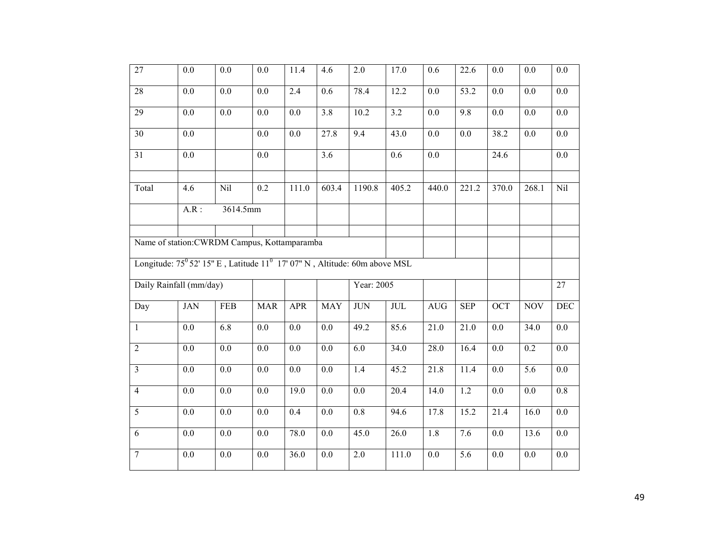| $\overline{27}$ | 0.0                                                                                         | 0.0              | 0.0              | 11.4             | 4.6              | 2.0              | 17.0                    | 0.6              | 22.6             | 0.0              | 0.0               | 0.0              |
|-----------------|---------------------------------------------------------------------------------------------|------------------|------------------|------------------|------------------|------------------|-------------------------|------------------|------------------|------------------|-------------------|------------------|
| $28\,$          | $0.0\,$                                                                                     | $0.0\,$          | $0.0\,$          | 2.4              | 0.6              | 78.4             | 12.2                    | $0.0\,$          | 53.2             | 0.0              | $0.0\,$           | $0.0\,$          |
| $\overline{29}$ | $0.0\,$                                                                                     | 0.0              | $0.0\,$          | $\overline{0.0}$ | $\overline{3.8}$ | 10.2             | 3.2                     | $0.0\,$          | 9.8              | $\overline{0.0}$ | $\overline{0.0}$  | $\overline{0.0}$ |
| 30              | $\overline{0.0}$                                                                            |                  | 0.0              | 0.0              | 27.8             | 9.4              | 43.0                    | 0.0              | 0.0              | 38.2             | 0.0               | 0.0              |
| 31              | $\overline{0.0}$                                                                            |                  | 0.0              |                  | 3.6              |                  | 0.6                     | 0.0              |                  | 24.6             |                   | 0.0              |
| Total           | 4.6                                                                                         | Nil              | 0.2              | 111.0            | 603.4            | 1190.8           | 405.2                   | 440.0            | 221.2            | 370.0            | 268.1             | Nil              |
|                 | $A.R$ :                                                                                     | 3614.5mm         |                  |                  |                  |                  |                         |                  |                  |                  |                   |                  |
|                 | Name of station: CWRDM Campus, Kottamparamba                                                |                  |                  |                  |                  |                  |                         |                  |                  |                  |                   |                  |
|                 | Longitude: $75^{\circ}$ 52' 15" E, Latitude $11^{\circ}$ 17' 07" N, Altitude: 60m above MSL |                  |                  |                  |                  |                  |                         |                  |                  |                  |                   |                  |
|                 | Daily Rainfall (mm/day)                                                                     |                  |                  |                  |                  | Year: 2005       |                         |                  |                  |                  |                   | 27               |
| Day             | <b>JAN</b>                                                                                  | FEB              | <b>MAR</b>       | <b>APR</b>       | <b>MAY</b>       | <b>JUN</b>       | $\overline{\text{JUL}}$ | AUG              | <b>SEP</b>       | <b>OCT</b>       | <b>NOV</b>        | <b>DEC</b>       |
| $\mathbf{1}$    | $0.0\,$                                                                                     | 6.8              | 0.0              | 0.0              | 0.0              | 49.2             | 85.6                    | 21.0             | 21.0             | $\overline{0.0}$ | $\overline{3}4.0$ | $0.0\,$          |
| $\overline{2}$  | 0.0                                                                                         | 0.0              | 0.0              | 0.0              | 0.0              | 6.0              | 34.0                    | 28.0             | 16.4             | 0.0              | 0.2               | 0.0              |
| $\overline{3}$  | 0.0                                                                                         | 0.0              | 0.0              | 0.0              | $\overline{0.0}$ | 1.4              | 45.2                    | 21.8             | 11.4             | $\overline{0.0}$ | $\overline{5.6}$  | $\overline{0.0}$ |
| $\overline{4}$  | $\overline{0.0}$                                                                            | $\overline{0.0}$ | $\overline{0.0}$ | 19.0             | $\overline{0.0}$ | $\overline{0.0}$ | 20.4                    | 14.0             | 1.2              | 0.0              | $\overline{0.0}$  | 0.8              |
| $\overline{5}$  | $\overline{0.0}$                                                                            | 0.0              | 0.0              | 0.4              | 0.0              | $\overline{0.8}$ | 94.6                    | 17.8             | 15.2             | 21.4             | 16.0              | 0.0              |
| $\overline{6}$  | $\overline{0.0}$                                                                            | $\overline{0.0}$ | $\overline{0.0}$ | 78.0             | $\overline{0.0}$ | 45.0             | $\overline{26.0}$       | $\overline{1.8}$ | 7.6              | $\overline{0.0}$ | 13.6              | 0.0              |
| $\overline{7}$  | $0.0\,$                                                                                     | 0.0              | $0.0\,$          | 36.0             | $0.0\,$          | 2.0              | 111.0                   | $0.0\,$          | $\overline{5.6}$ | $0.0\,$          | $0.0\,$           | $0.0\,$          |
|                 |                                                                                             |                  |                  |                  |                  |                  |                         |                  |                  |                  |                   |                  |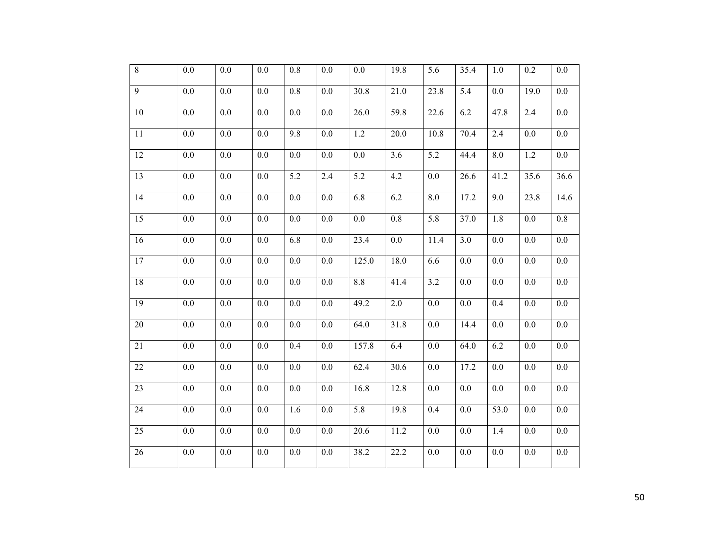| $\overline{8}$  | $0.0\,$          | $0.0\,$ | 0.0              | 0.8     | 0.0              | $0.0\,$           | 19.8              | 5.6     | 35.4 | 1.0              | 0.2               | $0.0\,$          |
|-----------------|------------------|---------|------------------|---------|------------------|-------------------|-------------------|---------|------|------------------|-------------------|------------------|
| $\overline{9}$  | 0.0              | 0.0     | 0.0              | 0.8     | 0.0              | $\overline{30.8}$ | 21.0              | 23.8    | 5.4  | 0.0              | $\overline{19.0}$ | 0.0              |
| $10\,$          | $0.0\,$          | $0.0\,$ | $0.0\,$          | $0.0\,$ | $0.0\,$          | 26.0              | 59.8              | 22.6    | 6.2  | 47.8             | 2.4               | $0.0\,$          |
| 11              | $\overline{0.0}$ | $0.0\,$ | 0.0              | 9.8     | $\overline{0.0}$ | 1.2               | $\overline{2}0.0$ | 10.8    | 70.4 | 2.4              | $0.0\,$           | $0.0\,$          |
| 12              | 0.0              | 0.0     | 0.0              | 0.0     | 0.0              | 0.0               | $\overline{3.6}$  | 5.2     | 44.4 | 8.0              | 1.2               | $0.0\,$          |
| 13              | $0.0\,$          | $0.0\,$ | $0.0\,$          | 5.2     | 2.4              | $\overline{5.2}$  | 4.2               | 0.0     | 26.6 | 41.2             | 35.6              | 36.6             |
| $\overline{14}$ | 0.0              | 0.0     | 0.0              | 0.0     | $0.0\,$          | 6.8               | 6.2               | 8.0     | 17.2 | 9.0              | 23.8              | 14.6             |
| 15              | 0.0              | 0.0     | 0.0              | 0.0     | 0.0              | 0.0               | 0.8               | 5.8     | 37.0 | 1.8              | 0.0               | 0.8              |
| 16              | $0.0\,$          | 0.0     | 0.0              | 6.8     | $0.0\,$          | 23.4              | $0.0\,$           | 11.4    | 3.0  | $0.0\,$          | $0.0\,$           | $0.0\,$          |
| 17              | 0.0              | 0.0     | 0.0              | 0.0     | 0.0              | 125.0             | 18.0              | 6.6     | 0.0  | 0.0              | 0.0               | $0.0\,$          |
| 18              | 0.0              | 0.0     | 0.0              | 0.0     | 0.0              | 8.8               | 41.4              | 3.2     | 0.0  | 0.0              | 0.0               | $0.0\,$          |
| 19              | 0.0              | 0.0     | 0.0              | $0.0\,$ | 0.0              | 49.2              | 2.0               | 0.0     | 0.0  | 0.4              | 0.0               | $0.0\,$          |
| 20              | 0.0              | 0.0     | 0.0              | 0.0     | 0.0              | 64.0              | 31.8              | 0.0     | 14.4 | 0.0              | 0.0               | $0.0\,$          |
| 21              | $0.0\,$          | 0.0     | 0.0              | 0.4     | 0.0              | 157.8             | 6.4               | 0.0     | 64.0 | 6.2              | $0.0\,$           | $0.0\,$          |
| 22              | $0.0\,$          | $0.0\,$ | 0.0              | $0.0\,$ | 0.0              | 62.4              | 30.6              | 0.0     | 17.2 | $\overline{0.0}$ | $0.0\,$           | $0.0\,$          |
| 23              | 0.0              | 0.0     | 0.0              | 0.0     | 0.0              | 16.8              | 12.8              | $0.0\,$ | 0.0  | 0.0              | 0.0               | $0.0\,$          |
| 24              | 0.0              | $0.0\,$ | 0.0              | 1.6     | 0.0              | 5.8               | 19.8              | 0.4     | 0.0  | 53.0             | 0.0               | $0.0\,$          |
| 25              | 0.0              | 0.0     | 0.0              | 0.0     | 0.0              | 20.6              | 11.2              | 0.0     | 0.0  | 1.4              | 0.0               | 0.0              |
| $\overline{26}$ | $\overline{0.0}$ | 0.0     | $\overline{0.0}$ | $0.0\,$ | 0.0              | 38.2              | 22.2              | $0.0\,$ | 0.0  | 0.0              | 0.0               | $\overline{0.0}$ |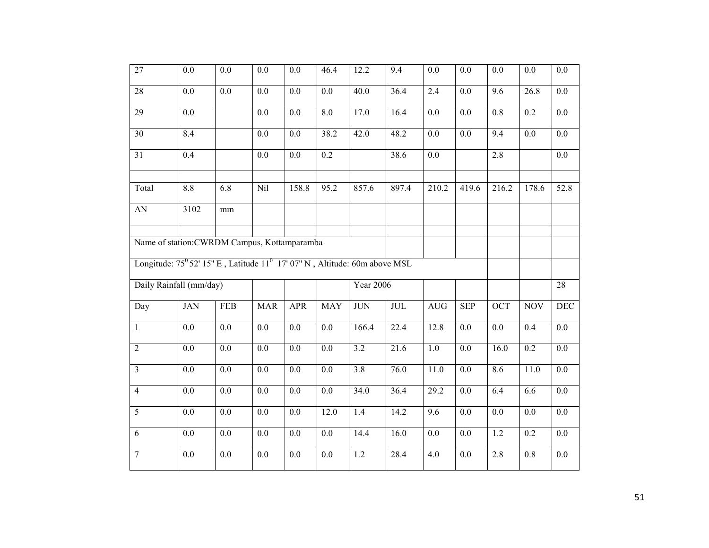| $\overline{27}$ | 0.0                                                                                                                                         | 0.0              | 0.0              | 0.0              | 46.4             | 12.2              | 9.4                     | 0.0              | 0.0              | 0.0              | 0.0              | 0.0              |
|-----------------|---------------------------------------------------------------------------------------------------------------------------------------------|------------------|------------------|------------------|------------------|-------------------|-------------------------|------------------|------------------|------------------|------------------|------------------|
| $28\,$          | $0.0\,$                                                                                                                                     | $0.0\,$          | $0.0\,$          | $0.0\,$          | 0.0              | 40.0              | 36.4                    | 2.4              | 0.0              | $\overline{9.6}$ | 26.8             | $0.0\,$          |
| $\overline{29}$ | $0.0\,$                                                                                                                                     |                  | $0.0\,$          | $\overline{0.0}$ | 8.0              | $\overline{17.0}$ | $\overline{16.4}$       | $0.0\,$          | 0.0              | $\overline{0.8}$ | 0.2              | $\overline{0.0}$ |
| 30              | 8.4                                                                                                                                         |                  | 0.0              | 0.0              | 38.2             | 42.0              | 48.2                    | 0.0              | 0.0              | 9.4              | 0.0              | 0.0              |
| 31              | $\overline{0.4}$                                                                                                                            |                  | 0.0              | 0.0              | $\overline{0.2}$ |                   | 38.6                    | 0.0              |                  | 2.8              |                  | 0.0              |
| Total           | 8.8                                                                                                                                         | 6.8              | Nil              | 158.8            | 95.2             | 857.6             | 897.4                   | 210.2            | 419.6            | 216.2            | 178.6            | 52.8             |
| <b>AN</b>       | 3102                                                                                                                                        | mm               |                  |                  |                  |                   |                         |                  |                  |                  |                  |                  |
|                 | Name of station: CWRDM Campus, Kottamparamba<br>Longitude: $75^{\circ}$ 52' 15" E, Latitude $11^{\circ}$ 17' 07" N, Altitude: 60m above MSL |                  |                  |                  |                  |                   |                         |                  |                  |                  |                  |                  |
|                 | Daily Rainfall (mm/day)                                                                                                                     |                  |                  |                  |                  | <b>Year 2006</b>  |                         |                  |                  |                  |                  | 28               |
| Day             | <b>JAN</b>                                                                                                                                  | FEB              | <b>MAR</b>       | <b>APR</b>       | <b>MAY</b>       | <b>JUN</b>        | $\overline{\text{JUL}}$ | AUG              | <b>SEP</b>       | <b>OCT</b>       | <b>NOV</b>       | <b>DEC</b>       |
| $\mathbf{1}$    | $0.0\,$                                                                                                                                     | $0.0\,$          | $0.0\,$          | $0.0\,$          | 0.0              | 166.4             | 22.4                    | 12.8             | $0.0\,$          | 0.0              | 0.4              | $0.0\,$          |
| $\overline{2}$  | 0.0                                                                                                                                         | 0.0              | 0.0              | 0.0              | 0.0              | 3.2               | 21.6                    | 1.0              | 0.0              | 16.0             | 0.2              | 0.0              |
| $\overline{3}$  | 0.0                                                                                                                                         | 0.0              | 0.0              | 0.0              | $\overline{0.0}$ | 3.8               | 76.0                    | 11.0             | $\overline{0.0}$ | 8.6              | 11.0             | $\overline{0.0}$ |
| $\overline{4}$  | $\overline{0.0}$                                                                                                                            | $\overline{0.0}$ | $\overline{0.0}$ | $\overline{0.0}$ | $\overline{0.0}$ | 34.0              | 36.4                    | 29.2             | 0.0              | 6.4              | 6.6              | 0.0              |
| $\overline{5}$  | $\overline{0.0}$                                                                                                                            | 0.0              | 0.0              | $\overline{0.0}$ | 12.0             | 1.4               | 14.2                    | 9.6              | 0.0              | $\overline{0.0}$ | 0.0              | 0.0              |
| $\overline{6}$  | $\overline{0.0}$                                                                                                                            | $\overline{0.0}$ | $\overline{0.0}$ | $\overline{0.0}$ | $\overline{0.0}$ | 14.4              | 16.0                    | $\overline{0.0}$ | $\overline{0.0}$ | 1.2              | $\overline{0.2}$ | 0.0              |
| $\overline{7}$  | $0.0\,$                                                                                                                                     | 0.0              | $0.0\,$          | $0.0\,$          | $0.0\,$          | $1.2\,$           | 28.4                    | 4.0              | $0.0\,$          | 2.8              | $0.8\,$          | $0.0\,$          |
|                 |                                                                                                                                             |                  |                  |                  |                  |                   |                         |                  |                  |                  |                  |                  |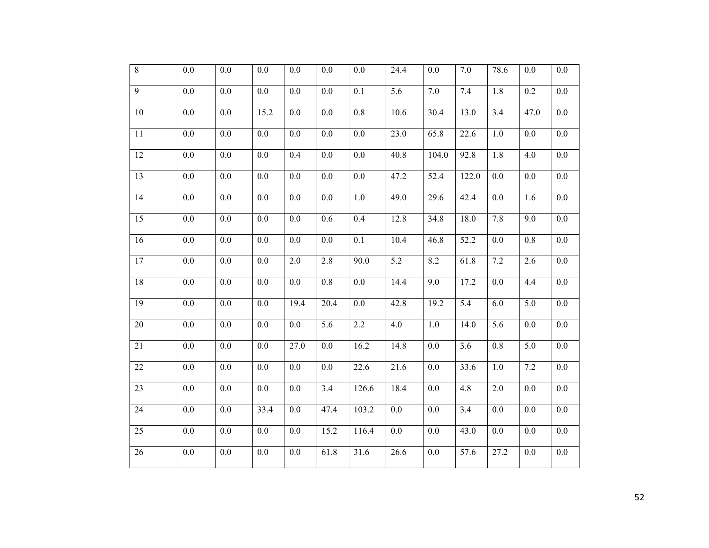| $\overline{8}$  | $0.0\,$          | $0.0\,$ | 0.0     | 0.0     | 0.0              | $0.0\,$          | 24.4             | $0.0\,$ | 7.0   | 78.6             | $0.0\,$ | $0.0\,$          |
|-----------------|------------------|---------|---------|---------|------------------|------------------|------------------|---------|-------|------------------|---------|------------------|
| $\overline{9}$  | $0.0\,$          | $0.0\,$ | $0.0\,$ | $0.0\,$ | $0.0\,$          | 0.1              | $\overline{5.6}$ | $7.0\,$ | 7.4   | 1.8              | 0.2     | $0.0\,$          |
| $10\,$          | $0.0\,$          | $0.0\,$ | 15.2    | $0.0\,$ | 0.0              | $0.8\,$          | 10.6             | 30.4    | 13.0  | 3.4              | 47.0    | $0.0\,$          |
| 11              | $0.0\,$          | $0.0\,$ | 0.0     | $0.0\,$ | $0.0\,$          | $0.0\,$          | 23.0             | 65.8    | 22.6  | $1.0\,$          | 0.0     | $0.0\,$          |
| 12              | $0.0\,$          | $0.0\,$ | 0.0     | 0.4     | 0.0              | $\overline{0.0}$ | 40.8             | 104.0   | 92.8  | 1.8              | 4.0     | $0.0\,$          |
| $\overline{13}$ | $\overline{0.0}$ | $0.0\,$ | $0.0\,$ | $0.0\,$ | $\overline{0.0}$ | $0.0\,$          | 47.2             | 52.4    | 122.0 | $\overline{0.0}$ | $0.0\,$ | $0.0\,$          |
| 14              | 0.0              | 0.0     | 0.0     | 0.0     | 0.0              | 1.0              | 49.0             | 29.6    | 42.4  | 0.0              | 1.6     | $0.0\,$          |
| 15              | 0.0              | 0.0     | 0.0     | 0.0     | 0.6              | 0.4              | 12.8             | 34.8    | 18.0  | 7.8              | 9.0     | $0.0\,$          |
| 16              | $0.0\,$          | $0.0\,$ | 0.0     | $0.0\,$ | $\overline{0.0}$ | 0.1              | 10.4             | 46.8    | 52.2  | 0.0              | $0.8\,$ | $0.0\,$          |
| 17              | 0.0              | 0.0     | 0.0     | 2.0     | 2.8              | 90.0             | 5.2              | 8.2     | 61.8  | 7.2              | 2.6     | $0.0\,$          |
| 18              | 0.0              | 0.0     | 0.0     | 0.0     | 0.8              | 0.0              | 14.4             | 9.0     | 17.2  | 0.0              | 4.4     | $0.0\,$          |
| 19              | $0.0\,$          | 0.0     | 0.0     | 19.4    | 20.4             | 0.0              | 42.8             | 19.2    | 5.4   | 6.0              | 5.0     | $0.0\,$          |
| 20              | $0.0\,$          | 0.0     | 0.0     | $0.0\,$ | 5.6              | $2.2\,$          | 4.0              | $1.0$   | 14.0  | 5.6              | $0.0\,$ | $0.0\,$          |
| 21              | $0.0\,$          | $0.0\,$ | 0.0     | 27.0    | 0.0              | 16.2             | 14.8             | 0.0     | 3.6   | 0.8              | 5.0     | $0.0\,$          |
| 22              | $0.0\,$          | $0.0\,$ | 0.0     | 0.0     | 0.0              | 22.6             | 21.6             | 0.0     | 33.6  | $1.0\,$          | 7.2     | $0.0\,$          |
| 23              | $0.0\,$          | 0.0     | 0.0     | $0.0\,$ | 3.4              | 126.6            | 18.4             | 0.0     | 4.8   | 2.0              | 0.0     | $0.0\,$          |
| 24              | $\overline{0.0}$ | $0.0\,$ | 33.4    | $0.0\,$ | 47.4             | 103.2            | $0.0\,$          | $0.0\,$ | 3.4   | 0.0              | $0.0\,$ | $0.0\,$          |
| 25              | 0.0              | 0.0     | 0.0     | 0.0     | 15.2             | 116.4            | 0.0              | 0.0     | 43.0  | 0.0              | 0.0     | $0.0\,$          |
| 26              | $\overline{0.0}$ | 0.0     | 0.0     | $0.0\,$ | 61.8             | 31.6             | 26.6             | 0.0     | 57.6  | 27.2             | 0.0     | $\overline{0.0}$ |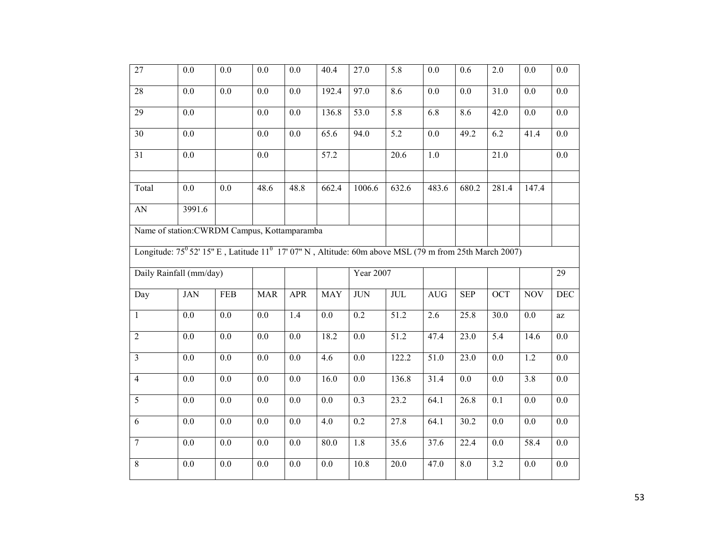| 27                      | 0.0                                                                                                                           | $0.0\,$ | 0.0        | 0.0              | 40.4             | 27.0              | 5.8                       | 0.0              | 0.6               | 2.0              | 0.0              | 0.0              |
|-------------------------|-------------------------------------------------------------------------------------------------------------------------------|---------|------------|------------------|------------------|-------------------|---------------------------|------------------|-------------------|------------------|------------------|------------------|
| 28                      | 0.0                                                                                                                           | 0.0     | 0.0        | $\overline{0.0}$ | 192.4            | 97.0              | 8.6                       | $\overline{0.0}$ | $\overline{0.0}$  | 31.0             | $\overline{0.0}$ | 0.0              |
| $\overline{29}$         | 0.0                                                                                                                           |         | 0.0        | $0.0\,$          | 136.8            | 53.0              | 5.8                       | 6.8              | 8.6               | 42.0             | 0.0              | $\overline{0.0}$ |
| $\overline{30}$         | $\overline{0.0}$                                                                                                              |         | 0.0        | $\overline{0.0}$ | 65.6             | 94.0              | $\overline{5.2}$          | 0.0              | 49.2              | 6.2              | 41.4             | 0.0              |
| 31                      | 0.0                                                                                                                           |         | 0.0        |                  | 57.2             |                   | 20.6                      | 1.0              |                   | 21.0             |                  | $0.0\,$          |
| Total                   | 0.0                                                                                                                           | 0.0     | 48.6       | 48.8             | 662.4            | 1006.6            | 632.6                     | 483.6            | 680.2             | 281.4            | 147.4            |                  |
| AN                      | 3991.6                                                                                                                        |         |            |                  |                  |                   |                           |                  |                   |                  |                  |                  |
|                         | Name of station: CWRDM Campus, Kottamparamba                                                                                  |         |            |                  |                  |                   |                           |                  |                   |                  |                  |                  |
|                         | Longitude: 75 <sup>0</sup> 52' 15" E, Latitude 11 <sup>0</sup> 17' 07" N, Altitude: 60m above MSL (79 m from 25th March 2007) |         |            |                  |                  |                   |                           |                  |                   |                  |                  |                  |
|                         | Daily Rainfall (mm/day)                                                                                                       |         |            |                  |                  | Year 2007         |                           |                  |                   |                  |                  | $\overline{29}$  |
| Day                     | <b>JAN</b>                                                                                                                    | FEB     | <b>MAR</b> | <b>APR</b>       | <b>MAY</b>       | $\rm JUN$         | $\ensuremath{\text{JUL}}$ | AUG              | <b>SEP</b>        | <b>OCT</b>       | <b>NOV</b>       | <b>DEC</b>       |
| $\mathbf{1}$            | 0.0                                                                                                                           | $0.0\,$ | 0.0        | 1.4              | 0.0              | 0.2               | $\overline{51.2}$         | 2.6              | 25.8              | 30.0             | 0.0              | az               |
| $\overline{2}$          | $\overline{0.0}$                                                                                                              | 0.0     | 0.0        | $\overline{0.0}$ | 18.2             | $\overline{0.0}$  | $\overline{51.2}$         | 47.4             | $\overline{23.0}$ | $\overline{5.4}$ | 14.6             | 0.0              |
| $\overline{\mathbf{3}}$ | 0.0                                                                                                                           | $0.0\,$ | 0.0        | 0.0              | $\overline{4.6}$ | 0.0               | 122.2                     | 51.0             | 23.0              | $\overline{0.0}$ | 1.2              | 0.0              |
| $\overline{4}$          | 0.0                                                                                                                           | 0.0     | 0.0        | 0.0              | 16.0             | 0.0               | 136.8                     | 31.4             | 0.0               | 0.0              | $\overline{3.8}$ | 0.0              |
| 5                       | 0.0                                                                                                                           | 0.0     | 0.0        | 0.0              | 0.0              | 0.3               | 23.2                      | 64.1             | 26.8              | 0.1              | 0.0              | $0.0\,$          |
| 6                       | 0.0                                                                                                                           | 0.0     | 0.0        | 0.0              | 4.0              | 0.2               | 27.8                      | 64.1             | 30.2              | 0.0              | 0.0              | 0.0              |
| $\overline{7}$          | $0.0\,$                                                                                                                       | 0.0     | 0.0        | $0.0\,$          | 80.0             | 1.8               | 35.6                      | 37.6             | 22.4              | 0.0              | 58.4             | $0.0\,$          |
| $\overline{8}$          | 0.0                                                                                                                           | 0.0     | 0.0        | 0.0              | 0.0              | $\overline{10.8}$ | $\overline{20.0}$         | 47.0             | 8.0               | 3.2              | 0.0              | 0.0              |
|                         |                                                                                                                               |         |            |                  |                  |                   |                           |                  |                   |                  |                  |                  |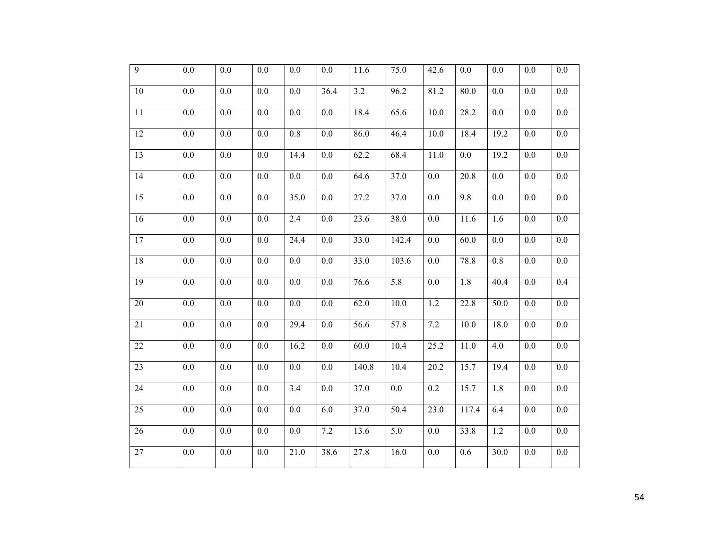| $\overline{9}$  | $0.0\,$ | 0.0     | 0.0     | 0.0     | 0.0     | 11.6              | 75.0             | 42.6              | 0.0   | 0.0               | 0.0     | $0.0\,$          |
|-----------------|---------|---------|---------|---------|---------|-------------------|------------------|-------------------|-------|-------------------|---------|------------------|
| $10\,$          | $0.0\,$ | $0.0\,$ | $0.0\,$ | $0.0\,$ | 36.4    | $\overline{3.2}$  | 96.2             | 81.2              | 80.0  | 0.0               | $0.0\,$ | $0.0\,$          |
| 11              | $0.0\,$ | $0.0\,$ | 0.0     | 0.0     | 0.0     | 18.4              | 65.6             | $\overline{10.0}$ | 28.2  | 0.0               | 0.0     | $0.0\,$          |
| 12              | $0.0\,$ | $0.0\,$ | $0.0\,$ | $0.8\,$ | $0.0\,$ | 86.0              | 46.4             | 10.0              | 18.4  | 19.2              | $0.0\,$ | $0.0\,$          |
| 13              | $0.0\,$ | $0.0\,$ | $0.0\,$ | 14.4    | $0.0\,$ | 62.2              | 68.4             | 11.0              | 0.0   | $\overline{19.2}$ | $0.0\,$ | $0.0\,$          |
| 14              | 0.0     | 0.0     | 0.0     | 0.0     | 0.0     | 64.6              | 37.0             | 0.0               | 20.8  | 0.0               | 0.0     | $0.0\,$          |
| 15              | 0.0     | 0.0     | 0.0     | 35.0    | 0.0     | 27.2              | 37.0             | 0.0               | 9.8   | 0.0               | 0.0     | $0.0\,$          |
| 16              | 0.0     | 0.0     | 0.0     | 2.4     | 0.0     | 23.6              | 38.0             | 0.0               | 11.6  | 1.6               | $0.0\,$ | $0.0\,$          |
| 17              | 0.0     | 0.0     | 0.0     | 24.4    | 0.0     | 33.0              | 142.4            | 0.0               | 60.0  | 0.0               | 0.0     | 0.0              |
| 18              | 0.0     | 0.0     | 0.0     | 0.0     | 0.0     | 33.0              | 103.6            | 0.0               | 78.8  | $0.8\,$           | 0.0     | $0.0\,$          |
| 19              | $0.0\,$ | $0.0\,$ | $0.0\,$ | $0.0\,$ | 0.0     | 76.6              | 5.8              | 0.0               | 1.8   | 40.4              | $0.0\,$ | 0.4              |
| 20              | 0.0     | 0.0     | 0.0     | 0.0     | 0.0     | 62.0              | 10.0             | 1.2               | 22.8  | 50.0              | 0.0     | $0.0\,$          |
| 21              | 0.0     | 0.0     | 0.0     | 29.4    | 0.0     | 56.6              | 57.8             | 7.2               | 10.0  | 18.0              | 0.0     | $0.0\,$          |
| 22              | $0.0\,$ | $0.0\,$ | 0.0     | 16.2    | 0.0     | 60.0              | 10.4             | 25.2              | 11.0  | 4.0               | 0.0     | $0.0\,$          |
| 23              | $0.0\,$ | 0.0     | 0.0     | 0.0     | 0.0     | 140.8             | 10.4             | 20.2              | 15.7  | 19.4              | 0.0     | $0.0\,$          |
| 24              | $0.0\,$ | 0.0     | 0.0     | 3.4     | 0.0     | 37.0              | 0.0              | 0.2               | 15.7  | 1.8               | 0.0     | $0.0\,$          |
| 25              | 0.0     | $0.0\,$ | $0.0\,$ | 0.0     | 6.0     | 37.0              | 50.4             | 23.0              | 117.4 | 6.4               | 0.0     | $0.0\,$          |
| 26              | 0.0     | 0.0     | 0.0     | 0.0     | 7.2     | 13.6              | $\overline{5.0}$ | 0.0               | 33.8  | 1.2               | 0.0     | 0.0              |
| $\overline{27}$ | 0.0     | 0.0     | 0.0     | 21.0    | 38.6    | $\overline{27.8}$ | 16.0             | 0.0               | 0.6   | $\overline{30.0}$ | 0.0     | $\overline{0.0}$ |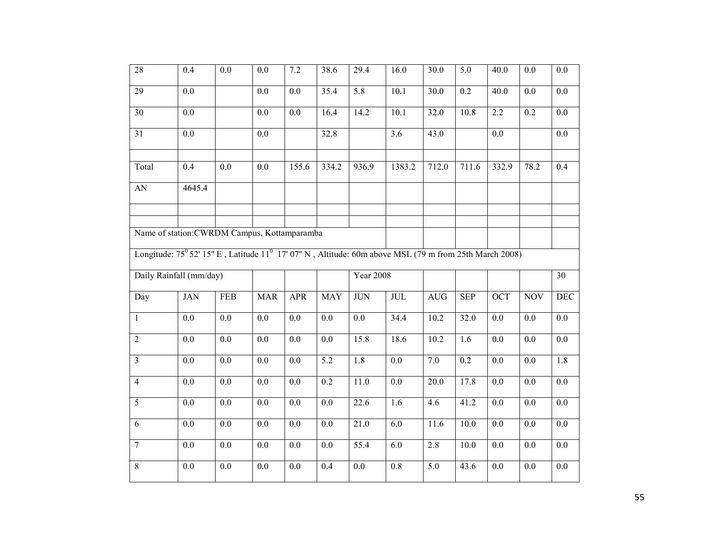| 28              | 0.4                                                                                                                           | 0.0        | 0.0              | $7.2\,$          | 38.6             | 29.4             | 16.0             | 30.0              | 5.0              | 40.0             | 0.0              | 0.0              |
|-----------------|-------------------------------------------------------------------------------------------------------------------------------|------------|------------------|------------------|------------------|------------------|------------------|-------------------|------------------|------------------|------------------|------------------|
| 29              | $0.0\,$                                                                                                                       |            | $0.0\,$          | $0.0\,$          | 35.4             | 5.8              | 10.1             | 30.0              | 0.2              | 40.0             | $0.0\,$          | 0.0              |
| $\overline{30}$ | 0.0                                                                                                                           |            | $\overline{0.0}$ | $\overline{0.0}$ | 16.4             | 14.2             | 10.1             | 32.0              | 10.8             | $\overline{2.2}$ | $\overline{0.2}$ | $\overline{0.0}$ |
| $\overline{31}$ | $\overline{0.0}$                                                                                                              |            | 0.0              |                  | 32.8             |                  | $\overline{3.6}$ | 43.0              |                  | $\overline{0.0}$ |                  | $\overline{0.0}$ |
| Total           | 0.4                                                                                                                           | 0.0        | 0.0              | 155.6            | 334.2            | 936.9            | 1383.2           | 712.0             | 711.6            | 332.9            | 78.2             | 0.4              |
| ${\rm AN}$      | 4645.4                                                                                                                        |            |                  |                  |                  |                  |                  |                   |                  |                  |                  |                  |
|                 |                                                                                                                               |            |                  |                  |                  |                  |                  |                   |                  |                  |                  |                  |
|                 | Name of station: CWRDM Campus, Kottamparamba                                                                                  |            |                  |                  |                  |                  |                  |                   |                  |                  |                  |                  |
|                 | Longitude: 75 <sup>0</sup> 52' 15" E, Latitude 11 <sup>0</sup> 17' 07" N, Altitude: 60m above MSL (79 m from 25th March 2008) |            |                  |                  |                  |                  |                  |                   |                  |                  |                  |                  |
|                 | Daily Rainfall (mm/day)                                                                                                       |            |                  |                  |                  | <b>Year 2008</b> |                  |                   |                  |                  |                  | 30               |
| Day             | <b>JAN</b>                                                                                                                    | <b>FEB</b> | <b>MAR</b>       | <b>APR</b>       | <b>MAY</b>       | <b>JUN</b>       | JUL              | <b>AUG</b>        | <b>SEP</b>       | $\overline{OCT}$ | <b>NOV</b>       | <b>DEC</b>       |
| $\mathbf{1}$    | 0.0                                                                                                                           | $0.0\,$    | $0.0\,$          | 0.0              | 0.0              | 0.0              | $\frac{1}{34.4}$ | 10.2              | 32.0             | $\overline{0.0}$ | 0.0              | $\overline{0.0}$ |
| $\overline{2}$  | $0.0\,$                                                                                                                       | $0.0\,$    | $0.0\,$          | 0.0              | $0.0\,$          | 15.8             | 18.6             | 10.2              | 1.6              | 0.0              | $0.0\,$          | $0.0\,$          |
| $\overline{3}$  | $\overline{0.0}$                                                                                                              | $0.0\,$    | $\overline{0.0}$ | $\overline{0.0}$ | $\overline{5.2}$ | 1.8              | $\overline{0.0}$ | 7.0               | $\overline{0.2}$ | $\overline{0.0}$ | $\overline{0.0}$ | $\overline{1.8}$ |
| $\overline{4}$  | 0.0                                                                                                                           | $0.0\,$    | 0.0              | 0.0              | $\overline{0.2}$ | 11.0             | $\overline{0.0}$ | $\overline{20.0}$ | 17.8             | 0.0              | 0.0              | $\overline{0.0}$ |
| 5               | $0.0\,$                                                                                                                       | $0.0\,$    | $0.0\,$          | 0.0              | $0.0\,$          | 22.6             | 1.6              | 4.6               | 41.2             | 0.0              | 0.0              | 0.0              |
| 6               | 0.0                                                                                                                           | 0.0        | 0.0              | 0.0              | $\overline{0.0}$ | 21.0             | 6.0              | $\overline{11.6}$ | 10.0             | 0.0              | 0.0              | 0.0              |
| $\overline{7}$  | 0.0                                                                                                                           | 0.0        | 0.0              | 0.0              | 0.0              | 55.4             | 6.0              | 2.8               | 10.0             | 0.0              | 0.0              | 0.0              |
| $\overline{8}$  | $\overline{0.0}$                                                                                                              | $0.0\,$    | 0.0              | $0.0\,$          | 0.4              | 0.0              | $\overline{0.8}$ | $\overline{5.0}$  | 43.6             | 0.0              | 0.0              | $\overline{0.0}$ |
|                 |                                                                                                                               |            |                  |                  |                  |                  |                  |                   |                  |                  |                  |                  |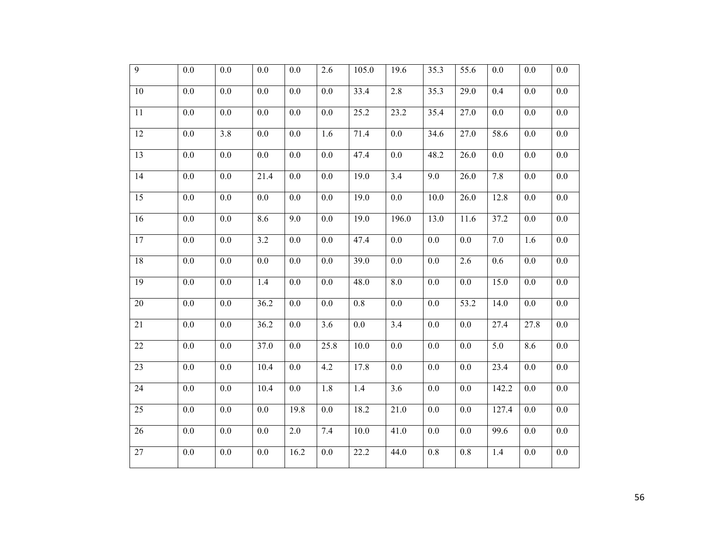| $\overline{9}$  | 0.0              | 0.0              | 0.0     | 0.0     | 2.6     | 105.0             | 19.6             | 35.3             | 55.6 | 0.0   | 0.0     | 0.0              |
|-----------------|------------------|------------------|---------|---------|---------|-------------------|------------------|------------------|------|-------|---------|------------------|
| $10\,$          | 0.0              | 0.0              | 0.0     | 0.0     | 0.0     | 33.4              | 2.8              | 35.3             | 29.0 | 0.4   | 0.0     | 0.0              |
| 11              | $0.0\,$          | $0.0\,$          | $0.0\,$ | $0.0\,$ | $0.0\,$ | $\overline{2}5.2$ | 23.2             | 35.4             | 27.0 | 0.0   | 0.0     | $0.0\,$          |
| $\overline{12}$ | $\overline{0.0}$ | $\overline{3.8}$ | 0.0     | $0.0\,$ | 1.6     | 71.4              | $\overline{0.0}$ | 34.6             | 27.0 | 58.6  | $0.0\,$ | 0.0              |
| 13              | 0.0              | 0.0              | 0.0     | 0.0     | 0.0     | 47.4              | 0.0              | 48.2             | 26.0 | 0.0   | 0.0     | $0.0\,$          |
| 14              | 0.0              | $0.0\,$          | 21.4    | 0.0     | 0.0     | $\overline{19.0}$ | 3.4              | 9.0              | 26.0 | 7.8   | $0.0\,$ | $0.0\,$          |
| 15              | 0.0              | 0.0              | 0.0     | 0.0     | 0.0     | 19.0              | $0.0\,$          | 10.0             | 26.0 | 12.8  | $0.0\,$ | $0.0\,$          |
| 16              | 0.0              | 0.0              | 8.6     | 9.0     | 0.0     | 19.0              | 196.0            | 13.0             | 11.6 | 37.2  | 0.0     | 0.0              |
| 17              | $0.0\,$          | 0.0              | 3.2     | 0.0     | $0.0\,$ | 47.4              | $0.0\,$          | 0.0              | 0.0  | 7.0   | 1.6     | $0.0\,$          |
| 18              | 0.0              | 0.0              | 0.0     | 0.0     | 0.0     | 39.0              | 0.0              | 0.0              | 2.6  | 0.6   | 0.0     | $0.0\,$          |
| 19              | 0.0              | 0.0              | 1.4     | 0.0     | 0.0     | 48.0              | 8.0              | 0.0              | 0.0  | 15.0  | 0.0     | $0.0\,$          |
| 20              | 0.0              | 0.0              | 36.2    | 0.0     | 0.0     | 0.8               | $0.0\,$          | 0.0              | 53.2 | 14.0  | $0.0\,$ | 0.0              |
| 21              | 0.0              | 0.0              | 36.2    | 0.0     | 3.6     | 0.0               | 3.4              | 0.0              | 0.0  | 27.4  | 27.8    | 0.0              |
| 22              | $0.0\,$          | 0.0              | 37.0    | 0.0     | 25.8    | 10.0              | $0.0\,$          | 0.0              | 0.0  | 5.0   | 8.6     | $0.0\,$          |
| 23              | $0.0\,$          | $0.0\,$          | 10.4    | $0.0\,$ | 4.2     | 17.8              | $0.0\,$          | 0.0              | 0.0  | 23.4  | $0.0\,$ | $0.0\,$          |
| 24              | 0.0              | 0.0              | 10.4    | 0.0     | 1.8     | 1.4               | 3.6              | 0.0              | 0.0  | 142.2 | 0.0     | $0.0\,$          |
| 25              | 0.0              | $0.0\,$          | 0.0     | 19.8    | 0.0     | 18.2              | 21.0             | 0.0              | 0.0  | 127.4 | 0.0     | $0.0\,$          |
| 26              | 0.0              | 0.0              | 0.0     | 2.0     | 7.4     | 10.0              | 41.0             | 0.0              | 0.0  | 99.6  | 0.0     | 0.0              |
| $\overline{27}$ | 0.0              | 0.0              | 0.0     | 16.2    | 0.0     | 22.2              | 44.0             | $\overline{0.8}$ | 0.8  | 1.4   | 0.0     | $\overline{0.0}$ |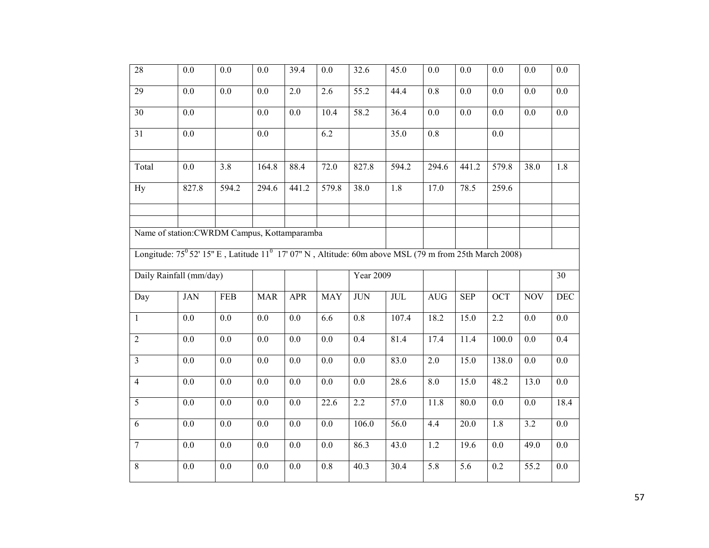| $\overline{28}$ | 0.0                                                                                                                        | 0.0              | 0.0              | 39.4             | 0.0              | 32.6             | 45.0  | 0.0              | 0.0              | 0.0              | 0.0              | 0.0              |
|-----------------|----------------------------------------------------------------------------------------------------------------------------|------------------|------------------|------------------|------------------|------------------|-------|------------------|------------------|------------------|------------------|------------------|
| $\overline{29}$ | 0.0                                                                                                                        | $0.0\,$          | $0.0\,$          | $\overline{2.0}$ | $\overline{2.6}$ | 55.2             | 44.4  | $\overline{0.8}$ | 0.0              | $\overline{0.0}$ | $\overline{0.0}$ | $0.0\,$          |
| 30              | $\overline{0.0}$                                                                                                           |                  | $\overline{0.0}$ | $\overline{0.0}$ | 10.4             | 58.2             | 36.4  | $\overline{0.0}$ | $\overline{0.0}$ | $\overline{0.0}$ | $\overline{0.0}$ | $\overline{0.0}$ |
| $\overline{31}$ | $\overline{0.0}$                                                                                                           |                  | 0.0              |                  | 6.2              |                  | 35.0  | $\overline{0.8}$ |                  | 0.0              |                  |                  |
| Total           | 0.0                                                                                                                        | 3.8              | 164.8            | 88.4             | 72.0             | 827.8            | 594.2 | 294.6            | 441.2            | 579.8            | 38.0             | 1.8              |
| <b>Hy</b>       | 827.8                                                                                                                      | 594.2            | 294.6            | 441.2            | 579.8            | 38.0             | 1.8   | 17.0             | 78.5             | 259.6            |                  |                  |
|                 |                                                                                                                            |                  |                  |                  |                  |                  |       |                  |                  |                  |                  |                  |
|                 | Name of station: CWRDM Campus, Kottamparamba                                                                               |                  |                  |                  |                  |                  |       |                  |                  |                  |                  |                  |
|                 | Longitude: $75^{\circ}$ 52' 15" E, Latitude 11 <sup>0</sup> 17' 07" N, Altitude: 60m above MSL (79 m from 25th March 2008) |                  |                  |                  |                  |                  |       |                  |                  |                  |                  |                  |
|                 | Daily Rainfall (mm/day)                                                                                                    |                  |                  |                  |                  | <b>Year 2009</b> |       |                  |                  |                  |                  | $\overline{30}$  |
| Day             | <b>JAN</b>                                                                                                                 | <b>FEB</b>       | <b>MAR</b>       | <b>APR</b>       | <b>MAY</b>       | <b>JUN</b>       | JUL   | <b>AUG</b>       | <b>SEP</b>       | <b>OCT</b>       | <b>NOV</b>       | <b>DEC</b>       |
| $\mathbf{1}$    | 0.0                                                                                                                        | 0.0              | 0.0              | 0.0              | 6.6              | 0.8              | 107.4 | 18.2             | 15.0             | 2.2              | 0.0              | 0.0              |
| $\overline{2}$  | 0.0                                                                                                                        | $0.0\,$          | 0.0              | 0.0              | 0.0              | 0.4              | 81.4  | 17.4             | 11.4             | 100.0            | 0.0              | 0.4              |
| $\overline{3}$  | 0.0                                                                                                                        | $0.0\,$          | $0.0\,$          | $0.0\,$          | $\overline{0.0}$ | $0.0\,$          | 83.0  | 2.0              | 15.0             | 138.0            | 0.0              | $0.0\,$          |
| $\overline{4}$  | $\overline{0.0}$                                                                                                           | $\overline{0.0}$ | $\overline{0.0}$ | $\overline{0.0}$ | $\overline{0.0}$ | $\overline{0.0}$ | 28.6  | 8.0              | 15.0             | 48.2             | 13.0             | $\overline{0.0}$ |
| 5               | 0.0                                                                                                                        | $0.0\,$          | 0.0              | 0.0              | 22.6             | 2.2              | 57.0  | 11.8             | 80.0             | 0.0              | 0.0              | 18.4             |
| 6               | 0.0                                                                                                                        | 0.0              | 0.0              | $0.0\,$          | 0.0              | 106.0            | 56.0  | 4.4              | 20.0             | 1.8              | 3.2              | $0.0\,$          |
| $\overline{7}$  | 0.0                                                                                                                        | 0.0              | 0.0              | 0.0              | 0.0              | 86.3             | 43.0  | 1.2              | 19.6             | 0.0              | 49.0             | 0.0              |
| $\overline{8}$  | 0.0                                                                                                                        | $0.0\,$          | 0.0              | $0.0\,$          | $\overline{0.8}$ | 40.3             | 30.4  | $\overline{5.8}$ | $\overline{5.6}$ | 0.2              | 55.2             | $0.0\,$          |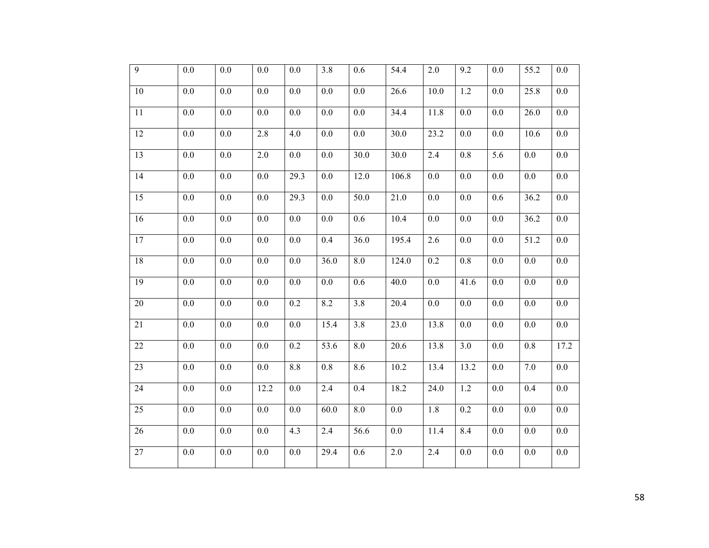| $\overline{9}$  | 0.0              | $0.0\,$ | 0.0     | 0.0     | 3.8                | 0.6     | 54.4              | $2.0$            | 9.2  | 0.0              | 55.2    | $0.0\,$          |
|-----------------|------------------|---------|---------|---------|--------------------|---------|-------------------|------------------|------|------------------|---------|------------------|
| $10\,$          | $0.0\,$          | $0.0\,$ | $0.0\,$ | $0.0\,$ | $0.0\,$            | 0.0     | 26.6              | 10.0             | 1.2  | 0.0              | 25.8    | $0.0\,$          |
| 11              | $0.0\,$          | $0.0\,$ | 0.0     | 0.0     | 0.0                | $0.0\,$ | 34.4              | 11.8             | 0.0  | 0.0              | 26.0    | $0.0\,$          |
| 12              | $0.0\,$          | $0.0\,$ | 2.8     | 4.0     | $0.0\,$            | $0.0\,$ | 30.0              | 23.2             | 0.0  | 0.0              | 10.6    | $0.0\,$          |
| 13              | $0.0\,$          | $0.0\,$ | 2.0     | $0.0\,$ | 0.0                | 30.0    | $\overline{30.0}$ | 2.4              | 0.8  | 5.6              | 0.0     | $0.0\,$          |
| $\overline{14}$ | $\overline{0.0}$ | $0.0\,$ | $0.0\,$ | 29.3    | $0.0\,$            | 12.0    | 106.8             | $\overline{0.0}$ | 0.0  | $\overline{0.0}$ | $0.0\,$ | $0.0\,$          |
| 15              | 0.0              | 0.0     | 0.0     | 29.3    | 0.0                | 50.0    | 21.0              | 0.0              | 0.0  | 0.6              | 36.2    | $0.0\,$          |
| 16              | 0.0              | 0.0     | 0.0     | 0.0     | 0.0                | 0.6     | 10.4              | 0.0              | 0.0  | 0.0              | 36.2    | $0.0\,$          |
| 17              | $0.0\,$          | $0.0\,$ | 0.0     | $0.0\,$ | 0.4                | 36.0    | 195.4             | 2.6              | 0.0  | $0.0\,$          | 51.2    | $0.0\,$          |
| 18              | 0.0              | 0.0     | 0.0     | 0.0     | 36.0               | 8.0     | 124.0             | 0.2              | 0.8  | 0.0              | 0.0     | $0.0\,$          |
| 19              | 0.0              | 0.0     | 0.0     | 0.0     | 0.0                | 0.6     | 40.0              | 0.0              | 41.6 | 0.0              | 0.0     | $0.0\,$          |
| 20              | $0.0\,$          | 0.0     | $0.0\,$ | 0.2     | 8.2                | 3.8     | 20.4              | 0.0              | 0.0  | $0.0\,$          | $0.0\,$ | $0.0\,$          |
| 21              | $0.0\,$          | 0.0     | 0.0     | $0.0\,$ | $\overline{1}$ 5.4 | 3.8     | 23.0              | 13.8             | 0.0  | $0.0\,$          | $0.0\,$ | $0.0\,$          |
| 22              | $0.0\,$          | $0.0\,$ | 0.0     | 0.2     | 53.6               | 8.0     | 20.6              | 13.8             | 3.0  | 0.0              | 0.8     | 17.2             |
| 23              | $0.0\,$          | $0.0\,$ | 0.0     | 8.8     | $\overline{0.8}$   | 8.6     | 10.2              | 13.4             | 13.2 | 0.0              | 7.0     | $\overline{0.0}$ |
| 24              | $0.0\,$          | $0.0\,$ | 12.2    | $0.0\,$ | 2.4                | 0.4     | 18.2              | 24.0             | 1.2  | 0.0              | 0.4     | $0.0\,$          |
| $\overline{25}$ | $\overline{0.0}$ | $0.0\,$ | 0.0     | $0.0\,$ | 60.0               | 8.0     | $0.0\,$           | 1.8              | 0.2  | $\overline{0.0}$ | $0.0\,$ | $0.0\,$          |
| 26              | 0.0              | 0.0     | 0.0     | 4.3     | 2.4                | 56.6    | 0.0               | 11.4             | 8.4  | 0.0              | 0.0     | 0.0              |
| $\overline{27}$ | $\overline{0.0}$ | 0.0     | 0.0     | $0.0\,$ | 29.4               | 0.6     | $\overline{2.0}$  | 2.4              | 0.0  | 0.0              | 0.0     | $\overline{0.0}$ |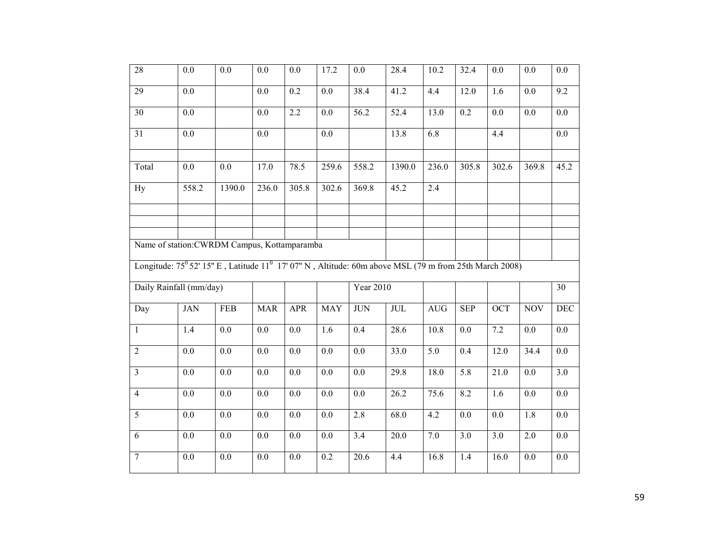| 28              | 0.0                                                                                                                           | 0.0              | 0.0              | 0.0              | 17.2             | 0.0              | 28.4              | 10.2               | 32.4             | 0.0              | 0.0              | 0.0              |
|-----------------|-------------------------------------------------------------------------------------------------------------------------------|------------------|------------------|------------------|------------------|------------------|-------------------|--------------------|------------------|------------------|------------------|------------------|
| 29              | 0.0                                                                                                                           |                  | 0.0              | 0.2              | 0.0              | 38.4             | 41.2              | 4.4                | 12.0             | 1.6              | 0.0              | $\overline{9.2}$ |
| $\overline{30}$ | $\overline{0.0}$                                                                                                              |                  | 0.0              | 2.2              | $\overline{0.0}$ | 56.2             | 52.4              | 13.0               | $\overline{0.2}$ | $\overline{0.0}$ | $\overline{0.0}$ | $\overline{0.0}$ |
| $\overline{31}$ | $\overline{0.0}$                                                                                                              |                  | $\overline{0.0}$ |                  | $\overline{0.0}$ |                  | 13.8              | 6.8                |                  | 4.4              |                  | $\overline{0.0}$ |
| Total           | 0.0                                                                                                                           | 0.0              | 17.0             | 78.5             | 259.6            | 558.2            | 1390.0            | $\overline{2}36.0$ | 305.8            | 302.6            | 369.8            | 45.2             |
| <b>Hy</b>       | 558.2                                                                                                                         | 1390.0           | 236.0            | 305.8            | 302.6            | 369.8            | 45.2              | 2.4                |                  |                  |                  |                  |
|                 |                                                                                                                               |                  |                  |                  |                  |                  |                   |                    |                  |                  |                  |                  |
|                 | Name of station: CWRDM Campus, Kottamparamba                                                                                  |                  |                  |                  |                  |                  |                   |                    |                  |                  |                  |                  |
|                 | Longitude: 75 <sup>0</sup> 52' 15" E, Latitude 11 <sup>0</sup> 17' 07" N, Altitude: 60m above MSL (79 m from 25th March 2008) |                  |                  |                  |                  |                  |                   |                    |                  |                  |                  |                  |
|                 | Daily Rainfall (mm/day)                                                                                                       |                  |                  |                  |                  | <b>Year 2010</b> |                   |                    |                  |                  |                  | 30               |
| Day             | <b>JAN</b>                                                                                                                    | <b>FEB</b>       | <b>MAR</b>       | <b>APR</b>       | <b>MAY</b>       | <b>JUN</b>       | JUL               | <b>AUG</b>         | <b>SEP</b>       | <b>OCT</b>       | <b>NOV</b>       | <b>DEC</b>       |
| $\mathbf{1}$    | 1.4                                                                                                                           | 0.0              | 0.0              | 0.0              | 1.6              | 0.4              | 28.6              | 10.8               | 0.0              | 7.2              | 0.0              | $0.0\,$          |
| 2               | $0.0\,$                                                                                                                       | 0.0              | 0.0              | 0.0              | 0.0              | 0.0              | 33.0              | 5.0                | 0.4              | 12.0             | 34.4             | 0.0              |
| $\overline{3}$  | $0.0\,$                                                                                                                       | $0.0\,$          | $0.0\,$          | $0.0\,$          | $0.0\,$          | 0.0              | 29.8              | 18.0               | 5.8              | 21.0             | 0.0              | $\overline{3.0}$ |
| $\overline{4}$  | 0.0                                                                                                                           | $0.0\,$          | $\overline{0.0}$ | $\overline{0.0}$ | $\overline{0.0}$ | $\overline{0.0}$ | 26.2              | 75.6               | 8.2              | 1.6              | $\overline{0.0}$ | $\overline{0.0}$ |
| $\overline{5}$  | $\overline{0.0}$                                                                                                              | $0.0\,$          | 0.0              | $\overline{0.0}$ | $\overline{0.0}$ | 2.8              | 68.0              | 4.2                | $\overline{0.0}$ | $\overline{0.0}$ | 1.8              | $0.0\,$          |
| 6               | 0.0                                                                                                                           | $\overline{0.0}$ | $\overline{0.0}$ | $\overline{0.0}$ | $\overline{0.0}$ | $\overline{3.4}$ | $\overline{20.0}$ | 7.0                | 3.0              | $\overline{3.0}$ | 2.0              | $\overline{0.0}$ |
| $\overline{7}$  | $0.0\,$                                                                                                                       | 0.0              | 0.0              | $0.0\,$          | 0.2              | 20.6             | 4.4               | 16.8               | 1.4              | 16.0             | 0.0              | $0.0\,$          |
|                 |                                                                                                                               |                  |                  |                  |                  |                  |                   |                    |                  |                  |                  |                  |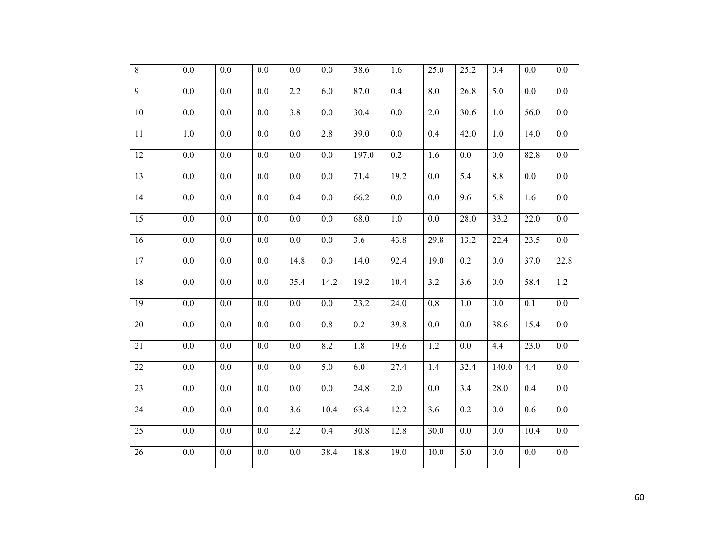| $\overline{8}$  | $0.0\,$ | $0.0\,$ | 0.0     | $0.0\,$          | 0.0              | 38.6              | 1.6     | 25.0              | 25.2 | 0.4              | $0.0\,$ | $0.0\,$          |
|-----------------|---------|---------|---------|------------------|------------------|-------------------|---------|-------------------|------|------------------|---------|------------------|
| $\overline{9}$  | $0.0\,$ | $0.0\,$ | $0.0\,$ | $2.2\,$          | 6.0              | 87.0              | 0.4     | $8.0\,$           | 26.8 | 5.0              | $0.0\,$ | $0.0\,$          |
| $10\,$          | $0.0\,$ | $0.0\,$ | $0.0\,$ | 3.8              | 0.0              | 30.4              | $0.0\,$ | $2.0$             | 30.6 | 1.0              | 56.0    | $0.0\,$          |
| $11\,$          | $1.0\,$ | $0.0\,$ | $0.0\,$ | $0.0\,$          | 2.8              | 39.0              | $0.0\,$ | 0.4               | 42.0 | 1.0              | 14.0    | $0.0\,$          |
| 12              | $0.0\,$ | $0.0\,$ | 0.0     | $0.0\,$          | 0.0              | 197.0             | $0.2\,$ | 1.6               | 0.0  | $0.0\,$          | 82.8    | $0.0\,$          |
| $\overline{13}$ | $0.0\,$ | $0.0\,$ | $0.0\,$ | $0.0\,$          | $\overline{0.0}$ | $\overline{71.4}$ | 19.2    | $0.0\,$           | 5.4  | 8.8              | $0.0\,$ | $0.0\,$          |
| 14              | 0.0     | 0.0     | 0.0     | 0.4              | 0.0              | 66.2              | 0.0     | 0.0               | 9.6  | $\overline{5.8}$ | 1.6     | $0.0\,$          |
| 15              | 0.0     | 0.0     | 0.0     | 0.0              | 0.0              | 68.0              | 1.0     | 0.0               | 28.0 | 33.2             | 22.0    | $0.0\,$          |
| 16              | $0.0\,$ | $0.0\,$ | 0.0     | $0.0\,$          | $0.0\,$          | 3.6               | 43.8    | 29.8              | 13.2 | 22.4             | 23.5    | $0.0\,$          |
| 17              | 0.0     | 0.0     | 0.0     | 14.8             | 0.0              | 14.0              | 92.4    | 19.0              | 0.2  | 0.0              | 37.0    | 22.8             |
| 18              | 0.0     | 0.0     | 0.0     | 35.4             | 14.2             | 19.2              | 10.4    | 3.2               | 3.6  | 0.0              | 58.4    | 1.2              |
| 19              | 0.0     | 0.0     | 0.0     | 0.0              | 0.0              | 23.2              | 24.0    | $0.8\,$           | 1.0  | $0.0\,$          | 0.1     | $0.0\,$          |
| 20              | $0.0\,$ | 0.0     | 0.0     | $0.0\,$          | $0.8\,$          | 0.2               | 39.8    | 0.0               | 0.0  | 38.6             | 15.4    | $0.0\,$          |
| 21              | $0.0\,$ | $0.0\,$ | 0.0     | $\overline{0.0}$ | 8.2              | 1.8               | 19.6    | 1.2               | 0.0  | 4.4              | 23.0    | $0.0\,$          |
| 22              | $0.0\,$ | $0.0\,$ | $0.0\,$ | $0.0\,$          | $\overline{5.0}$ | 6.0               | 27.4    | 1.4               | 32.4 | 140.0            | 4.4     | $0.0\,$          |
| 23              | $0.0\,$ | 0.0     | 0.0     | $0.0\,$          | 0.0              | 24.8              | 2.0     | 0.0               | 3.4  | 28.0             | 0.4     | $0.0\,$          |
| 24              | $0.0\,$ | $0.0\,$ | $0.0\,$ | $\overline{3.6}$ | 10.4             | 63.4              | 12.2    | 3.6               | 0.2  | 0.0              | 0.6     | $0.0\,$          |
| 25              | 0.0     | 0.0     | 0.0     | 2.2              | 0.4              | 30.8              | 12.8    | 30.0              | 0.0  | 0.0              | 10.4    | $0.0\,$          |
| 26              | 0.0     | 0.0     | 0.0     | $0.0\,$          | 38.4             | 18.8              | 19.0    | $\overline{10.0}$ | 5.0  | 0.0              | 0.0     | $\overline{0.0}$ |